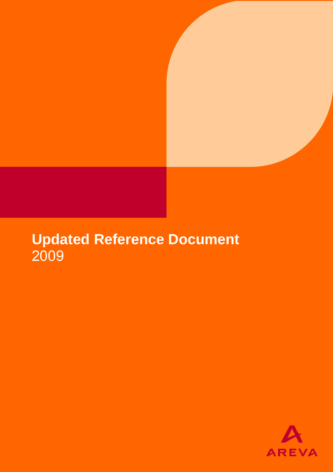# **Updated Reference Document**  2009

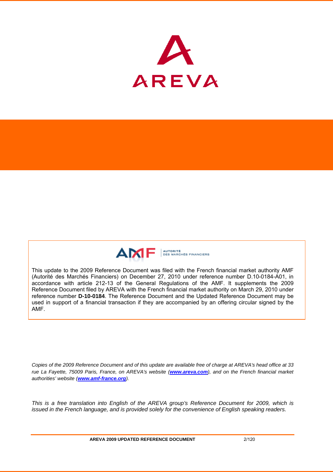



This update to the 2009 Reference Document was filed with the French financial market authority AMF (Autorité des Marchés Financiers) on December 27, 2010 under reference number D.10-0184-A01, in accordance with article 212-13 of the General Regulations of the AMF. It supplements the 2009 Reference Document filed by AREVA with the French financial market authority on March 29, 2010 under reference number **D-10-0184**. The Reference Document and the Updated Reference Document may be used in support of a financial transaction if they are accompanied by an offering circular signed by the AMF.

*Copies of the 2009 Reference Document and of this update are available free of charge at AREVA's head office at 33 rue La Fayette, 75009 Paris, France, on AREVA's website (www.areva.com), and on the French financial market authorities' website (www.amf-france.org).* 

*This is a free translation into English of the AREVA group's Reference Document for 2009, which is issued in the French language, and is provided solely for the convenience of English speaking readers.*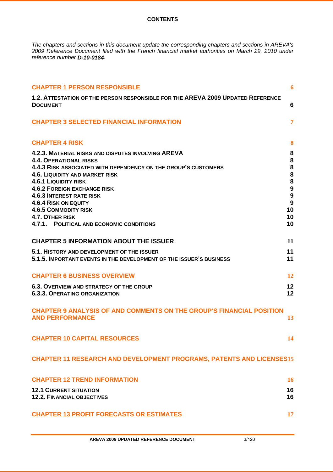### **CONTENTS**

*The chapters and sections in this document update the corresponding chapters and sections in AREVA's 2009 Reference Document filed with the French financial market authorities on March 29, 2010 under reference number D-10-0184.* 

| <b>CHAPTER 1 PERSON RESPONSIBLE</b>                                                                                                                                                                                                                                                                                                                                                                                                           | 6                                                                                    |
|-----------------------------------------------------------------------------------------------------------------------------------------------------------------------------------------------------------------------------------------------------------------------------------------------------------------------------------------------------------------------------------------------------------------------------------------------|--------------------------------------------------------------------------------------|
| 1.2. ATTESTATION OF THE PERSON RESPONSIBLE FOR THE AREVA 2009 UPDATED REFERENCE<br><b>DOCUMENT</b>                                                                                                                                                                                                                                                                                                                                            | 6                                                                                    |
| <b>CHAPTER 3 SELECTED FINANCIAL INFORMATION</b>                                                                                                                                                                                                                                                                                                                                                                                               | $\overline{7}$                                                                       |
| <b>CHAPTER 4 RISK</b>                                                                                                                                                                                                                                                                                                                                                                                                                         | 8                                                                                    |
| 4.2.3. MATERIAL RISKS AND DISPUTES INVOLVING AREVA<br><b>4.4. OPERATIONAL RISKS</b><br>4.4.3 RISK ASSOCIATED WITH DEPENDENCY ON THE GROUP'S CUSTOMERS<br><b>4.6. LIQUIDITY AND MARKET RISK</b><br><b>4.6.1 LIQUIDITY RISK</b><br><b>4.6.2 FOREIGN EXCHANGE RISK</b><br><b>4.6.3 INTEREST RATE RISK</b><br><b>4.6.4 RISK ON EQUITY</b><br><b>4.6.5 COMMODITY RISK</b><br><b>4.7. OTHER RISK</b><br>4.7.1.<br>POLITICAL AND ECONOMIC CONDITIONS | 8<br>8<br>8<br>8<br>8<br>$\boldsymbol{9}$<br>$\boldsymbol{9}$<br>9<br>10<br>10<br>10 |
| <b>CHAPTER 5 INFORMATION ABOUT THE ISSUER</b>                                                                                                                                                                                                                                                                                                                                                                                                 | 11                                                                                   |
| 5.1. HISTORY AND DEVELOPMENT OF THE ISSUER<br>5.1.5. IMPORTANT EVENTS IN THE DEVELOPMENT OF THE ISSUER'S BUSINESS                                                                                                                                                                                                                                                                                                                             | 11<br>11                                                                             |
| <b>CHAPTER 6 BUSINESS OVERVIEW</b>                                                                                                                                                                                                                                                                                                                                                                                                            | <b>12</b>                                                                            |
| <b>6.3. OVERVIEW AND STRATEGY OF THE GROUP</b><br><b>6.3.3. OPERATING ORGANIZATION</b>                                                                                                                                                                                                                                                                                                                                                        | 12<br>12                                                                             |
| <b>CHAPTER 9 ANALYSIS OF AND COMMENTS ON THE GROUP'S FINANCIAL POSITION</b><br><b>AND PERFORMANCE</b>                                                                                                                                                                                                                                                                                                                                         | 13                                                                                   |
| <b>CHAPTER 10 CAPITAL RESOURCES</b>                                                                                                                                                                                                                                                                                                                                                                                                           | 14                                                                                   |
| <b>CHAPTER 11 RESEARCH AND DEVELOPMENT PROGRAMS, PATENTS AND LICENSES15</b>                                                                                                                                                                                                                                                                                                                                                                   |                                                                                      |
| <b>CHAPTER 12 TREND INFORMATION</b>                                                                                                                                                                                                                                                                                                                                                                                                           | <b>16</b>                                                                            |
| <b>12.1 CURRENT SITUATION</b><br><b>12.2. FINANCIAL OBJECTIVES</b>                                                                                                                                                                                                                                                                                                                                                                            | 16<br>16                                                                             |
| <b>CHAPTER 13 PROFIT FORECASTS OR ESTIMATES</b>                                                                                                                                                                                                                                                                                                                                                                                               | <b>17</b>                                                                            |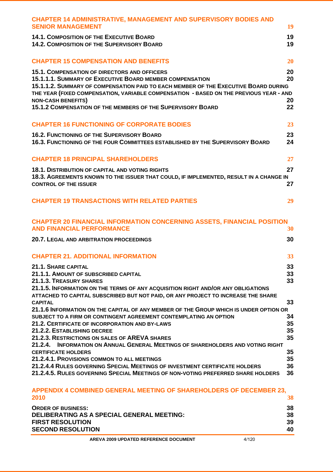| <b>CHAPTER 14 ADMINISTRATIVE, MANAGEMENT AND SUPERVISORY BODIES AND</b><br><b>SENIOR MANAGEMENT</b>                                                                                                                                                                                                                                                                                          | 19                   |
|----------------------------------------------------------------------------------------------------------------------------------------------------------------------------------------------------------------------------------------------------------------------------------------------------------------------------------------------------------------------------------------------|----------------------|
| <b>14.1. COMPOSITION OF THE EXECUTIVE BOARD</b><br><b>14.2. COMPOSITION OF THE SUPERVISORY BOARD</b>                                                                                                                                                                                                                                                                                         | 19<br>19             |
| <b>CHAPTER 15 COMPENSATION AND BENEFITS</b>                                                                                                                                                                                                                                                                                                                                                  | 20                   |
| <b>15.1. COMPENSATION OF DIRECTORS AND OFFICERS</b><br>15.1.1.1. SUMMARY OF EXECUTIVE BOARD MEMBER COMPENSATION<br>15.1.1.2. SUMMARY OF COMPENSATION PAID TO EACH MEMBER OF THE EXECUTIVE BOARD DURING<br>THE YEAR (FIXED COMPENSATION, VARIABLE COMPENSATION - BASED ON THE PREVIOUS YEAR - AND<br><b>NON-CASH BENEFITS)</b><br>15.1.2 COMPENSATION OF THE MEMBERS OF THE SUPERVISORY BOARD | 20<br>20<br>20<br>22 |
| <b>CHAPTER 16 FUNCTIONING OF CORPORATE BODIES</b>                                                                                                                                                                                                                                                                                                                                            | 23                   |
| <b>16.2. FUNCTIONING OF THE SUPERVISORY BOARD</b><br>16.3. FUNCTIONING OF THE FOUR COMMITTEES ESTABLISHED BY THE SUPERVISORY BOARD                                                                                                                                                                                                                                                           | 23<br>24             |
| <b>CHAPTER 18 PRINCIPAL SHAREHOLDERS</b>                                                                                                                                                                                                                                                                                                                                                     | 27                   |
| <b>18.1. DISTRIBUTION OF CAPITAL AND VOTING RIGHTS</b>                                                                                                                                                                                                                                                                                                                                       | 27                   |
| 18.3. AGREEMENTS KNOWN TO THE ISSUER THAT COULD, IF IMPLEMENTED, RESULT IN A CHANGE IN<br><b>CONTROL OF THE ISSUER</b>                                                                                                                                                                                                                                                                       | 27                   |
| <b>CHAPTER 19 TRANSACTIONS WITH RELATED PARTIES</b>                                                                                                                                                                                                                                                                                                                                          | 29                   |
| <b>CHAPTER 20 FINANCIAL INFORMATION CONCERNING ASSETS, FINANCIAL POSITION</b><br><b>AND FINANCIAL PERFORMANCE</b>                                                                                                                                                                                                                                                                            | 30                   |
| <b>20.7. LEGAL AND ARBITRATION PROCEEDINGS</b>                                                                                                                                                                                                                                                                                                                                               | 30                   |
| <b>CHAPTER 21. ADDITIONAL INFORMATION</b>                                                                                                                                                                                                                                                                                                                                                    | 33                   |
| 21.1. SHARE CAPITAL                                                                                                                                                                                                                                                                                                                                                                          | 33                   |
| 21.1.1. AMOUNT OF SUBSCRIBED CAPITAL<br>21.1.3. TREASURY SHARES                                                                                                                                                                                                                                                                                                                              | 33<br>33             |
| 21.1.5. INFORMATION ON THE TERMS OF ANY ACQUISITION RIGHT AND/OR ANY OBLIGATIONS<br>ATTACHED TO CAPITAL SUBSCRIBED BUT NOT PAID, OR ANY PROJECT TO INCREASE THE SHARE<br><b>CAPITAL</b>                                                                                                                                                                                                      | 33                   |
| 21.1.6 INFORMATION ON THE CAPITAL OF ANY MEMBER OF THE GROUP WHICH IS UNDER OPTION OR                                                                                                                                                                                                                                                                                                        |                      |
| SUBJECT TO A FIRM OR CONTINGENT AGREEMENT CONTEMPLATING AN OPTION<br><b>21.2. CERTIFICATE OF INCORPORATION AND BY-LAWS</b>                                                                                                                                                                                                                                                                   | 34<br>35             |
| 21.2.2. ESTABLISHING DECREE                                                                                                                                                                                                                                                                                                                                                                  | 35                   |
| 21.2.3. RESTRICTIONS ON SALES OF AREVA SHARES<br>21.2.4.<br><b>INFORMATION ON ANNUAL GENERAL MEETINGS OF SHAREHOLDERS AND VOTING RIGHT</b>                                                                                                                                                                                                                                                   | 35                   |
| <b>CERTIFICATE HOLDERS</b>                                                                                                                                                                                                                                                                                                                                                                   | 35                   |
| 21.2.4.1. PROVISIONS COMMON TO ALL MEETINGS                                                                                                                                                                                                                                                                                                                                                  | 35                   |
| 21.2.4.4 RULES GOVERNING SPECIAL MEETINGS OF INVESTMENT CERTIFICATE HOLDERS<br>21.2.4.5. RULES GOVERNING SPECIAL MEETINGS OF NON-VOTING PREFERRED SHARE HOLDERS                                                                                                                                                                                                                              | 36<br>36             |
| <b>APPENDIX 4 COMBINED GENERAL MEETING OF SHAREHOLDERS OF DECEMBER 23.</b>                                                                                                                                                                                                                                                                                                                   |                      |

| AT LENDR T VYMPINER VENERANE MEETING VI VIRNEIVEREND VI PEVEMBEN AV.<br>2010 |    |
|------------------------------------------------------------------------------|----|
| <b>ORDER OF BUSINESS:</b>                                                    | 38 |
| <b>DELIBERATING AS A SPECIAL GENERAL MEETING:</b>                            | 38 |
| <b>FIRST RESOLUTION</b>                                                      | 39 |
| <b>SECOND RESOLUTION</b>                                                     | 40 |
|                                                                              |    |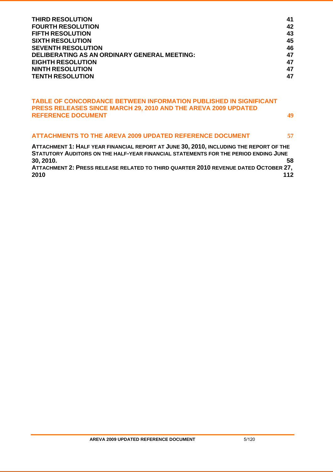| <b>THIRD RESOLUTION</b>                             | 41 |
|-----------------------------------------------------|----|
| <b>FOURTH RESOLUTION</b>                            | 42 |
| <b>FIFTH RESOLUTION</b>                             | 43 |
| <b>SIXTH RESOLUTION</b>                             | 45 |
| <b>SEVENTH RESOLUTION</b>                           | 46 |
| <b>DELIBERATING AS AN ORDINARY GENERAL MEETING:</b> | 47 |
| <b>EIGHTH RESOLUTION</b>                            | 47 |
| <b>NINTH RESOLUTION</b>                             | 47 |
| <b>TENTH RESOLUTION</b>                             | 47 |

### **TABLE OF CONCORDANCE BETWEEN INFORMATION PUBLISHED IN SIGNIFICANT PRESS RELEASES SINCE MARCH 29, 2010 AND THE AREVA 2009 UPDATED REFERENCE DOCUMENT 49**

## **ATTACHMENTS TO THE AREVA 2009 UPDATED REFERENCE DOCUMENT 57**

**ATTACHMENT 1: HALF YEAR FINANCIAL REPORT AT JUNE 30, 2010, INCLUDING THE REPORT OF THE STATUTORY AUDITORS ON THE HALF-YEAR FINANCIAL STATEMENTS FOR THE PERIOD ENDING JUNE 30, 2010. 58 ATTACHMENT 2: PRESS RELEASE RELATED TO THIRD QUARTER 2010 REVENUE DATED OCTOBER 27, 2010 112**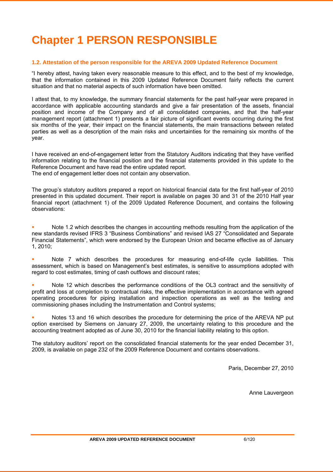# **Chapter 1 PERSON RESPONSIBLE**

### **1.2. Attestation of the person responsible for the AREVA 2009 Updated Reference Document**

"I hereby attest, having taken every reasonable measure to this effect, and to the best of my knowledge, that the information contained in this 2009 Updated Reference Document fairly reflects the current situation and that no material aspects of such information have been omitted.

I attest that, to my knowledge, the summary financial statements for the past half-year were prepared in accordance with applicable accounting standards and give a fair presentation of the assets, financial position and income of the Company and of all consolidated companies, and that the half-year management report (attachment 1) presents a fair picture of significant events occurring during the first six months of the year, their impact on the financial statements, the main transactions between related parties as well as a description of the main risks and uncertainties for the remaining six months of the year.

I have received an end-of-engagement letter from the Statutory Auditors indicating that they have verified information relating to the financial position and the financial statements provided in this update to the Reference Document and have read the entire updated report. The end of engagement letter does not contain any observation.

The group's statutory auditors prepared a report on historical financial data for the first half-year of 2010 presented in this updated document. Their report is available on pages 30 and 31 of the 2010 Half year financial report (attachment 1) of the 2009 Updated Reference Document, and contains the following observations:

 Note 1.2 which describes the changes in accounting methods resulting from the application of the new standards revised IFRS 3 "Business Combinations" and revised IAS 27 "Consolidated and Separate Financial Statements", which were endorsed by the European Union and became effective as of January 1, 2010;

 Note 7 which describes the procedures for measuring end-of-life cycle liabilities. This assessment, which is based on Management's best estimates, is sensitive to assumptions adopted with regard to cost estimates, timing of cash outflows and discount rates;

 Note 12 which describes the performance conditions of the OL3 contract and the sensitivity of profit and loss at completion to contractual risks, the effective implementation in accordance with agreed operating procedures for piping installation and inspection operations as well as the testing and commissioning phases including the Instrumentation and Control systems;

 Notes 13 and 16 which describes the procedure for determining the price of the AREVA NP put option exercised by Siemens on January 27, 2009, the uncertainty relating to this procedure and the accounting treatment adopted as of June 30, 2010 for the financial liability relating to this option.

The statutory auditors' report on the consolidated financial statements for the year ended December 31, 2009, is available on page 232 of the 2009 Reference Document and contains observations.

Paris, December 27, 2010

Anne Lauvergeon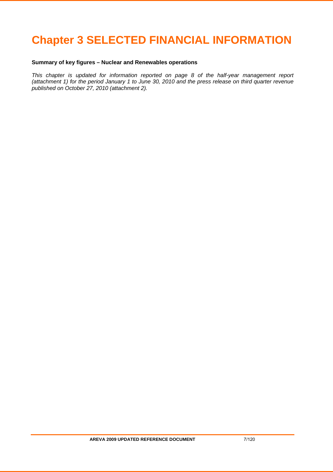# **Chapter 3 SELECTED FINANCIAL INFORMATION**

# **Summary of key figures – Nuclear and Renewables operations**

*This chapter is updated for information reported on page 8 of the half-year management report (attachment 1) for the period January 1 to June 30, 2010 and the press release on third quarter revenue published on October 27, 2010 (attachment 2).*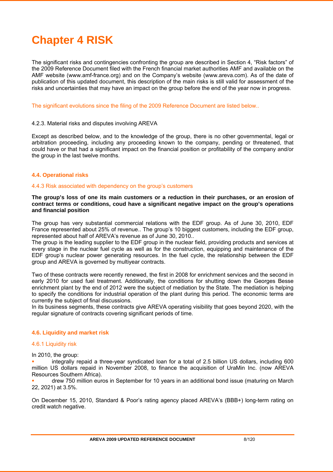# **Chapter 4 RISK**

The significant risks and contingencies confronting the group are described in Section 4, "Risk factors" of the 2009 Reference Document filed with the French financial market authorities AMF and available on the AMF website (www.amf-france.org) and on the Company's website (www.areva.com). As of the date of publication of this updated document, this description of the main risks is still valid for assessment of the risks and uncertainties that may have an impact on the group before the end of the year now in progress.

The significant evolutions since the filing of the 2009 Reference Document are listed below..

#### 4.2.3. Material risks and disputes involving AREVA

Except as described below, and to the knowledge of the group, there is no other governmental, legal or arbitration proceeding, including any proceeding known to the company, pending or threatened, that could have or that had a significant impact on the financial position or profitability of the company and/or the group in the last twelve months.

### **4.4. Operational risks**

#### 4.4.3 Risk associated with dependency on the group's customers

**The group's loss of one its main customers or a reduction in their purchases, or an erosion of contract terms or conditions, coud have a significant negative impact on the group's operations and financial position** 

The group has very substantial commercial relations with the EDF group. As of June 30, 2010, EDF France represented about 25% of revenue.. The group's 10 biggest customers, including the EDF group, represented about half of AREVA's revenue as of June 30, 2010..

The group is the leading supplier to the EDF group in the nuclear field, providing products and services at every stage in the nuclear fuel cycle as well as for the construction, equipping and maintenance of the EDF group's nuclear power generating resources. In the fuel cycle, the relationship between the EDF group and AREVA is governed by multiyear contracts.

Two of these contracts were recently renewed, the first in 2008 for enrichment services and the second in early 2010 for used fuel treatment. Additionally, the conditions for shutting down the Georges Besse enrichment plant by the end of 2012 were the subject of mediation by the State. The mediation is helping to specify the conditions for industrial operation of the plant during this period. The economic terms are currently the subject of final discussions.

In its business segments, these contracts give AREVA operating visibility that goes beyond 2020, with the regular signature of contracts covering significant periods of time.

### **4.6. Liquidity and market risk**

### 4.6.1 Liquidity risk

In 2010, the group:

 integrally repaid a three-year syndicated loan for a total of 2.5 billion US dollars, including 600 million US dollars repaid in November 2008, to finance the acquisition of UraMin Inc. (now AREVA Resources Southern Africa).

 drew 750 million euros in September for 10 years in an additional bond issue (maturing on March 22, 2021) at 3.5%.

On December 15, 2010, Standard & Poor's rating agency placed AREVA's (BBB+) long-term rating on credit watch negative.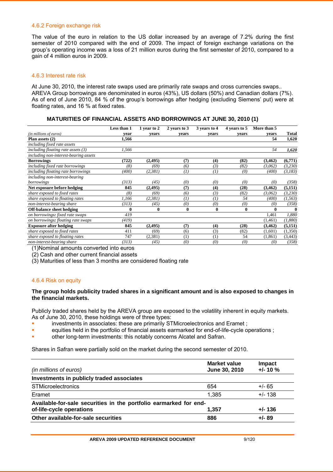#### 4.6.2 Foreign exchange risk

The value of the euro in relation to the US dollar increased by an average of 7.2% during the first semester of 2010 compared with the end of 2009. The impact of foreign exchange variations on the group's operating income was a loss of 21 million euros during the first semester of 2010, compared to a gain of 4 million euros in 2009.

### 4.6.3 Interest rate risk

At June 30, 2010, the interest rate swaps used are primarily rate swaps and cross currencies swaps.. AREVA Group borrowings are denominated in euros (43%), US dollars (50%) and Canadian dollars (7%). As of end of June 2010, 84 % of the group's borrowings after hedging (excluding Siemens' put) were at floating rates, and 16 % at fixed rates.

#### **MATURITIES OF FINANCIAL ASSETS AND BORROWINGS AT JUNE 30, 2010 (1)**

|                                       | Less than 1 | 1 year to 2 | 2 years to 3   | 3 years to 4 | 4 years to 5 | More than 5 |          |
|---------------------------------------|-------------|-------------|----------------|--------------|--------------|-------------|----------|
| (in millions of euros)                | vear        | vears       | vears          | vears        | vears        | vears       | Total    |
| Plan assets $(2)$                     | 1,566       |             |                |              |              | 54          | 1,620    |
| including fixed rate assets           |             |             |                |              |              |             |          |
| including floating rate assets $(3)$  | 1,566       |             |                |              |              | 54          | 1,620    |
| including non-interest-bearing assets |             |             |                |              |              |             |          |
| <b>Borrowings</b>                     | (722)       | (2, 495)    | (7)            | (4)          | (82)         | (3, 462)    | (6,771)  |
| including fixed rate borrowings       | (8)         | (69)        | (6)            | (3)          | (82)         | (3,062)     | (3,230)  |
| including floating rate borrowings    | (400)       | (2,381)     | $^{(1)}$       | $^{(1)}$     | (0)          | (400)       | (3,183)  |
| including non-interest-bearing        |             |             |                |              |              |             |          |
| borrowings                            | (313)       | (45)        | (0)            | (0)          | (0)          | (0)         | (358)    |
| Net exposure before hedging           | 845         | (2, 495)    | (7)            | (4)          | (28)         | (3, 462)    | (5,151)  |
| share exposed to fixed rates          | (8)         | (69)        | (6)            | (3)          | (82)         | (3,062)     | (3,230)  |
| share exposed to floating rates       | 1,166       | (2,381)     | $\overline{1}$ | (1)          | 54           | (400)       | (1, 563) |
| non-interest-bearing share            | (313)       | (45)        | (0)            | (0)          | (0)          | (0)         | (358)    |
| <b>Off-balance sheet hedging</b>      | $\bf{0}$    | $\bf{0}$    | $\bf{0}$       | $\bf{0}$     | $\bf{0}$     | 0           |          |
| on borrowings: fixed rate swaps       | 419         |             |                |              |              | 1,461       | 1,880    |
| on borrowings: floating rate swaps    | (419)       |             |                |              |              | (1, 461)    | (1,880)  |
| <b>Exposure after hedging</b>         | 845         | (2, 495)    | (7)            | (4)          | (28)         | (3,462)     | (5,151)  |
| share exposed to fixed rates          | 411         | (69)        | (6)            | (3)          | (82)         | (1,601)     | (1,350)  |
| share exposed to floating rates       | 747         | (2,381)     | (1)            | (1)          | 54           | (1, 861)    | (3, 443) |
| non-interest-bearing share            | (313)       | (45)        | (0)            | (0)          | (0)          | (0)         | (358)    |
| $\lambda$                             | .           |             |                |              |              |             |          |

(1)Nominal amounts converted into euros

(2) Cash and other current financial assets

(3) Maturities of less than 3 months are considered floating rate

### 4.6.4 Risk on equity

### **The group holds publicity traded shares in a significant amount and is also exposed to changes in the financial markets.**

Publicly traded shares held by the AREVA group are exposed to the volatility inherent in equity markets. As of June 30, 2010, these holdings were of three types:

- investments in associates: these are primarily STMicroelectronics and Eramet ;
- equities held in the portfolio of financial assets earmarked for end-of-life-cycle operations ;
- other long-term investments: this notably concerns Alcatel and Safran.

Shares in Safran were partially sold on the market during the second semester of 2010.

| (in millions of euros)                                                                        | <b>Market value</b><br>June 30, 2010 | Impact<br>$+/- 10 \%$ |
|-----------------------------------------------------------------------------------------------|--------------------------------------|-----------------------|
| Investments in publicly traded associates                                                     |                                      |                       |
| <b>STMicroelectronics</b>                                                                     | 654                                  | $+/- 65$              |
| Eramet                                                                                        | 1.385                                | $+/- 138$             |
| Available-for-sale securities in the portfolio earmarked for end-<br>of-life-cycle operations | 1,357                                | $+/- 136$             |
| Other available-for-sale securities                                                           | 886                                  | $+/- 89$              |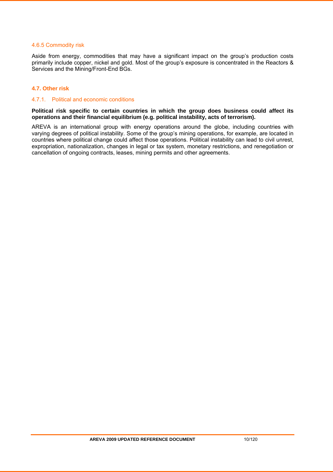### 4.6.5 Commodity risk

Aside from energy, commodities that may have a significant impact on the group's production costs primarily include copper, nickel and gold. Most of the group's exposure is concentrated in the Reactors & Services and the Mining/Front-End BGs.

### **4.7. Other risk**

### 4.7.1. Political and economic conditions

### **Political risk specific to certain countries in which the group does business could affect its operations and their financial equilibrium (e.g. political instability, acts of terrorism).**

AREVA is an international group with energy operations around the globe, including countries with varying degrees of political instability. Some of the group's mining operations, for example, are located in countries where political change could affect those operations. Political instability can lead to civil unrest, expropriation, nationalization, changes in legal or tax system, monetary restrictions, and renegotiation or cancellation of ongoing contracts, leases, mining permits and other agreements.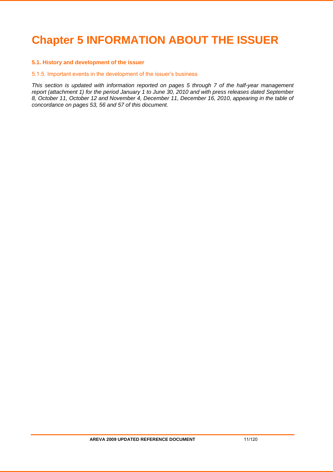# **Chapter 5 INFORMATION ABOUT THE ISSUER**

### **5.1. History and development of the issuer**

#### 5.1.5. Important events in the development of the issuer's business

*This section is updated with information reported on pages 5 through 7 of the half-year management report (attachment 1) for the period January 1 to June 30, 2010 and with press releases dated September 8, October 11, October 12 and November 4, December 11, December 16, 2010, appearing in the table of concordance on pages 53, 56 and 57 of this document.*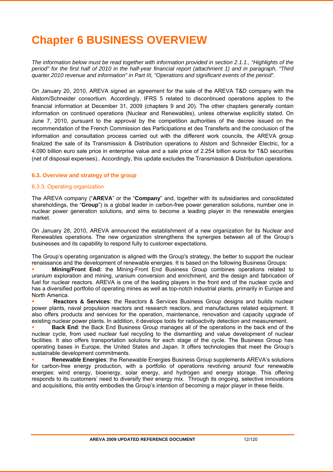# **Chapter 6 BUSINESS OVERVIEW**

*The information below must be read together with information provided in section 2.1.1., "Highlights of the period" for the first half of 2010 in the half-year financial report (attachment 1) and in paragraph, "Third quarter 2010 revenue and information" in Part III, "Operations and significant events of the period".* 

On January 20, 2010, AREVA signed an agreement for the sale of the AREVA T&D company with the Alstom/Schneider consortium. Accordingly, IFRS 5 related to discontinued operations applies to the financial information at December 31, 2009 (chapters 9 and 20). The other chapters generally contain information on continued operations (Nuclear and Renewables), unless otherwise explicitly stated. On June 7, 2010, pursuant to the approval by the competition authorities of the decree issued on the recommendation of the French Commission des Participations et des Transferts and the conclusion of the information and consultation process carried out with the different work councils, the AREVA group finalized the sale of its Transmission & Distribution operations to Alstom and Schneider Electric, for a 4.090 billion euro sale price in enterprise value and a sale price of 2.254 billion euros for T&D securities (net of disposal expenses).. Accordingly, this update excludes the Transmission & Distribution operations.

### **6.3. Overview and strategy of the group**

### 6.3.3. Operating organization

The AREVA company ("**AREVA**" or the "**Company**" and, together with its subsidiaries and consolidated shareholdings, the "**Group**") is a global leader in carbon-free power generation solutions, number one in nuclear power generation solutions, and aims to become a leading player in the renewable energies market.

On January 28, 2010, AREVA announced the establishment of a new organization for its Nuclear and Renewables operations. The new organization strengthens the synergies between all of the Group's businesses and its capability to respond fully to customer expectations.

The Group's operating organization is aligned with the Group's strategy, the better to support the nuclear renaissance and the development of renewable energies. It is based on the following Business Groups:

 **Mining/Front End:** the Mining-Front End Business Group combines operations related to uranium exploration and mining, uranium conversion and enrichment, and the design and fabrication of fuel for nuclear reactors. AREVA is one of the leading players in the front end of the nuclear cycle and has a diversified portfolio of operating mines as well as top-notch industrial plants, primarily in Europe and North America.

 **Reactors & Services**: the Reactors & Services Business Group designs and builds nuclear power plants, naval propulsion reactors and research reactors, and manufactures related equipment. It also offers products and services for the operation, maintenance, renovation and capacity upgrade of existing nuclear power plants. In addition, it develops tools for radioactivity detection and measurement.

 **Back End**: the Back End Business Group manages all of the operations in the back end of the nuclear cycle, from used nuclear fuel recycling to the dismantling and value development of nuclear facilities. It also offers transportation solutions for each stage of the cycle. The Business Group has operating bases in Europe, the United States and Japan. It offers technologies that meet the Group's sustainable development commitments.

 **Renewable Energies**: the Renewable Energies Business Group supplements AREVA's solutions for carbon-free energy production, with a portfolio of operations revolving around four renewable energies: wind energy, bioenergy, solar energy, and hydrogen and energy storage. This offering responds to its customers' need to diversify their energy mix. Through its ongoing, selective innovations and acquisitions, this entity embodies the Group's intention of becoming a major player in these fields.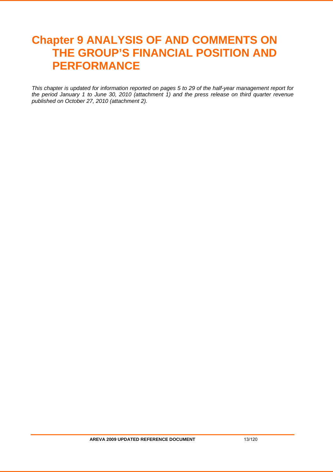# **Chapter 9 ANALYSIS OF AND COMMENTS ON THE GROUP'S FINANCIAL POSITION AND PERFORMANCE**

*This chapter is updated for information reported on pages 5 to 29 of the half-year management report for the period January 1 to June 30, 2010 (attachment 1) and the press release on third quarter revenue published on October 27, 2010 (attachment 2).*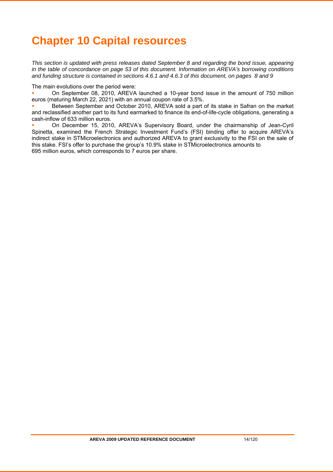# **Chapter 10 Capital resources**

*This section is updated with press releases dated September 8 and regarding the bond issue, appearing in the table of concordance on page 53 of this document. Information on AREVA's borrowing conditions and funding structure is contained in sections 4.6.1 and 4.6.3 of this document, on pages 8 and 9* 

The main evolutions over the period were:

 On September 08, 2010, AREVA launched a 10-year bond issue in the amount of 750 million euros (maturing March 22, 2021) with an annual coupon rate of 3.5%.

 Between September and October 2010, AREVA sold a part of its stake in Safran on the market and reclassified another part to its fund earmarked to finance its end-of-life-cycle obligations, generating a cash-inflow of 633 million euros.

 On December 15, 2010, AREVA's Supervisory Board, under the chairmanship of Jean-Cyril Spinetta, examined the French Strategic Investment Fund's (FSI) binding offer to acquire AREVA's indirect stake in STMicroelectronics and authorized AREVA to grant exclusivity to the FSI on the sale of this stake. FSI's offer to purchase the group's 10.9% stake in STMicroelectronics amounts to 695 million euros, which corresponds to 7 euros per share.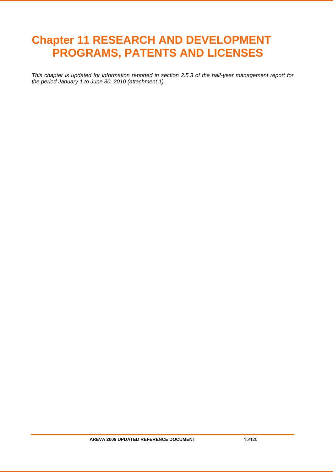# **Chapter 11 RESEARCH AND DEVELOPMENT PROGRAMS, PATENTS AND LICENSES**

*This chapter is updated for information reported in section 2.5.3 of the half-year management report for the period January 1 to June 30, 2010 (attachment 1).*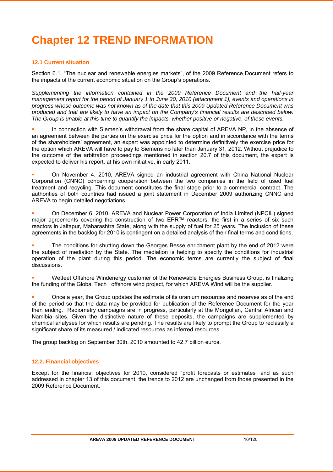# **Chapter 12 TREND INFORMATION**

### **12.1 Current situation**

Section 6.1, "The nuclear and renewable energies markets", of the 2009 Reference Document refers to the impacts of the current economic situation on the Group's operations.

*Supplementing the information contained in the 2009 Reference Document and the half-year management report for the period of January 1 to June 30, 2010 (attachment 1), events and operations in progress whose outcome was not known as of the date that this 2009 Updated Reference Document was produced and that are likely to have an impact on the Company's financial results are described below. The Group is unable at this time to quantify the impacts, whether positive or negative, of these events.* 

 In connection with Siemen's withdrawal from the share capital of AREVA NP, in the absence of an agreement between the parties on the exercise price for the option and in accordance with the terms of the shareholders' agreement, an expert was appointed to determine definitively the exercise price for the option which AREVA will have to pay to Siemens no later than January 31, 2012. Without prejudice to the outcome of the arbitration proceedings mentioned in section 20.7 of this document, the expert is expected to deliver his report, at his own initiative, in early 2011.

 On November 4, 2010, AREVA signed an industrial agreement with China National Nuclear Corporation (CNNC) concerning cooperation between the two companies in the field of used fuel treatment and recycling. This document constitutes the final stage prior to a commercial contract. The authorities of both countries had issued a joint statement in December 2009 authorizing CNNC and AREVA to begin detailed negotiations.

 On December 6, 2010, AREVA and Nuclear Power Corporation of India Limited (NPCIL) signed major agreements covering the construction of two EPR™ reactors, the first in a series of six such reactors in Jaitapur, Maharashtra State, along with the supply of fuel for 25 years. The inclusion of these agreements in the backlog for 2010 is contingent on a detailed analysis of their final terms and conditions.

 The conditions for shutting down the Georges Besse enrichment plant by the end of 2012 were the subject of mediation by the State. The mediation is helping to specify the conditions for industrial operation of the plant during this period. The economic terms are currently the subject of final discussions.

 Wetfeet Offshore Windenergy customer of the Renewable Energies Business Group, is finalizing the funding of the Global Tech I offshore wind project, for which AREVA Wind will be the supplier.

 Once a year, the Group updates the estimate of its uranium resources and reserves as of the end of the period so that the data may be provided for publication of the Reference Document for the year then ending. Radiometry campaigns are in progress, particularly at the Mongolian, Central African and Namibia sites. Given the distinctive nature of these deposits, the campaigns are supplemented by chemical analyses for which results are pending. The results are likely to prompt the Group to reclassify a significant share of its measured / indicated resources as inferred resources.

The group backlog on September 30th, 2010 amounted to 42.7 billion euros.

### **12.2. Financial objectives**

Except for the financial objectives for 2010, considered "profit forecasts or estimates" and as such addressed in chapter 13 of this document, the trends to 2012 are unchanged from those presented in the 2009 Reference Document.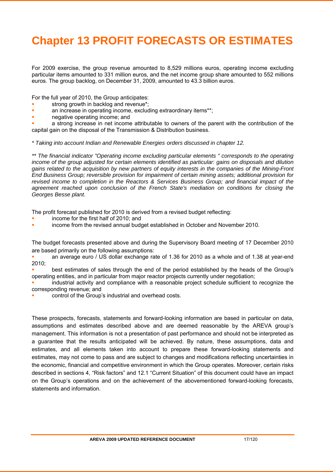# **Chapter 13 PROFIT FORECASTS OR ESTIMATES**

For 2009 exercise, the group revenue amounted to 8,529 millions euros, operating income excluding particular items amounted to 331 million euros, and the net income group share amounted to 552 millions euros. The group backlog, on December 31, 2009, amounted to 43.3 billion euros.

For the full year of 2010, the Group anticipates:

- strong growth in backlog and revenue\*;
- an increase in operating income, excluding extraordinary items\*\*;
- negative operating income; and

 a strong increase in net income attributable to owners of the parent with the contribution of the capital gain on the disposal of the Transmission & Distribution business.

*\* Taking into account Indian and Renewable Energies orders discussed in chapter 12.* 

*\*\* The financial indicator "Operating income excluding particular elements " corresponds to the operating income of the group adjusted for certain elements identified as particular: gains on disposals and dilution gains related to the acquisition by new partners of equity interests in the companies of the Mining-Front End Business Group; reversible provision for impairment of certain mining assets; additional provision for revised income to completion in the Reactors & Services Business Group; and financial impact of the agreement reached upon conclusion of the French State's mediation on conditions for closing the Georges Besse plant.*

The profit forecast published for 2010 is derived from a revised budget reflecting:

- income for the first half of 2010; and
- income from the revised annual budget established in October and November 2010.

The budget forecasts presented above and during the Supervisory Board meeting of 17 December 2010 are based primarily on the following assumptions:

 an average euro / US dollar exchange rate of 1.36 for 2010 as a whole and of 1.38 at year-end  $2010<sup>1</sup>$ 

 best estimates of sales through the end of the period established by the heads of the Group's operating entities, and in particular from major reactor projects currently under negotiation;

 industrial activity and compliance with a reasonable project schedule sufficient to recognize the corresponding revenue; and

control of the Group's industrial and overhead costs.

These prospects, forecasts, statements and forward-looking information are based in particular on data, assumptions and estimates described above and are deemed reasonable by the AREVA group's management. This information is not a presentation of past performance and should not be interpreted as a guarantee that the results anticipated will be achieved. By nature, these assumptions, data and estimates, and all elements taken into account to prepare these forward-looking statements and estimates, may not come to pass and are subject to changes and modifications reflecting uncertainties in the economic, financial and competitive environment in which the Group operates. Moreover, certain risks described in sections 4, "Risk factors" and 12.1 "Current Situation" of this document could have an impact on the Group's operations and on the achievement of the abovementioned forward-looking forecasts, statements and information.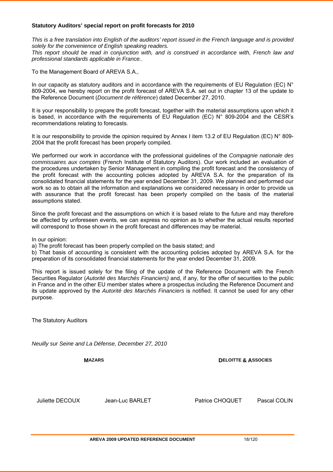### **Statutory Auditors' special report on profit forecasts for 2010**

*This is a free translation into English of the auditors' report issued in the French language and is provided solely for the convenience of English speaking readers.* 

*This report should be read in conjunction with, and is construed in accordance with, French law and professional standards applicable in France..*

To the Management Board of AREVA S.A.,

In our capacity as statutory auditors and in accordance with the requirements of EU Regulation (EC)  $N^{\circ}$ 809-2004, we hereby report on the profit forecast of AREVA S.A. set out in chapter 13 of the update to the Reference Document (*Document de référence*) dated December 27, 2010.

It is your responsibility to prepare the profit forecast, together with the material assumptions upon which it is based, in accordance with the requirements of EU Regulation (EC) N° 809-2004 and the CESR's recommendations relating to forecasts.

It is our responsibility to provide the opinion required by Annex I item 13.2 of EU Regulation (EC) N° 809-2004 that the profit forecast has been properly compiled.

We performed our work in accordance with the professional guidelines of the *Compagnie nationale des commissaires aux comptes* (French Institute of Statutory Auditors). Our work included an evaluation of the procedures undertaken by Senior Management in compiling the profit forecast and the consistency of the profit forecast with the accounting policies adopted by AREVA S.A. for the preparation of its consolidated financial statements for the year ended December 31, 2009. We planned and performed our work so as to obtain all the information and explanations we considered necessary in order to provide us with assurance that the profit forecast has been properly compiled on the basis of the material assumptions stated.

Since the profit forecast and the assumptions on which it is based relate to the future and may therefore be affected by unforeseen events, we can express no opinion as to whether the actual results reported will correspond to those shown in the profit forecast and differences may be material.

In our opinion:

a) The profit forecast has been properly compiled on the basis stated; and

b) That basis of accounting is consistent with the accounting policies adopted by AREVA S.A. for the preparation of its consolidated financial statements for the year ended December 31, 2009.

This report is issued solely for the filing of the update of the Reference Document with the French Securities Regulator (*Autorité des Marchés Financiers)* and, if any, for the offer of securities to the public in France and in the other EU member states where a prospectus including the Reference Document and its update approved by the *Autorité des Marchés Financiers* is notified. It cannot be used for any other purpose.

The Statutory Auditors

*Neuilly sur Seine and La Défense, December 27, 2010*

**MAZARS**

**DELOITTE & ASSOCIES**

Juliette DECOUX Jean-Luc BARLET

Patrice CHOQUET Pascal COLIN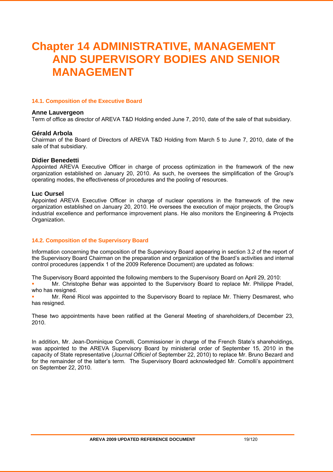# **Chapter 14 ADMINISTRATIVE, MANAGEMENT AND SUPERVISORY BODIES AND SENIOR MANAGEMENT**

### **14.1. Composition of the Executive Board**

### **Anne Lauvergeon**

Term of office as director of AREVA T&D Holding ended June 7, 2010, date of the sale of that subsidiary.

### **Gérald Arbola**

Chairman of the Board of Directors of AREVA T&D Holding from March 5 to June 7, 2010, date of the sale of that subsidiary.

### **Didier Benedetti**

Appointed AREVA Executive Officer in charge of process optimization in the framework of the new organization established on January 20, 2010. As such, he oversees the simplification of the Group's operating modes, the effectiveness of procedures and the pooling of resources.

### **Luc Oursel**

Appointed AREVA Executive Officer in charge of nuclear operations in the framework of the new organization established on January 20, 2010. He oversees the execution of major projects, the Group's industrial excellence and performance improvement plans. He also monitors the Engineering & Projects Organization.

### **14.2. Composition of the Supervisory Board**

Information concerning the composition of the Supervisory Board appearing in section 3.2 of the report of the Supervisory Board Chairman on the preparation and organization of the Board's activities and internal control procedures (appendix 1 of the 2009 Reference Document) are updated as follows:

The Supervisory Board appointed the following members to the Supervisory Board on April 29, 2010:

 Mr. Christophe Behar was appointed to the Supervisory Board to replace Mr. Philippe Pradel, who has resigned.

 Mr. René Ricol was appointed to the Supervisory Board to replace Mr. Thierry Desmarest, who has resigned.

These two appointments have been ratified at the General Meeting of shareholders,of December 23, 2010.

In addition, Mr. Jean-Dominique Comolli, Commissioner in charge of the French State's shareholdings, was appointed to the AREVA Supervisory Board by ministerial order of September 15, 2010 in the capacity of State representative (*Journal Officiel* of September 22, 2010) to replace Mr. Bruno Bezard and for the remainder of the latter's term. The Supervisory Board acknowledged Mr. Comolli's appointment on September 22, 2010.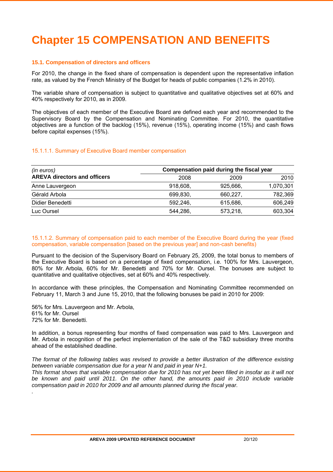# **Chapter 15 COMPENSATION AND BENEFITS**

### **15.1. Compensation of directors and officers**

For 2010, the change in the fixed share of compensation is dependent upon the representative inflation rate, as valued by the French Ministry of the Budget for heads of public companies (1.2% in 2010).

The variable share of compensation is subject to quantitative and qualitative objectives set at 60% and 40% respectively for 2010, as in 2009.

The objectives of each member of the Executive Board are defined each year and recommended to the Supervisory Board by the Compensation and Nominating Committee. For 2010, the quantitative objectives are a function of the backlog (15%), revenue (15%), operating income (15%) and cash flows before capital expenses (15%).

### 15.1.1.1. Summary of Executive Board member compensation

| (in euros)                          |          | Compensation paid during the fiscal year |           |
|-------------------------------------|----------|------------------------------------------|-----------|
| <b>AREVA directors and officers</b> | 2008     | 2009                                     | 2010      |
| Anne Lauvergeon                     | 918,608, | 925.666.                                 | 1,070,301 |
| Gérald Arbola                       | 699,830, | 660,227                                  | 782,369   |
| Didier Benedetti                    | 592,246, | 615,686,                                 | 606,249   |
| Luc Oursel                          | 544,286, | 573,218,                                 | 603,304   |

### 15.1.1.2. Summary of compensation paid to each member of the Executive Board during the year (fixed compensation, variable compensation [based on the previous year] and non-cash benefits)

Pursuant to the decision of the Supervisory Board on February 25, 2009, the total bonus to members of the Executive Board is based on a percentage of fixed compensation, i.e. 100% for Mrs. Lauvergeon, 80% for Mr. Arbola, 60% for Mr. Benedetti and 70% for Mr. Oursel. The bonuses are subject to quantitative and qualitative objectives, set at 60% and 40% respectively.

In accordance with these principles, the Compensation and Nominating Committee recommended on February 11, March 3 and June 15, 2010, that the following bonuses be paid in 2010 for 2009:

56% for Mrs. Lauvergeon and Mr. Arbola, 61% for Mr. Oursel 72% for Mr. Benedetti.

*.*

In addition, a bonus representing four months of fixed compensation was paid to Mrs. Lauvergeon and Mr. Arbola in recognition of the perfect implementation of the sale of the T&D subsidiary three months ahead of the established deadline.

*The format of the following tables was revised to provide a better illustration of the difference existing between variable compensation due for a year N and paid in year N+1.* 

*This format shows that variable compensation due for 2010 has not yet been filled in insofar as it will not be known and paid until 2011. On the other hand, the amounts paid in 2010 include variable compensation paid in 2010 for 2009 and all amounts planned during the fiscal year.*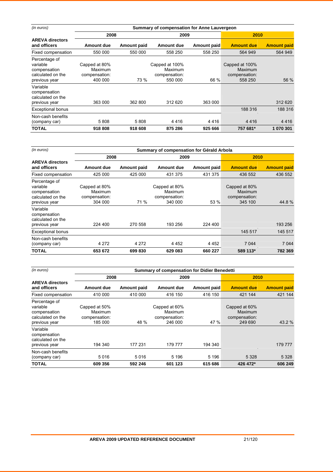| (in euros)                                                                      | Summary of compensation for Anne Lauvergeon          |             |                                                       |             |                                                       |                    |
|---------------------------------------------------------------------------------|------------------------------------------------------|-------------|-------------------------------------------------------|-------------|-------------------------------------------------------|--------------------|
|                                                                                 | 2008                                                 |             | 2009                                                  |             | 2010                                                  |                    |
| <b>AREVA directors</b><br>and officers                                          | Amount due                                           | Amount paid | Amount due                                            | Amount paid | <b>Amount due</b>                                     | <b>Amount paid</b> |
| Fixed compensation                                                              | 550 000                                              | 550 000     | 558 250                                               | 558 250     | 564 949                                               | 564 949            |
| Percentage of<br>variable<br>compensation<br>calculated on the<br>previous year | Capped at 80%<br>Maximum<br>compensation:<br>400 000 | 73 %        | Capped at 100%<br>Maximum<br>compensation:<br>550 000 | 66 %        | Capped at 100%<br>Maximum<br>compensation:<br>558 250 | 56 %               |
| Variable<br>compensation<br>calculated on the<br>previous year                  | 363 000                                              | 362 800     | 312 620                                               | 363 000     |                                                       | 312 620            |
| <b>Exceptional bonus</b>                                                        |                                                      |             |                                                       |             | 188 316                                               | 188 316            |
| Non-cash benefits<br>(company car)                                              | 5808                                                 | 5808        | 4416                                                  | 4416        | 4416                                                  | 4416               |
| TOTAL                                                                           | 918 808                                              | 918 608     | 875 286                                               | 925 666     | 757 681*                                              | 1 070 301          |

| (in euros)                                                                                                                                        | Summary of compensation for Gérald Arbola                       |                 |                                                                 |                    |                                                      |                    |
|---------------------------------------------------------------------------------------------------------------------------------------------------|-----------------------------------------------------------------|-----------------|-----------------------------------------------------------------|--------------------|------------------------------------------------------|--------------------|
|                                                                                                                                                   | 2008                                                            |                 | 2009                                                            |                    | 2010                                                 |                    |
| <b>AREVA directors</b><br>and officers                                                                                                            | Amount due                                                      | Amount paid     | <b>Amount due</b>                                               | <b>Amount paid</b> | <b>Amount due</b>                                    | <b>Amount paid</b> |
| Fixed compensation                                                                                                                                | 425 000                                                         | 425 000         | 431 375                                                         | 431 375            | 436 552                                              | 436 552            |
| Percentage of<br>variable<br>compensation<br>calculated on the<br>previous year<br>Variable<br>compensation<br>calculated on the<br>previous year | Capped at 80%<br>Maximum<br>compensation:<br>304 000<br>224 400 | 71 %<br>270 558 | Capped at 80%<br>Maximum<br>compensation:<br>340 000<br>193 256 | 53 %<br>224 400    | Capped at 80%<br>Maximum<br>compensation:<br>345 100 | 44.8%<br>193 256   |
| <b>Exceptional bonus</b>                                                                                                                          |                                                                 |                 |                                                                 |                    | 145 517                                              | 145 517            |
| Non-cash benefits<br>(company car)                                                                                                                | 4 2 7 2                                                         | 4 2 7 2         | 4 4 5 2                                                         | 4 4 5 2            | 7 0 4 4                                              | 7 0 4 4            |
| TOTAL                                                                                                                                             | 653 672                                                         | 699 830         | 629 083                                                         | 660 227            | 589 113*                                             | 782 369            |

| (in euros)                                                                      | <b>Summary of compensation for Didier Benedetti</b>  |             |                                                      |                    |                                                      |                    |
|---------------------------------------------------------------------------------|------------------------------------------------------|-------------|------------------------------------------------------|--------------------|------------------------------------------------------|--------------------|
|                                                                                 | 2008                                                 |             | 2009                                                 |                    | 2010                                                 |                    |
| <b>AREVA directors</b><br>and officers                                          | <b>Amount due</b>                                    | Amount paid | <b>Amount due</b>                                    | <b>Amount paid</b> | <b>Amount due</b>                                    | <b>Amount paid</b> |
| Fixed compensation                                                              | 410 000                                              | 410 000     | 416 150                                              | 416 150            | 421 144                                              | 421 144            |
| Percentage of<br>variable<br>compensation<br>calculated on the<br>previous year | Capped at 50%<br>Maximum<br>compensation:<br>185 000 | 48 %        | Capped at 60%<br>Maximum<br>compensation:<br>246 000 | 47 %               | Capped at 60%<br>Maximum<br>compensation:<br>249 690 | 43.2 %             |
| Variable<br>compensation<br>calculated on the<br>previous year                  | 194 340                                              | 177 231     | 179 777                                              | 194 340            |                                                      | 179 777            |
| Non-cash benefits<br>(company car)                                              | 5016                                                 | 5016        | 5 1 9 6                                              | 5 1 9 6            | 5 3 2 8                                              | 5 3 2 8            |
| <b>TOTAL</b>                                                                    | 609 356                                              | 592 246     | 601 123                                              | 615 686            | 426 472*                                             | 606 249            |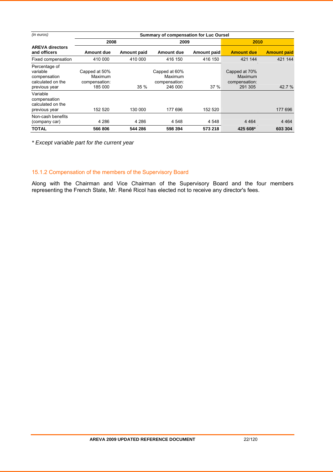| (in euros)                                                                      | Summary of compensation for Luc Oursel               |             |                                                      |             |                                                      |                    |
|---------------------------------------------------------------------------------|------------------------------------------------------|-------------|------------------------------------------------------|-------------|------------------------------------------------------|--------------------|
|                                                                                 | 2008                                                 |             |                                                      | 2009        |                                                      | 2010               |
| <b>AREVA directors</b><br>and officers                                          | Amount due                                           | Amount paid | Amount due                                           | Amount paid | <b>Amount due</b>                                    | <b>Amount paid</b> |
| Fixed compensation                                                              | 410 000                                              | 410 000     | 416 150                                              | 416 150     | 421 144                                              | 421 144            |
| Percentage of<br>variable<br>compensation<br>calculated on the<br>previous year | Capped at 50%<br>Maximum<br>compensation:<br>185 000 | 35%         | Capped at 60%<br>Maximum<br>compensation:<br>246 000 | 37%         | Capped at 70%<br>Maximum<br>compensation:<br>291 305 | 42.7 %             |
| Variable<br>compensation<br>calculated on the<br>previous year                  | 152 520                                              | 130 000     | 177 696                                              | 152 520     |                                                      | 177 696            |
| Non-cash benefits<br>(company car)                                              | 4 2 8 6                                              | 4 2 8 6     | 4 5 4 8                                              | 4 5 4 8     | 4 4 6 4                                              | 4 4 6 4            |
| <b>TOTAL</b>                                                                    | 566 806                                              | 544 286     | 598 394                                              | 573 218     | 425 608*                                             | 603 304            |

*\* Except variable part for the current year* 

### 15.1.2 Compensation of the members of the Supervisory Board

Along with the Chairman and Vice Chairman of the Supervisory Board and the four members representing the French State, Mr. René Ricol has elected not to receive any director's fees.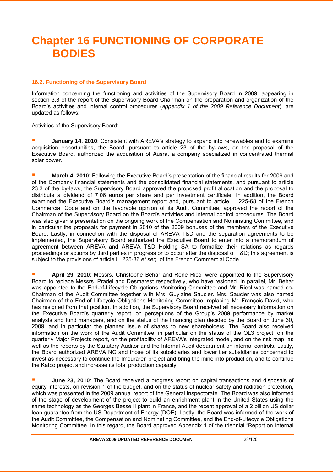# **Chapter 16 FUNCTIONING OF CORPORATE BODIES**

### **16.2. Functioning of the Supervisory Board**

Information concerning the functioning and activities of the Supervisory Board in 2009, appearing in section 3.3 of the report of the Supervisory Board Chairman on the preparation and organization of the Board's activities and internal control procedures (*appendix 1 of the 2009 Reference Document*), are updated as follows:

Activities of the Supervisory Board:

**January 14, 2010**: Consistent with AREVA's strategy to expand into renewables and to examine acquisition opportunities, the Board, pursuant to article 23 of the by-laws, on the proposal of the Executive Board, authorized the acquisition of Ausra, a company specialized in concentrated thermal solar power.

 **March 4, 2010**: Following the Executive Board's presentation of the financial results for 2009 and of the Company financial statements and the consolidated financial statements, and pursuant to article 23.3 of the by-laws, the Supervisory Board approved the proposed profit allocation and the proposal to distribute a dividend of 7.06 euros per share and per investment certificate. In addition, the Board examined the Executive Board's management report and, pursuant to article L. 225-68 of the French Commercial Code and on the favorable opinion of its Audit Committee, approved the report of the Chairman of the Supervisory Board on the Board's activities and internal control procedures. The Board was also given a presentation on the ongoing work of the Compensation and Nominating Committee, and in particular the proposals for payment in 2010 of the 2009 bonuses of the members of the Executive Board. Lastly, in connection with the disposal of AREVA T&D and the separation agreements to be implemented, the Supervisory Board authorized the Executive Board to enter into a memorandum of agreement between AREVA and AREVA T&D Holding SA to formalize their relations as regards proceedings or actions by third parties in progress or to occur after the disposal of T&D; this agreement is subject to the provisions of article L. 225-86 *et seq.* of the French Commercial Code.

 **April 29, 2010**: Messrs. Christophe Behar and René Ricol were appointed to the Supervisory Board to replace Messrs. Pradel and Desmarest respectively, who have resigned. In parallel, Mr. Behar was appointed to the End-of-Lifecycle Obligations Monitoring Committee and Mr. Ricol was named co-Chairman of the Audit Committee together with Mrs. Guylaine Saucier. Mrs. Saucier was also named Chairman of the End-of-Lifecycle Obligations Monitoring Committee, replacing Mr. François David, who has resigned from that position. In addition, the Supervisory Board received all necessary information on the Executive Board's quarterly report, on perceptions of the Group's 2009 performance by market analysts and fund managers, and on the status of the financing plan decided by the Board on June 30, 2009, and in particular the planned issue of shares to new shareholders. The Board also received information on the work of the Audit Committee, in particular on the status of the OL3 project, on the quarterly Major Projects report, on the profitability of AREVA's integrated model, and on the risk map, as well as the reports by the Statutory Auditor and the Internal Audit department on internal controls. Lastly, the Board authorized AREVA NC and those of its subsidiaries and lower tier subsidiaries concerned to invest as necessary to continue the Imouraren project and bring the mine into production, and to continue the Katco project and increase its total production capacity.

 **June 23, 2010**: The Board received a progress report on capital transactions and disposals of equity interests, on revision 1 of the budget, and on the status of nuclear safety and radiation protection, which was presented in the 2009 annual report of the General Inspectorate. The Board was also informed of the stage of development of the project to build an enrichment plant in the United States using the same technology as the Georges Besse II plant in France, and the recent approval of a 2 billion US dollar loan guarantee from the US Department of Energy (DOE). Lastly, the Board was informed of the work of the Audit Committee, the Compensation and Nominating Committee, and the End-of-Lifecycle Obligations Monitoring Committee. In this regard, the Board approved Appendix 1 of the triennial "Report on Internal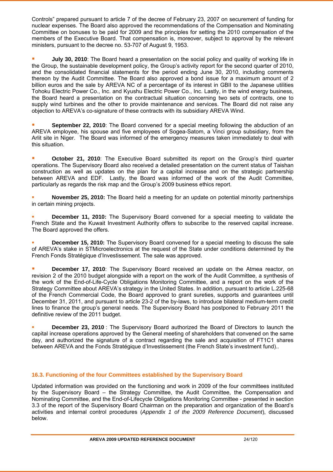Controls" prepared pursuant to article 7 of the decree of February 23, 2007 on securement of funding for nuclear expenses. The Board also approved the recommendations of the Compensation and Nominating Committee on bonuses to be paid for 2009 and the principles for setting the 2010 compensation of the members of the Executive Board. That compensation is, moreover, subject to approval by the relevant ministers, pursuant to the decree no. 53-707 of August 9, 1953.

 **July 30, 2010**: The Board heard a presentation on the social policy and quality of working life in the Group, the sustainable development policy, the Group's activity report for the second quarter of 2010, and the consolidated financial statements for the period ending June 30, 2010, including comments thereon by the Audit Committee. The Board also approved a bond issue for a maximum amount of 2 billion euros and the sale by AREVA NC of a percentage of its interest in GBII to the Japanese utilities Tohoku Electric Power Co., Inc. and Kyushu Electric Power Co., Inc. Lastly, in the wind energy business, the Board heard a presentation on the contractual situation concerning two sets of contracts, one to supply wind turbines and the other to provide maintenance and services. The Board did not raise any objection to AREVA's co-signature of these contracts with its subsidiary AREVA Wind.

 **September 22, 2010**: The Board convened for a special meeting following the abduction of an AREVA employee, his spouse and five employees of Sogea-Satom, a Vinci group subsidiary, from the Arlit site in Niger. The Board was informed of the emergency measures taken immediately to deal with this situation.

 **October 21, 2010**: The Executive Board submitted its report on the Group's third quarter operations. The Supervisory Board also received a detailed presentation on the current status of Taishan construction as well as updates on the plan for a capital increase and on the strategic partnership between AREVA and EDF. Lastly, the Board was informed of the work of the Audit Committee, particularly as regards the risk map and the Group's 2009 business ethics report.

 **November 25, 2010:** The Board held a meeting for an update on potential minority partnerships in certain mining projects.

 **December 11, 2010:** The Supervisory Board convened for a special meeting to validate the French State and the Kuwait Investment Authority offers to subscribe to the reserved capital increase. The Board approved the offers.

**December 15, 2010:** The Supervisory Board convened for a special meeting to discuss the sale of AREVA's stake in STMicroelectronics at the request of the State under conditions determined by the French Fonds Stratégique d'Investissement. The sale was approved.

**December 17, 2010**: The Supervisory Board received an update on the Atmea reactor, on revision 2 of the 2010 budget alongside with a report on the work of the Audit Committee, a synthesis of the work of the End-of-Life-Cycle Obligations Monitoring Committee, and a report on the work of the Strategy Committee about AREVA's strategy in the United States. In addition, pursuant to article L.225-68 of the French Commercial Code, the Board approved to grant sureties, supports and guarantees until December 31, 2011, and pursuant to article 23-2 of the by-laws, to introduce bilateral medium-term credit lines to finance the group's general needs. The Supervisory Board has postponed to February 2011 the definitive review of the 2011 budget.

 **December 23, 2010** : The Supervisory Board authorized the Board of Directors to launch the capital increase operations approved by the General meeting of shareholders that convened on the same day, and authorized the signature of a contract regarding the sale and acquisition of FT1C1 shares between AREVA and the Fonds Stratégique d'Investissement (the French State's investment fund)..

### **16.3. Functioning of the four Committees established by the Supervisory Board**

Updated information was provided on the functioning and work in 2009 of the four committees instituted by the Supervisory Board – the Strategy Committee, the Audit Committee, the Compensation and Nominating Committee, and the End-of-Lifecycle Obligations Monitoring Committee - presented in section 3.3 of the report of the Supervisory Board Chairman on the preparation and organization of the Board's activities and internal control procedures (*Appendix 1 of the 2009 Reference Document*), discussed below.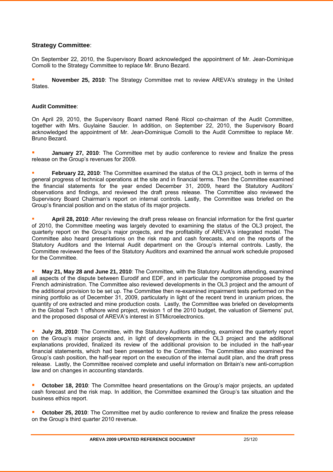### **Strategy Committee**:

On September 22, 2010, the Supervisory Board acknowledged the appointment of Mr. Jean-Dominique Comolli to the Strategy Committee to replace Mr. Bruno Bezard.

**November 25, 2010**: The Strategy Committee met to review AREVA's strategy in the United States.

### **Audit Committee**:

On April 29, 2010, the Supervisory Board named René Ricol co-chairman of the Audit Committee, together with Mrs. Guylaine Saucier. In addition, on September 22, 2010, the Supervisory Board acknowledged the appointment of Mr. Jean-Dominique Comolli to the Audit Committee to replace Mr. Bruno Bezard.

 **January 27, 2010**: The Committee met by audio conference to review and finalize the press release on the Group's revenues for 2009.

 **February 22, 2010**: The Committee examined the status of the OL3 project, both in terms of the general progress of technical operations at the site and in financial terms. Then the Committee examined the financial statements for the year ended December 31, 2009, heard the Statutory Auditors' observations and findings, and reviewed the draft press release. The Committee also reviewed the Supervisory Board Chairman's report on internal controls. Lastly, the Committee was briefed on the Group's financial position and on the status of its major projects.

 **April 28, 2010**: After reviewing the draft press release on financial information for the first quarter of 2010, the Committee meeting was largely devoted to examining the status of the OL3 project, the quarterly report on the Group's major projects, and the profitability of AREVA's integrated model. The Committee also heard presentations on the risk map and cash forecasts, and on the reports of the Statutory Auditors and the Internal Audit department on the Group's internal controls. Lastly, the Committee reviewed the fees of the Statutory Auditors and examined the annual work schedule proposed for the Committee.

**May 21, May 28 and June 21, 2010**: The Committee, with the Statutory Auditors attending, examined all aspects of the dispute between Eurodif and EDF, and in particular the compromise proposed by the French administration. The Committee also reviewed developments in the OL3 project and the amount of the additional provision to be set up. The Committee then re-examined impairment tests performed on the mining portfolio as of December 31, 2009, particularly in light of the recent trend in uranium prices, the quantity of ore extracted and mine production costs. Lastly, the Committee was briefed on developments in the Global Tech 1 offshore wind project, revision 1 of the 2010 budget, the valuation of Siemens' put, and the proposed disposal of AREVA's interest in STMicroelectronics.

**July 28, 2010**: The Committee, with the Statutory Auditors attending, examined the quarterly report on the Group's major projects and, in light of developments in the OL3 project and the additional explanations provided, finalized its review of the additional provision to be included in the half-year financial statements, which had been presented to the Committee. The Committee also examined the Group's cash position, the half-year report on the execution of the internal audit plan, and the draft press release. Lastly, the Committee received complete and useful information on Britain's new anti-corruption law and on changes in accounting standards.

**Cctober 18, 2010**: The Committee heard presentations on the Group's major projects, an updated cash forecast and the risk map. In addition, the Committee examined the Group's tax situation and the business ethics report.

**October 25, 2010:** The Committee met by audio conference to review and finalize the press release on the Group's third quarter 2010 revenue.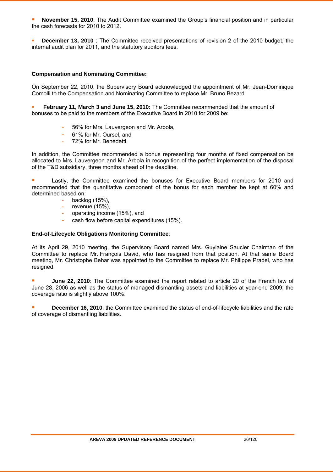**November 15, 2010**: The Audit Committee examined the Group's financial position and in particular the cash forecasts for 2010 to 2012.

 **December 13, 2010** : The Committee received presentations of revision 2 of the 2010 budget, the internal audit plan for 2011, and the statutory auditors fees.

### **Compensation and Nominating Committee:**

On September 22, 2010, the Supervisory Board acknowledged the appointment of Mr. Jean-Dominique Comolli to the Compensation and Nominating Committee to replace Mr. Bruno Bezard.

 **February 11, March 3 and June 15, 2010:** The Committee recommended that the amount of bonuses to be paid to the members of the Executive Board in 2010 for 2009 be:

- 56% for Mrs. Lauvergeon and Mr. Arbola,
- 61% for Mr. Oursel, and
- 72% for Mr. Benedetti.

In addition, the Committee recommended a bonus representing four months of fixed compensation be allocated to Mrs. Lauvergeon and Mr. Arbola in recognition of the perfect implementation of the disposal of the T&D subsidiary, three months ahead of the deadline.

**EXECUTE:** Lastly, the Committee examined the bonuses for Executive Board members for 2010 and recommended that the quantitative component of the bonus for each member be kept at 60% and determined based on:

- backlog  $(15%)$ ,
- revenue  $(15%)$ .
- operating income (15%), and
- cash flow before capital expenditures (15%).

### **End-of-Lifecycle Obligations Monitoring Committee**:

At its April 29, 2010 meeting, the Supervisory Board named Mrs. Guylaine Saucier Chairman of the Committee to replace Mr. François David, who has resigned from that position. At that same Board meeting, Mr. Christophe Behar was appointed to the Committee to replace Mr. Philippe Pradel, who has resigned.

**June 22, 2010**: The Committee examined the report related to article 20 of the French law of June 28, 2006 as well as the status of managed dismantling assets and liabilities at year-end 2009; the coverage ratio is slightly above 100%.

 **December 16, 2010**: the Committee examined the status of end-of-lifecycle liabilities and the rate of coverage of dismantling liabilities.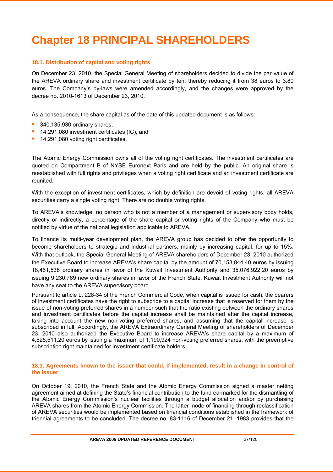# **Chapter 18 PRINCIPAL SHAREHOLDERS**

### **18.1. Distribution of capital and voting rights**

On December 23, 2010, the Special General Meeting of shareholders decided to divide the par value of the AREVA ordinary share and investment certificate by ten, thereby reducing it from 38 euros to 3.80 euros. The Company's by-laws were amended accordingly, and the changes were approved by the decree no. 2010-1613 of December 23, 2010.

As a consequence, the share capital as of the date of this updated document is as follows:

- 340,135,930 ordinary shares,
- <sup>1</sup> 14,291,080 investment certificates (IC), and
- <sup>1</sup> 14,291,080 voting right certificates.

The Atomic Energy Commission owns all of the voting right certificates. The investment certificates are quoted on Compartment B of NYSE Euronext Paris and are held by the public. An original share is reestablished with full rights and privileges when a voting right certificate and an investment certificate are reunited.

With the exception of investment certificates, which by definition are devoid of voting rights, all AREVA securities carry a single voting right. There are no double voting rights.

To AREVA's knowledge, no person who is not a member of a management or supervisory body holds, directly or indirectly, a percentage of the share capital or voting rights of the Company who must be notified by virtue of the national legislation applicable to AREVA.

To finance its multi-year development plan, the AREVA group has decided to offer the opportunity to become shareholders to strategic and industrial partners, mainly by increasing capital, for up to 15%. With that outlook, the Special General Meeting of AREVA shareholders of December 23, 2010 authorized the Executive Board to increase AREVA's share capital by the amount of 70,153,844.40 euros by issuing 18,461,538 ordinary shares in favor of the Kuwait Investment Authority and 35,076,922.20 euros by issuing 9,230,769 new ordinary shares in favor of the French State. Kuwait Investment Authority will not have any seat to the AREVA supervisory board.

Pursuant to article L. 228-34 of the French Commercial Code, when capital is issued for cash, the bearers of investment certificates have the right to subscribe to a capital increase that is reserved for them by the issue of non-voting preferred shares in a number such that the ratio existing between the ordinary shares and investment certificates before the capital increase shall be maintained after the capital increase, taking into account the new non-voting preferred shares, and assuming that the capital increase is subscribed in full. Accordingly, the AREVA Extraordinary General Meeting of shareholders of December 23, 2010 also authorized the Executive Board to increase AREVA's share capital by a maximum of 4,525,511.20 euros by issuing a maximum of 1,190,924 non-voting preferred shares, with the preemptive subscription right maintained for investment certificate holders.

### **18.3. Agreements known to the issuer that could, if implemented, result in a change in control of the issuer**

On October 19, 2010, the French State and the Atomic Energy Commission signed a master netting agreement aimed at defining the State's financial contribution to the fund earmarked for the dismantling of the Atomic Energy Commission's nuclear facilities through a budget allocation and/or by purchasing AREVA shares from the Atomic Energy Commission. The latter mode of financing through reclassification of AREVA securities would be implemented based on financial conditions established in the framework of triennial agreements to be concluded. The decree no. 83-1116 of December 21, 1983 provides that the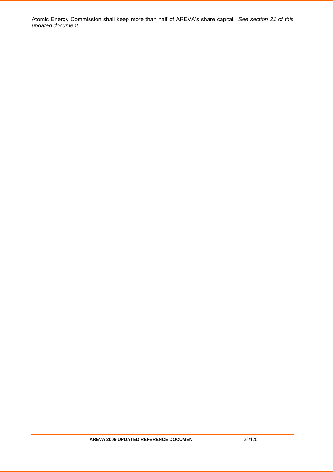Atomic Energy Commission shall keep more than half of AREVA's share capital. *See section 21 of this updated document.*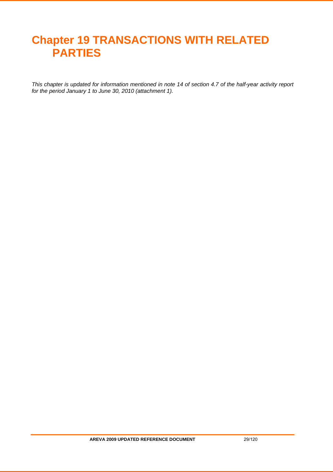# **Chapter 19 TRANSACTIONS WITH RELATED PARTIES**

*This chapter is updated for information mentioned in note 14 of section 4.7 of the half-year activity report for the period January 1 to June 30, 2010 (attachment 1).*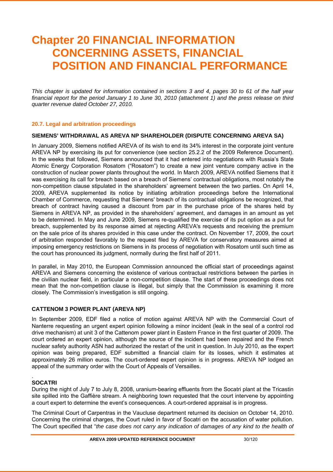# **Chapter 20 FINANCIAL INFORMATION CONCERNING ASSETS, FINANCIAL POSITION AND FINANCIAL PERFORMANCE**

*This chapter is updated for information contained in sections 3 and 4, pages 30 to 61 of the half year financial report for the period January 1 to June 30, 2010 (attachment 1) and the press release on third quarter revenue dated October 27, 2010.* 

### **20.7. Legal and arbitration proceedings**

### **SIEMENS' WITHDRAWAL AS AREVA NP SHAREHOLDER (DISPUTE CONCERNING AREVA SA)**

In January 2009, Siemens notified AREVA of its wish to end its 34% interest in the corporate joint venture AREVA NP by exercising its put for convenience (see section 25.2.2 of the 2009 Reference Document). In the weeks that followed, Siemens announced that it had entered into negotiations with Russia's State Atomic Energy Corporation Rosatom ("Rosatom") to create a new joint venture company active in the construction of nuclear power plants throughout the world. In March 2009, AREVA notified Siemens that it was exercising its call for breach based on a breach of Siemens' contractual obligations, most notably the non-competition clause stipulated in the shareholders' agreement between the two parties. On April 14, 2009, AREVA supplemented its notice by initiating arbitration proceedings before the International Chamber of Commerce, requesting that Siemens' breach of its contractual obligations be recognized, that breach of contract having caused a discount from par in the purchase price of the shares held by Siemens in AREVA NP, as provided in the shareholders' agreement, and damages in an amount as yet to be determined. In May and June 2009, Siemens re-qualified the exercise of its put option as a put for breach, supplemented by its response aimed at rejecting AREVA's requests and receiving the premium on the sale price of its shares provided in this case under the contract. On November 17, 2009, the court of arbitration responded favorably to the request filed by AREVA for conservatory measures aimed at imposing emergency restrictions on Siemens in its process of negotiation with Rosatom until such time as the court has pronounced its judgment, normally during the first half of 2011.

In parallel, in May 2010, the European Commission announced the official start of proceedings against AREVA and Siemens concerning the existence of various contractual restrictions between the parties in the civilian nuclear field, in particular a non-competition clause. The start of these proceedings does not mean that the non-competition clause is illegal, but simply that the Commission is examining it more closely. The Commission's investigation is still ongoing.

### **CATTENOM 3 POWER PLANT (AREVA NP)**

In September 2009, EDF filed a notice of motion against AREVA NP with the Commercial Court of Nanterre requesting an urgent expert opinion following a minor incident (leak in the seal of a control rod drive mechanism) at unit 3 of the Cattenom power plant in Eastern France in the first quarter of 2009. The court ordered an expert opinion, although the source of the incident had been repaired and the French nuclear safety authority ASN had authorized the restart of the unit in question. In July 2010, as the expert opinion was being prepared, EDF submitted a financial claim for its losses, which it estimates at approximately 26 million euros. The court-ordered expert opinion is in progress. AREVA NP lodged an appeal of the summary order with the Court of Appeals of Versailles.

#### . **SOCATRI**

During the night of July 7 to July 8, 2008, uranium-bearing effluents from the Socatri plant at the Tricastin site spilled into the Gaffière stream. A neighboring town requested that the court intervene by appointing a court expert to determine the event's consequences. A court-ordered appraisal is in progress.

The Criminal Court of Carpentras in the Vaucluse department returned its decision on October 14, 2010. Concerning the criminal charges, the Court ruled in favor of Socatri on the accusation of water pollution. The Court specified that "*the case does not carry any indication of damages of any kind to the health of*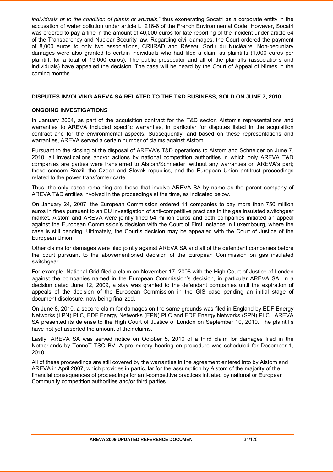*individuals or to the condition of plants or animals*," thus exonerating Socatri as a corporate entity in the accusation of water pollution under article L. 216-6 of the French Environmental Code. However, Socatri was ordered to pay a fine in the amount of 40,000 euros for late reporting of the incident under article 54 of the Transparency and Nuclear Security law. Regarding civil damages, the Court ordered the payment of 8,000 euros to only two associations, CRIIRAD and Réseau Sortir du Nucléaire. Non-pecuniary damages were also granted to certain individuals who had filed a claim as plaintiffs (1,000 euros per plaintiff, for a total of 19,000 euros). The public prosecutor and all of the plaintiffs (associations and individuals) have appealed the decision. The case will be heard by the Court of Appeal of Nîmes in the coming months.

### **DISPUTES INVOLVING AREVA SA RELATED TO THE T&D BUSINESS, SOLD ON JUNE 7, 2010**

### **ONGOING INVESTIGATIONS**

In January 2004, as part of the acquisition contract for the T&D sector, Alstom's representations and warranties to AREVA included specific warranties, in particular for disputes listed in the acquisition contract and for the environmental aspects. Subsequently, and based on these representations and warranties, AREVA served a certain number of claims against Alstom.

Pursuant to the closing of the disposal of AREVA's T&D operations to Alstom and Schneider on June 7, 2010, all investigations and/or actions by national competition authorities in which only AREVA T&D companies are parties were transferred to Alstom/Schneider, without any warranties on AREVA's part; these concern Brazil, the Czech and Slovak republics, and the European Union antitrust proceedings related to the power transformer cartel.

Thus, the only cases remaining are those that involve AREVA SA by name as the parent company of AREVA T&D entities involved in the proceedings at the time, as indicated below.

On January 24, 2007, the European Commission ordered 11 companies to pay more than 750 million euros in fines pursuant to an EU investigation of anti-competitive practices in the gas insulated switchgear market. Alstom and AREVA were jointly fined 54 million euros and both companies initiated an appeal against the European Commission's decision with the Court of First Instance in Luxembourg, where the case is still pending. Ultimately, the Court's decision may be appealed with the Court of Justice of the European Union.

Other claims for damages were filed jointly against AREVA SA and all of the defendant companies before the court pursuant to the abovementioned decision of the European Commission on gas insulated switchgear.

For example, National Grid filed a claim on November 17, 2008 with the High Court of Justice of London against the companies named in the European Commission's decision, in particular AREVA SA. In a decision dated June 12, 2009, a stay was granted to the defendant companies until the expiration of appeals of the decision of the European Commission in the GIS case pending an initial stage of document disclosure, now being finalized.

On June 8, 2010, a second claim for damages on the same grounds was filed in England by EDF Energy Networks (LPN) PLC, EDF Energy Networks (EPN) PLC and EDF Energy Networks (SPN) PLC. AREVA SA presented its defense to the High Court of Justice of London on September 10, 2010. The plaintiffs have not yet asserted the amount of their claims.

Lastly, AREVA SA was served notice on October 5, 2010 of a third claim for damages filed in the Netherlands by TenneT TSO BV. A preliminary hearing on procedure was scheduled for December 1, 2010.

All of these proceedings are still covered by the warranties in the agreement entered into by Alstom and AREVA in April 2007, which provides in particular for the assumption by Alstom of the majority of the financial consequences of proceedings for anti-competitive practices initiated by national or European Community competition authorities and/or third parties.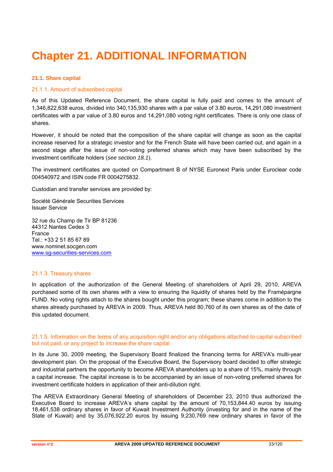# **Chapter 21. ADDITIONAL INFORMATION**

### **21.1. Share capital**

### 21.1.1. Amount of subscribed capital

As of this Updated Reference Document, the share capital is fully paid and comes to the amount of 1,346,822,638 euros, divided into 340,135,930 shares with a par value of 3.80 euros, 14,291,080 investment certificates with a par value of 3.80 euros and 14,291,080 voting right certificates. There is only one class of shares.

However, it should be noted that the composition of the share capital will change as soon as the capital increase reserved for a strategic investor and for the French State will have been carried out, and again in a second stage after the issue of non-voting preferred shares which may have been subscribed by the investment certificate holders (*see section 18.1*).

The investment certificates are quoted on Compartment B of NYSE Euronext Paris under Euroclear code 004540972 and ISIN code FR 0004275832.

Custodian and transfer services are provided by:

Société Générale Securities Services Issuer Service

32 rue du Champ de Tir BP 81236 44312 Nantes Cedex 3 France Tel.: +33 2 51 85 67 89 www.nominet.socgen.com www.sg-securities-services.com

### 21.1.3. Treasury shares

In application of the authorization of the General Meeting of shareholders of April 29, 2010, AREVA purchased some of its own shares with a view to ensuring the liquidity of shares held by the Framépargne FUND. No voting rights attach to the shares bought under this program; these shares come in addition to the shares already purchased by AREVA in 2009. Thus, AREVA held 80,760 of its own shares as of the date of this updated document.

### 21.1.5. Information on the terms of any acquisition right and/or any obligations attached to capital subscribed but not paid, or any project to increase the share capital

In its June 30, 2009 meeting, the Supervisory Board finalized the financing terms for AREVA's multi-year development plan. On the proposal of the Executive Board, the Supervisory board decided to offer strategic and industrial partners the opportunity to become AREVA shareholders up to a share of 15%, mainly through a capital increase. The capital increase is to be accompanied by an issue of non-voting preferred shares for investment certificate holders in application of their anti-dilution right.

The AREVA Extraordinary General Meeting of shareholders of December 23, 2010 thus authorized the Executive Board to increase AREVA's share capital by the amount of 70,153,844.40 euros by issuing 18,461,538 ordinary shares in favor of Kuwait Investment Authority (investing for and in the name of the State of Kuwait) and by 35,076,922.20 euros by issuing 9,230,769 new ordinary shares in favor of the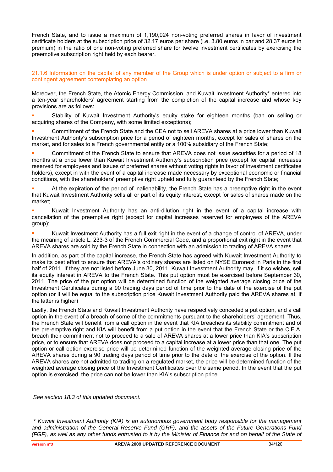French State, and to issue a maximum of 1,190,924 non-voting preferred shares in favor of investment certificate holders at the subscription price of 32.17 euros per share (i.e. 3.80 euros in par and 28.37 euros in premium) in the ratio of one non-voting preferred share for twelve investment certificates by exercising the preemptive subscription right held by each bearer.

21.1.6 Information on the capital of any member of the Group which is under option or subject to a firm or contingent agreement contemplating an option

Moreover, the French State, the Atomic Energy Commission. and Kuwait Investment Authority\* entered into a ten-year shareholders' agreement starting from the completion of the capital increase and whose key provisions are as follows:

 Stability of Kuwait Investment Authority's equity stake for eighteen months (ban on selling or acquiring shares of the Company, with some limited exceptions);

 Commitment of the French State and the CEA not to sell AREVA shares at a price lower than Kuwait Investment Authority's subscription price for a period of eighteen months, except for sales of shares on the market, and for sales to a French governmental entity or a 100% subsidiary of the French State;

 Commitment of the French State to ensure that AREVA does not issue securities for a period of 18 months at a price lower than Kuwait Investment Authority's subscription price (except for capital increases reserved for employees and issues of preferred shares without voting rights in favor of investment certificates holders), except in with the event of a capital increase made necessary by exceptional economic or financial conditions, with the shareholders' preemptive right upheld and fully guaranteed by the French State;

 At the expiration of the period of inalienability, the French State has a preemptive right in the event that Kuwait Investment Authority sells all or part of its equity interest, except for sales of shares made on the market;

 Kuwait Investment Authority has an anti-dilution right in the event of a capital increase with cancellation of the preemptive right (except for capital increases reserved for employees of the AREVA group);

 Kuwait Investment Authority has a full exit right in the event of a change of control of AREVA, under the meaning of article L. 233-3 of the French Commercial Code, and a proportional exit right in the event that AREVA shares are sold by the French State in connection with an admission to trading of AREVA shares.

In addition, as part of the capital increase, the French State has agreed with Kuwait Investment Authority to make its best effort to ensure that AREVA's ordinary shares are listed on NYSE Euronext in Paris in the first half of 2011. If they are not listed before June 30, 2011, Kuwait Investment Authority may, if it so wishes, sell its equity interest in AREVA to the French State. This put option must be exercised before September 30, 2011. The price of the put option will be determined function of the weighted average closing price of the Investment Certificates during a 90 trading days period of time prior to the date of the exercise of the put option (or it will be equal to the subscription price Kuwait Investment Authority paid the AREVA shares at, if the latter is higher)

Lastly, the French State and Kuwait Investment Authority have respectively conceded a put option, and a call option in the event of a breach of some of the commitments pursuant to the shareholders' agreement. Thus, the French State will benefit from a call option in the event that KIA breaches its stability commitment and of the pre-emptive right and KIA will benefit from a put option in the event that the French State or the C.E.A. breach their commitment not to proceed to a sale of AREVA shares at a lower price than KIA's subscription price, or to ensure that AREVA does not proceed to a capital increase at a lower price than that one. The put option or call option exercise price will be determined function of the weighted average closing price of the AREVA shares during a 90 trading days period of time prior to the date of the exercise of the option. If the AREVA shares are not admitted to trading on a regulated market, the price will be determined function of the weighted average closing price of the Investment Certificates over the same period. In the event that the put option is exercised, the price can not be lower than KIA's subscription price.

*See section 18.3 of this updated document.* 

*<sup>\*</sup> Kuwait Investment Authority (KIA) is an autonomous government body responsible for the management and administration of the General Reserve Fund (GRF), and the assets of the Future Generations Fund (FGF), as well as any other funds entrusted to it by the Minister of Finance for and on behalf of the State of*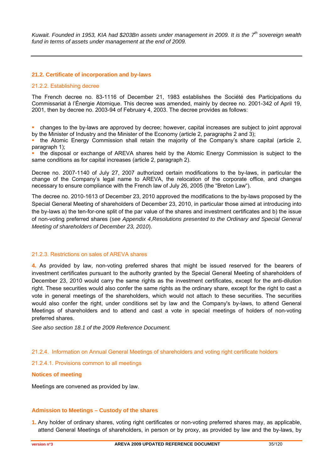*Kuwait. Founded in 1953, KIA had \$203Bn assets under management in 2009. It is the 7th sovereign wealth fund in terms of assets under management at the end of 2009.* 

### **21.2. Certificate of incorporation and by-laws**

#### 21.2.2. Establishing decree

The French decree no. 83-1116 of December 21, 1983 establishes the Société des Participations du Commissariat à l'Énergie Atomique. This decree was amended, mainly by decree no. 2001-342 of April 19, 2001, then by decree no. 2003-94 of February 4, 2003. The decree provides as follows:

 changes to the by-laws are approved by decree; however, capital increases are subject to joint approval by the Minister of Industry and the Minister of the Economy (article 2, paragraphs 2 and 3);

 the Atomic Energy Commission shall retain the majority of the Company's share capital (article 2, paragraph 1);

 the disposal or exchange of AREVA shares held by the Atomic Energy Commission is subject to the same conditions as for capital increases (article 2, paragraph 2).

Decree no. 2007-1140 of July 27, 2007 authorized certain modifications to the by-laws, in particular the change of the Company's legal name to AREVA, the relocation of the corporate office, and changes necessary to ensure compliance with the French law of July 26, 2005 (the "Breton Law").

The decree no. 2010-1613 of December 23, 2010 approved the modifications to the by-laws proposed by the Special General Meeting of shareholders of December 23, 2010, in particular those aimed at introducing into the by-laws a) the ten-for-one split of the par value of the shares and investment certificates and b) the issue of non-voting preferred shares (*see Appendix 4,Resolutions presented to the Ordinary and Special General Meeting of shareholders of December 23, 2010*).

### 21.2.3. Restrictions on sales of AREVA shares

**4.** As provided by law, non-voting preferred shares that might be issued reserved for the bearers of investment certificates pursuant to the authority granted by the Special General Meeting of shareholders of December 23, 2010 would carry the same rights as the investment certificates, except for the anti-dilution right. These securities would also confer the same rights as the ordinary share, except for the right to cast a vote in general meetings of the shareholders, which would not attach to these securities. The securities would also confer the right, under conditions set by law and the Company's by-laws, to attend General Meetings of shareholders and to attend and cast a vote in special meetings of holders of non-voting preferred shares.

*See also section 18.1 of the 2009 Reference Document.* 

### 21.2.4. Information on Annual General Meetings of shareholders and voting right certificate holders

### 21.2.4.1. Provisions common to all meetings

### **Notices of meeting**

Meetings are convened as provided by law.

### **Admission to Meetings – Custody of the shares**

**1.** Any holder of ordinary shares, voting right certificates or non-voting preferred shares may, as applicable, attend General Meetings of shareholders, in person or by proxy, as provided by law and the by-laws, by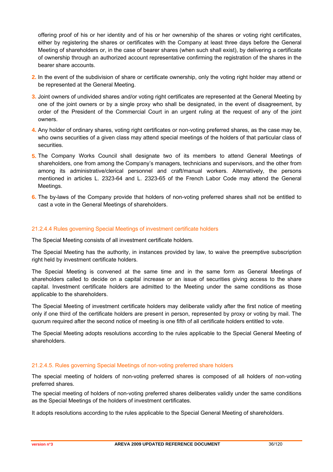offering proof of his or her identity and of his or her ownership of the shares or voting right certificates, either by registering the shares or certificates with the Company at least three days before the General Meeting of shareholders or, in the case of bearer shares (when such shall exist), by delivering a certificate of ownership through an authorized account representative confirming the registration of the shares in the bearer share accounts.

- **2.** In the event of the subdivision of share or certificate ownership, only the voting right holder may attend or be represented at the General Meeting.
- **3.** Joint owners of undivided shares and/or voting right certificates are represented at the General Meeting by one of the joint owners or by a single proxy who shall be designated, in the event of disagreement, by order of the President of the Commercial Court in an urgent ruling at the request of any of the joint owners.
- **4.** Any holder of ordinary shares, voting right certificates or non-voting preferred shares, as the case may be, who owns securities of a given class may attend special meetings of the holders of that particular class of securities.
- **5.** The Company Works Council shall designate two of its members to attend General Meetings of shareholders, one from among the Company's managers, technicians and supervisors, and the other from among its administrative/clerical personnel and craft/manual workers. Alternatively, the persons mentioned in articles L. 2323-64 and L. 2323-65 of the French Labor Code may attend the General Meetings.
- **6.** The by-laws of the Company provide that holders of non-voting preferred shares shall not be entitled to cast a vote in the General Meetings of shareholders.

### 21.2.4.4 Rules governing Special Meetings of investment certificate holders

The Special Meeting consists of all investment certificate holders.

The Special Meeting has the authority, in instances provided by law, to waive the preemptive subscription right held by investment certificate holders.

The Special Meeting is convened at the same time and in the same form as General Meetings of shareholders called to decide on a capital increase or an issue of securities giving access to the share capital. Investment certificate holders are admitted to the Meeting under the same conditions as those applicable to the shareholders.

The Special Meeting of investment certificate holders may deliberate validly after the first notice of meeting only if one third of the certificate holders are present in person, represented by proxy or voting by mail. The quorum required after the second notice of meeting is one fifth of all certificate holders entitled to vote.

The Special Meeting adopts resolutions according to the rules applicable to the Special General Meeting of shareholders.

### 21.2.4.5. Rules governing Special Meetings of non-voting preferred share holders

The special meeting of holders of non-voting preferred shares is composed of all holders of non-voting preferred shares.

The special meeting of holders of non-voting preferred shares deliberates validly under the same conditions as the Special Meetings of the holders of investment certificates.

It adopts resolutions according to the rules applicable to the Special General Meeting of shareholders.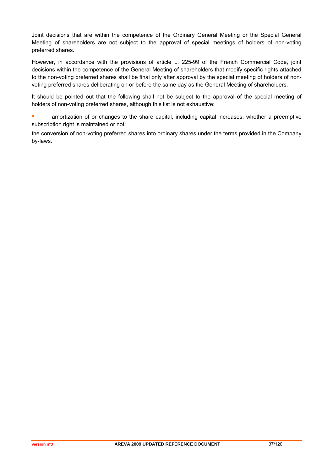Joint decisions that are within the competence of the Ordinary General Meeting or the Special General Meeting of shareholders are not subject to the approval of special meetings of holders of non-voting preferred shares.

However, in accordance with the provisions of article L. 225-99 of the French Commercial Code, joint decisions within the competence of the General Meeting of shareholders that modify specific rights attached to the non-voting preferred shares shall be final only after approval by the special meeting of holders of nonvoting preferred shares deliberating on or before the same day as the General Meeting of shareholders.

It should be pointed out that the following shall not be subject to the approval of the special meeting of holders of non-voting preferred shares, although this list is not exhaustive:

**EXECUTE:** amortization of or changes to the share capital, including capital increases, whether a preemptive subscription right is maintained or not;

the conversion of non-voting preferred shares into ordinary shares under the terms provided in the Company by-laws.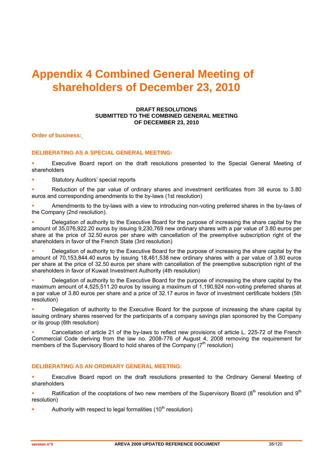# **Appendix 4 Combined General Meeting of shareholders of December 23, 2010**

### **DRAFT RESOLUTIONS SUBMITTED TO THE COMBINED GENERAL MEETING OF DECEMBER 23, 2010**

**Order of business:** 

### **DELIBERATING AS A SPECIAL GENERAL MEETING:**

 Executive Board report on the draft resolutions presented to the Special General Meeting of shareholders

Statutory Auditors' special reports

Reduction of the par value of ordinary shares and investment certificates from 38 euros to 3.80 euros and corresponding amendments to the by-laws (1st resolution)

**Amendments to the by-laws with a view to introducing non-voting preferred shares in the by-laws of** the Company (2nd resolution).

 Delegation of authority to the Executive Board for the purpose of increasing the share capital by the amount of 35,076,922.20 euros by issuing 9,230,769 new ordinary shares with a par value of 3.80 euros per share at the price of 32.50 euros per share with cancellation of the preemptive subscription right of the shareholders in favor of the French State (3rd resolution)

 Delegation of authority to the Executive Board for the purpose of increasing the share capital by the amount of 70,153,844.40 euros by issuing 18,461,538 new ordinary shares with a par value of 3.80 euros per share at the price of 32.50 euros per share with cancellation of the preemptive subscription right of the shareholders in favor of Kuwait Investment Authority (4th resolution)

 Delegation of authority to the Executive Board for the purpose of increasing the share capital by the maximum amount of 4,525,511.20 euros by issuing a maximum of 1,190,924 non-voting preferred shares at a par value of 3.80 euros per share and a price of 32.17 euros in favor of investment certificate holders (5th resolution)

 Delegation of authority to the Executive Board for the purpose of increasing the share capital by issuing ordinary shares reserved for the participants of a company savings plan sponsored by the Company or its group (6th resolution)

 Cancellation of article 21 of the by-laws to reflect new provisions of article L. 225-72 of the French Commercial Code deriving from the law no. 2008-776 of August 4, 2008 removing the requirement for members of the Supervisory Board to hold shares of the Company  $(7<sup>th</sup>$  resolution)

### **DELIBERATING AS AN ORDINARY GENERAL MEETING:**

 Executive Board report on the draft resolutions presented to the Ordinary General Meeting of shareholders

Ratification of the cooptations of two new members of the Supervisory Board ( $8<sup>th</sup>$  resolution and  $9<sup>th</sup>$ resolution)

Authority with respect to legal formalities  $(10<sup>th</sup>$  resolution)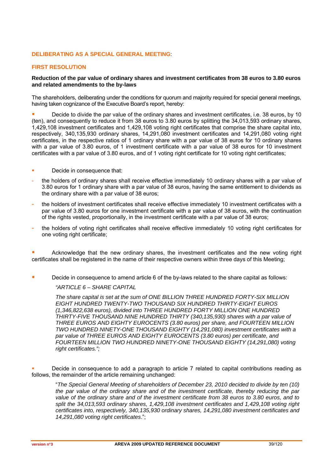### **DELIBERATING AS A SPECIAL GENERAL MEETING**:

### **FIRST RESOLUTION**

### **Reduction of the par value of ordinary shares and investment certificates from 38 euros to 3.80 euros and related amendments to the by-laws**

The shareholders, deliberating under the conditions for quorum and majority required for special general meetings, having taken cognizance of the Executive Board's report, hereby:

 Decide to divide the par value of the ordinary shares and investment certificates, i.e. 38 euros, by 10 (ten), and consequently to reduce it from 38 euros to 3.80 euros by splitting the 34,013,593 ordinary shares, 1,429,108 investment certificates and 1,429,108 voting right certificates that comprise the share capital into, respectively, 340,135,930 ordinary shares, 14,291,080 investment certificates and 14,291,080 voting right certificates, in the respective ratios of 1 ordinary share with a par value of 38 euros for 10 ordinary shares with a par value of 3.80 euros, of 1 investment certificate with a par value of 38 euros for 10 investment certificates with a par value of 3.80 euros, and of 1 voting right certificate for 10 voting right certificates;

- Decide in consequence that:
- the holders of ordinary shares shall receive effective immediately 10 ordinary shares with a par value of 3.80 euros for 1 ordinary share with a par value of 38 euros, having the same entitlement to dividends as the ordinary share with a par value of 38 euros;
- the holders of investment certificates shall receive effective immediately 10 investment certificates with a par value of 3.80 euros for one investment certificate with a par value of 38 euros, with the continuation of the rights vested, proportionally, in the investment certificate with a par value of 38 euros;
- the holders of voting right certificates shall receive effective immediately 10 voting right certificates for one voting right certificate;

 Acknowledge that the new ordinary shares, the investment certificates and the new voting right certificates shall be registered in the name of their respective owners within three days of this Meeting;

Decide in consequence to amend article 6 of the by-laws related to the share capital as follows:

### *"ARTICLE 6 – SHARE CAPITAL*

*The share capital is set at the sum of ONE BILLION THREE HUNDRED FORTY-SIX MILLION EIGHT HUNDRED TWENTY-TWO THOUSAND SIX HUNDRED THIRTY-EIGHT EUROS (1,346,822,638 euros), divided into THREE HUNDRED FORTY MILLION ONE HUNDRED THIRTY-FIVE THOUSAND NINE HUNDRED THIRTY (340,135,930) shares with a par value of THREE EUROS AND EIGHTY EUROCENTS (3.80 euros) per share, and FOURTEEN MILLION TWO HUNDRED NINETY-ONE THOUSAND EIGHTY (14,291,080) investment certificates with a par value of THREE EUROS AND EIGHTY EUROCENTS (3.80 euros) per certificate, and FOURTEEN MILLION TWO HUNDRED NINETY-ONE THOUSAND EIGHTY (14,291,080) voting right certificates.";*

 Decide in consequence to add a paragraph to article 7 related to capital contributions reading as follows, the remainder of the article remaining unchanged:

"*The Special General Meeting of shareholders of December 23, 2010 decided to divide by ten (10) the par value of the ordinary share and of the investment certificate, thereby reducing the par value of the ordinary share and of the investment certificate from 38 euros to 3.80 euros, and to split the 34,013,593 ordinary shares, 1,429,108 investment certificates and 1,429,108 voting right certificates into, respectively, 340,135,930 ordinary shares, 14,291,080 investment certificates and 14,291,080 voting right certificates*.";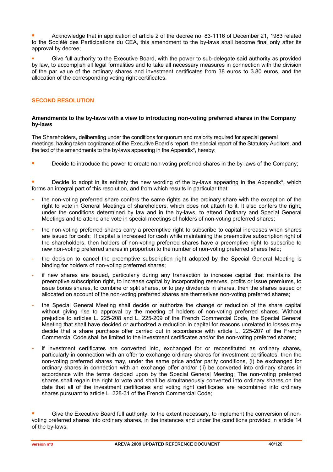Acknowledge that in application of article 2 of the decree no. 83-1116 of December 21, 1983 related to the Société des Participations du CEA, this amendment to the by-laws shall become final only after its approval by decree;

 Give full authority to the Executive Board, with the power to sub-delegate said authority as provided by law, to accomplish all legal formalities and to take all necessary measures in connection with the division of the par value of the ordinary shares and investment certificates from 38 euros to 3.80 euros, and the allocation of the corresponding voting right certificates.

### **SECOND RESOLUTION**

### **Amendments to the by-laws with a view to introducing non-voting preferred shares in the Company by-laws**

The Shareholders, deliberating under the conditions for quorum and majority required for special general meetings, having taken cognizance of the Executive Board's report, the special report of the Statutory Auditors, and the text of the amendments to the by-laws appearing in the Appendix\*, hereby:

Decide to introduce the power to create non-voting preferred shares in the by-laws of the Company:

|                                                                                       |  |  |  |  |  | Decide to adopt in its entirety the new wording of the by-laws appearing in the Appendix <sup>*</sup> , which |  |
|---------------------------------------------------------------------------------------|--|--|--|--|--|---------------------------------------------------------------------------------------------------------------|--|
| forms an integral part of this resolution, and from which results in particular that: |  |  |  |  |  |                                                                                                               |  |

- the non-voting preferred share confers the same rights as the ordinary share with the exception of the right to vote in General Meetings of shareholders, which does not attach to it. It also confers the right, under the conditions determined by law and in the by-laws, to attend Ordinary and Special General Meetings and to attend and vote in special meetings of holders of non-voting preferred shares;
- the non-voting preferred shares carry a preemptive right to subscribe to capital increases when shares are issued for cash; If capital is increased for cash while maintaining the preemptive subscription right of the shareholders, then holders of non-voting preferred shares have a preemptive right to subscribe to new non-voting preferred shares in proportion to the number of non-voting preferred shares held;
- the decision to cancel the preemptive subscription right adopted by the Special General Meeting is binding for holders of non-voting preferred shares;
- if new shares are issued, particularly during any transaction to increase capital that maintains the preemptive subscription right, to increase capital by incorporating reserves, profits or issue premiums, to issue bonus shares, to combine or split shares, or to pay dividends in shares, then the shares issued or allocated on account of the non-voting preferred shares are themselves non-voting preferred shares;
- the Special General Meeting shall decide or authorize the change or reduction of the share capital without giving rise to approval by the meeting of holders of non-voting preferred shares. Without prejudice to articles L. 225-208 and L. 225-209 of the French Commercial Code, the Special General Meeting that shall have decided or authorized a reduction in capital for reasons unrelated to losses may decide that a share purchase offer carried out in accordance with article L. 225-207 of the French Commercial Code shall be limited to the investment certificates and/or the non-voting preferred shares;
- if investment certificates are converted into, exchanged for or reconstituted as ordinary shares, particularly in connection with an offer to exchange ordinary shares for investment certificates, then the non-voting preferred shares may, under the same price and/or parity conditions, (i) be exchanged for ordinary shares in connection with an exchange offer and/or (ii) be converted into ordinary shares in accordance with the terms decided upon by the Special General Meeting; The non-voting preferred shares shall regain the right to vote and shall be simultaneously converted into ordinary shares on the date that all of the investment certificates and voting right certificates are recombined into ordinary shares pursuant to article L. 228-31 of the French Commercial Code;

Give the Executive Board full authority, to the extent necessary, to implement the conversion of nonvoting preferred shares into ordinary shares, in the instances and under the conditions provided in article 14 of the by-laws;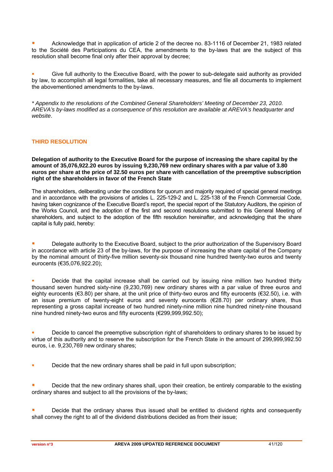Acknowledge that in application of article 2 of the decree no. 83-1116 of December 21, 1983 related to the Société des Participations du CEA, the amendments to the by-laws that are the subject of this resolution shall become final only after their approval by decree;

 Give full authority to the Executive Board, with the power to sub-delegate said authority as provided by law, to accomplish all legal formalities, take all necessary measures, and file all documents to implement the abovementioned amendments to the by-laws.

*\* Appendix to the resolutions of the Combined General Shareholders' Meeting of December 23, 2010. AREVA's by-laws modified as a consequence of this resolution are available at AREVA's headquarter and website*.

### **THIRD RESOLUTION**

**Delegation of authority to the Executive Board for the purpose of increasing the share capital by the amount of 35,076,922.20 euros by issuing 9,230,769 new ordinary shares with a par value of 3.80 euros per share at the price of 32.50 euros per share with cancellation of the preemptive subscription right of the shareholders in favor of the French State** 

The shareholders, deliberating under the conditions for quorum and majority required of special general meetings and in accordance with the provisions of articles L. 225-129-2 and L. 225-138 of the French Commercial Code, having taken cognizance of the Executive Board's report, the special report of the Statutory Auditors, the opinion of the Works Council, and the adoption of the first and second resolutions submitted to this General Meeting of shareholders, and subject to the adoption of the fifth resolution hereinafter, and acknowledging that the share capital is fully paid, hereby:

**Delegate authority to the Executive Board, subject to the prior authorization of the Supervisory Board** in accordance with article 23 of the by-laws, for the purpose of increasing the share capital of the Company by the nominal amount of thirty-five million seventy-six thousand nine hundred twenty-two euros and twenty eurocents (€35,076,922.20);

**•** Decide that the capital increase shall be carried out by issuing nine million two hundred thirty thousand seven hundred sixty-nine (9,230,769) new ordinary shares with a par value of three euros and eighty eurocents (€3.80) per share, at the unit price of thirty-two euros and fifty eurocents (€32.50), i.e. with an issue premium of twenty-eight euros and seventy eurocents (€28.70) per ordinary share, thus representing a gross capital increase of two hundred ninety-nine million nine hundred ninety-nine thousand nine hundred ninety-two euros and fifty eurocents (€299,999,992.50);

 Decide to cancel the preemptive subscription right of shareholders to ordinary shares to be issued by virtue of this authority and to reserve the subscription for the French State in the amount of 299,999,992.50 euros, i.e. 9,230,769 new ordinary shares;

Decide that the new ordinary shares shall be paid in full upon subscription;

**Decide that the new ordinary shares shall, upon their creation, be entirely comparable to the existing in the stating** ordinary shares and subject to all the provisions of the by-laws;

 Decide that the ordinary shares thus issued shall be entitled to dividend rights and consequently shall convey the right to all of the dividend distributions decided as from their issue;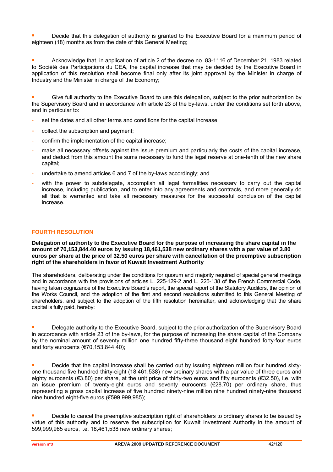Decide that this delegation of authority is granted to the Executive Board for a maximum period of eighteen (18) months as from the date of this General Meeting;

 Acknowledge that, in application of article 2 of the decree no. 83-1116 of December 21, 1983 related to Société des Participations du CEA, the capital increase that may be decided by the Executive Board in application of this resolution shall become final only after its joint approval by the Minister in charge of Industry and the Minister in charge of the Economy;

 Give full authority to the Executive Board to use this delegation, subject to the prior authorization by the Supervisory Board and in accordance with article 23 of the by-laws, under the conditions set forth above, and in particular to:

- set the dates and all other terms and conditions for the capital increase;
- collect the subscription and payment:
- confirm the implementation of the capital increase;
- make all necessary offsets against the issue premium and particularly the costs of the capital increase, and deduct from this amount the sums necessary to fund the legal reserve at one-tenth of the new share capital;
- undertake to amend articles 6 and 7 of the by-laws accordingly; and
- with the power to subdelegate, accomplish all legal formalities necessary to carry out the capital increase, including publication, and to enter into any agreements and contracts, and more generally do all that is warranted and take all necessary measures for the successful conclusion of the capital increase.

### **FOURTH RESOLUTION**

**Delegation of authority to the Executive Board for the purpose of increasing the share capital in the amount of 70,153,844.40 euros by issuing 18,461,538 new ordinary shares with a par value of 3.80 euros per share at the price of 32.50 euros per share with cancellation of the preemptive subscription right of the shareholders in favor of Kuwait Investment Authority** 

The shareholders, deliberating under the conditions for quorum and majority required of special general meetings and in accordance with the provisions of articles L. 225-129-2 and L. 225-138 of the French Commercial Code, having taken cognizance of the Executive Board's report, the special report of the Statutory Auditors, the opinion of the Works Council, and the adoption of the first and second resolutions submitted to this General Meeting of shareholders, and subject to the adoption of the fifth resolution hereinafter, and acknowledging that the share capital is fully paid, hereby:

 Delegate authority to the Executive Board, subject to the prior authorization of the Supervisory Board in accordance with article 23 of the by-laws, for the purpose of increasing the share capital of the Company by the nominal amount of seventy million one hundred fifty-three thousand eight hundred forty-four euros and forty eurocents (€70,153,844.40);

 Decide that the capital increase shall be carried out by issuing eighteen million four hundred sixtyone thousand five hundred thirty-eight (18,461,538) new ordinary shares with a par value of three euros and eighty eurocents (€3.80) per share, at the unit price of thirty-two euros and fifty eurocents (€32.50), i.e. with an issue premium of twenty-eight euros and seventy eurocents (€28.70) per ordinary share, thus representing a gross capital increase of five hundred ninety-nine million nine hundred ninety-nine thousand nine hundred eight-five euros (€599,999,985);

 Decide to cancel the preemptive subscription right of shareholders to ordinary shares to be issued by virtue of this authority and to reserve the subscription for Kuwait Investment Authority in the amount of 599,999,985 euros, i.e. 18,461,538 new ordinary shares;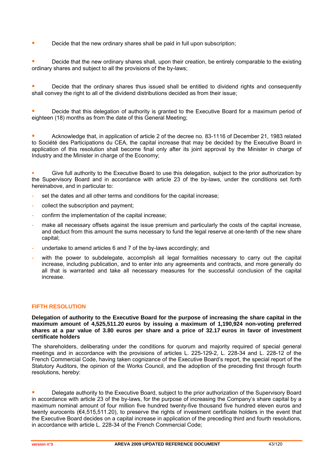**Decide that the new ordinary shares shall be paid in full upon subscription;** 

 Decide that the new ordinary shares shall, upon their creation, be entirely comparable to the existing ordinary shares and subject to all the provisions of the by-laws;

 Decide that the ordinary shares thus issued shall be entitled to dividend rights and consequently shall convey the right to all of the dividend distributions decided as from their issue;

 Decide that this delegation of authority is granted to the Executive Board for a maximum period of eighteen (18) months as from the date of this General Meeting;

 Acknowledge that, in application of article 2 of the decree no. 83-1116 of December 21, 1983 related to Société des Participations du CEA, the capital increase that may be decided by the Executive Board in application of this resolution shall become final only after its joint approval by the Minister in charge of Industry and the Minister in charge of the Economy;

 Give full authority to the Executive Board to use this delegation, subject to the prior authorization by the Supervisory Board and in accordance with article 23 of the by-laws, under the conditions set forth hereinabove, and in particular to:

- set the dates and all other terms and conditions for the capital increase;
- collect the subscription and payment;
- confirm the implementation of the capital increase;
- make all necessary offsets against the issue premium and particularly the costs of the capital increase. and deduct from this amount the sums necessary to fund the legal reserve at one-tenth of the new share capital;
- undertake to amend articles 6 and 7 of the by-laws accordingly; and
- with the power to subdelegate, accomplish all legal formalities necessary to carry out the capital increase, including publication, and to enter into any agreements and contracts, and more generally do all that is warranted and take all necessary measures for the successful conclusion of the capital increase.

### **FIFTH RESOLUTION**

**Delegation of authority to the Executive Board for the purpose of increasing the share capital in the maximum amount of 4,525,511.20 euros by issuing a maximum of 1,190,924 non-voting preferred shares at a par value of 3.80 euros per share and a price of 32.17 euros in favor of investment certificate holders** 

The shareholders, deliberating under the conditions for quorum and majority required of special general meetings and in accordance with the provisions of articles L. 225-129-2, L. 228-34 and L. 228-12 of the French Commercial Code, having taken cognizance of the Executive Board's report, the special report of the Statutory Auditors, the opinion of the Works Council, and the adoption of the preceding first through fourth resolutions, hereby:

 Delegate authority to the Executive Board, subject to the prior authorization of the Supervisory Board in accordance with article 23 of the by-laws, for the purpose of increasing the Company's share capital by a maximum nominal amount of four million five hundred twenty-five thousand five hundred eleven euros and twenty eurocents (€4,515,511.20), to preserve the rights of investment certificate holders in the event that the Executive Board decides on a capital increase in application of the preceding third and fourth resolutions, in accordance with article L. 228-34 of the French Commercial Code;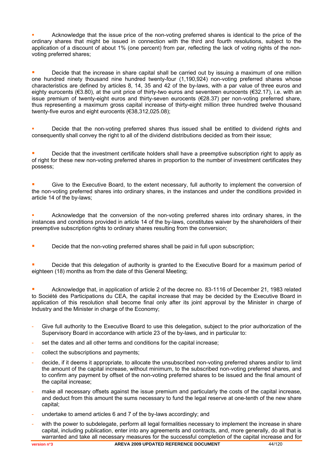Acknowledge that the issue price of the non-voting preferred shares is identical to the price of the ordinary shares that might be issued in connection with the third and fourth resolutions, subject to the application of a discount of about 1% (one percent) from par, reflecting the lack of voting rights of the nonvoting preferred shares;

 Decide that the increase in share capital shall be carried out by issuing a maximum of one million one hundred ninety thousand nine hundred twenty-four (1,190,924) non-voting preferred shares whose characteristics are defined by articles 8, 14, 35 and 42 of the by-laws, with a par value of three euros and eighty eurocents (€3.80), at the unit price of thirty-two euros and seventeen eurocents (€32.17), i.e. with an issue premium of twenty-eight euros and thirty-seven eurocents (€28.37) per non-voting preferred share, thus representing a maximum gross capital increase of thirty-eight million three hundred twelve thousand twenty-five euros and eight eurocents (€38,312,025.08);

 Decide that the non-voting preferred shares thus issued shall be entitled to dividend rights and consequently shall convey the right to all of the dividend distributions decided as from their issue;

 Decide that the investment certificate holders shall have a preemptive subscription right to apply as of right for these new non-voting preferred shares in proportion to the number of investment certificates they possess;

 Give to the Executive Board, to the extent necessary, full authority to implement the conversion of the non-voting preferred shares into ordinary shares, in the instances and under the conditions provided in article 14 of the by-laws;

 Acknowledge that the conversion of the non-voting preferred shares into ordinary shares, in the instances and conditions provided in article 14 of the by-laws, constitutes waiver by the shareholders of their preemptive subscription rights to ordinary shares resulting from the conversion;

**Decide that the non-voting preferred shares shall be paid in full upon subscription:** 

 Decide that this delegation of authority is granted to the Executive Board for a maximum period of eighteen (18) months as from the date of this General Meeting;

 Acknowledge that, in application of article 2 of the decree no. 83-1116 of December 21, 1983 related to Société des Participations du CEA, the capital increase that may be decided by the Executive Board in application of this resolution shall become final only after its joint approval by the Minister in charge of Industry and the Minister in charge of the Economy;

- Give full authority to the Executive Board to use this delegation, subject to the prior authorization of the Supervisory Board in accordance with article 23 of the by-laws, and in particular to:
- set the dates and all other terms and conditions for the capital increase;
- collect the subscriptions and payments;
- decide, if it deems it appropriate, to allocate the unsubscribed non-voting preferred shares and/or to limit the amount of the capital increase, without minimum, to the subscribed non-voting preferred shares, and to confirm any payment by offset of the non-voting preferred shares to be issued and the final amount of the capital increase;
- make all necessary offsets against the issue premium and particularly the costs of the capital increase, and deduct from this amount the sums necessary to fund the legal reserve at one-tenth of the new share capital;
- undertake to amend articles 6 and 7 of the by-laws accordingly; and
- with the power to subdelegate, perform all legal formalities necessary to implement the increase in share capital, including publication, enter into any agreements and contracts, and, more generally, do all that is warranted and take all necessary measures for the successful completion of the capital increase and for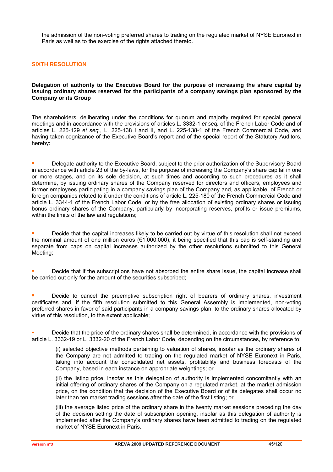the admission of the non-voting preferred shares to trading on the regulated market of NYSE Euronext in Paris as well as to the exercise of the rights attached thereto.

### **SIXTH RESOLUTION**

**Delegation of authority to the Executive Board for the purpose of increasing the share capital by issuing ordinary shares reserved for the participants of a company savings plan sponsored by the Company or its Group** 

The shareholders, deliberating under the conditions for quorum and majority required for special general meetings and in accordance with the provisions of articles L. 3332-1 *et seq.* of the French Labor Code and of articles L. 225-129 *et seq.*, L. 225-138 I and II, and L. 225-138-1 of the French Commercial Code, and having taken cognizance of the Executive Board's report and of the special report of the Statutory Auditors, hereby:

 Delegate authority to the Executive Board, subject to the prior authorization of the Supervisory Board in accordance with article 23 of the by-laws, for the purpose of increasing the Company's share capital in one or more stages, and on its sole decision, at such times and according to such procedures as it shall determine, by issuing ordinary shares of the Company reserved for directors and officers, employees and former employees participating in a company savings plan of the Company and, as applicable, of French or foreign companies related to it under the conditions of article L. 225-180 of the French Commercial Code and article L. 3344-1 of the French Labor Code, or by the free allocation of existing ordinary shares or issuing bonus ordinary shares of the Company, particularly by incorporating reserves, profits or issue premiums, within the limits of the law and regulations;

 Decide that the capital increases likely to be carried out by virtue of this resolution shall not exceed the nominal amount of one million euros ( $\epsilon$ 1,000,000), it being specified that this cap is self-standing and separate from caps on capital increases authorized by the other resolutions submitted to this General Meeting;

 Decide that if the subscriptions have not absorbed the entire share issue, the capital increase shall be carried out only for the amount of the securities subscribed;

 Decide to cancel the preemptive subscription right of bearers of ordinary shares, investment certificates and, if the fifth resolution submitted to this General Assembly is implemented, non-voting preferred shares in favor of said participants in a company savings plan, to the ordinary shares allocated by virtue of this resolution, to the extent applicable;

 Decide that the price of the ordinary shares shall be determined, in accordance with the provisions of article L. 3332-19 or L. 3332-20 of the French Labor Code, depending on the circumstances, by reference to:

(i) selected objective methods pertaining to valuation of shares, insofar as the ordinary shares of the Company are not admitted to trading on the regulated market of NYSE Euronext in Paris, taking into account the consolidated net assets, profitability and business forecasts of the Company, based in each instance on appropriate weightings; or

(ii) the listing price, insofar as this delegation of authority is implemented concomitantly with an initial offering of ordinary shares of the Company on a regulated market, at the market admission price, on the condition that the decision of the Executive Board or of its delegates shall occur no later than ten market trading sessions after the date of the first listing; or

(iii) the average listed price of the ordinary share in the twenty market sessions preceding the day of the decision setting the date of subscription opening, insofar as this delegation of authority is implemented after the Company's ordinary shares have been admitted to trading on the regulated market of NYSE Euronext in Paris.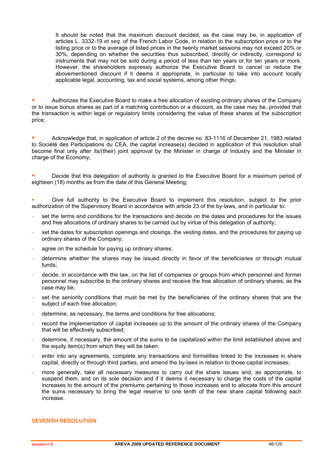It should be noted that the maximum discount decided, as the case may be, in application of articles L. 3332-19 *et seq.* of the French Labor Code, in relation to the subscription price or to the listing price or to the average of listed prices in the twenty market sessions may not exceed 20% or 30%, depending on whether the securities thus subscribed, directly or indirectly, correspond to instruments that may not be sold during a period of less than ten years or for ten years or more. However, the shareholders expressly authorize the Executive Board to cancel or reduce the abovementioned discount if it deems it appropriate, in particular to take into account locally applicable legal, accounting, tax and social systems, among other things;

 Authorizes the Executive Board to make a free allocation of existing ordinary shares of the Company or to issue bonus shares as part of a matching contribution or a discount, as the case may be, provided that the transaction is within legal or regulatory limits considering the value of these shares at the subscription price;

 Acknowledge that, in application of article 2 of the decree no. 83-1116 of December 21, 1983 related to Société des Participations du CEA, the capital increase(s) decided in application of this resolution shall become final only after its/(their) joint approval by the Minister in charge of Industry and the Minister in charge of the Economy:

 Decide that this delegation of authority is granted to the Executive Board for a maximum period of eighteen (18) months as from the date of this General Meeting;

 Give full authority to the Executive Board to implement this resolution, subject to the prior authorization of the Supervisory Board in accordance with article 23 of the by-laws, and in particular to:

- set the terms and conditions for the transactions and decide on the dates and procedures for the issues and free allocations of ordinary shares to be carried out by virtue of this delegation of authority;
- set the dates for subscription openings and closings, the vesting dates, and the procedures for paying up ordinary shares of the Company;
- agree on the schedule for paying up ordinary shares;
- determine whether the shares may be issued directly in favor of the beneficiaries or through mutual funds;
- decide, in accordance with the law, on the list of companies or groups from which personnel and former personnel may subscribe to the ordinary shares and receive the free allocation of ordinary shares, as the case may be;
- set the seniority conditions that must be met by the beneficiaries of the ordinary shares that are the subject of each free allocation;
- determine, as necessary, the terms and conditions for free allocations;
- record the implementation of capital increases up to the amount of the ordinary shares of the Company that will be effectively subscribed;
- determine, if necessary, the amount of the sums to be capitalized within the limit established above and the equity item(s) from which they will be taken;
- enter into any agreements, complete any transactions and formalities linked to the increases in share capital, directly or through third parties, and amend the by-laws in relation to those capital increases;
- more generally, take all necessary measures to carry out the share issues and, as appropriate, to suspend them, and on its sole decision and if it deems it necessary to charge the costs of the capital increases to the amount of the premiums pertaining to those increases and to allocate from this amount the sums necessary to bring the legal reserve to one tenth of the new share capital following each increase.

### **SEVENTH RESOLUTION**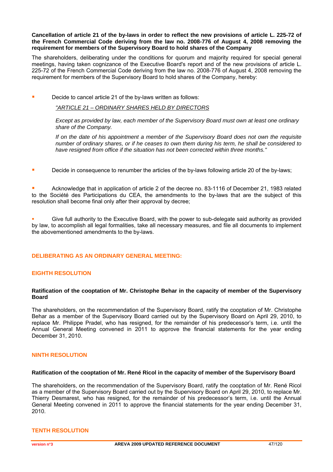### **Cancellation of article 21 of the by-laws in order to reflect the new provisions of article L. 225-72 of the French Commercial Code deriving from the law no. 2008-776 of August 4, 2008 removing the requirement for members of the Supervisory Board to hold shares of the Company**

The shareholders, deliberating under the conditions for quorum and majority required for special general meetings, having taken cognizance of the Executive Board's report and of the new provisions of article L. 225-72 of the French Commercial Code deriving from the law no. 2008-776 of August 4, 2008 removing the requirement for members of the Supervisory Board to hold shares of the Company, hereby:

Decide to cancel article 21 of the by-laws written as follows:

*"ARTICLE 21 – ORDINARY SHARES HELD BY DIRECTORS*

*Except as provided by law, each member of the Supervisory Board must own at least one ordinary share of the Company.* 

*If on the date of his appointment a member of the Supervisory Board does not own the requisite number of ordinary shares, or if he ceases to own them during his term, he shall be considered to have resigned from office if the situation has not been corrected within three months."*

Decide in consequence to renumber the articles of the by-laws following article 20 of the by-laws;

 Acknowledge that in application of article 2 of the decree no. 83-1116 of December 21, 1983 related to the Société des Participations du CEA, the amendments to the by-laws that are the subject of this resolution shall become final only after their approval by decree;

 Give full authority to the Executive Board, with the power to sub-delegate said authority as provided by law, to accomplish all legal formalities, take all necessary measures, and file all documents to implement the abovementioned amendments to the by-laws.

### **DELIBERATING AS AN ORDINARY GENERAL MEETING:**

### **EIGHTH RESOLUTION**

### **Ratification of the cooptation of Mr. Christophe Behar in the capacity of member of the Supervisory Board**

The shareholders, on the recommendation of the Supervisory Board, ratify the cooptation of Mr. Christophe Behar as a member of the Supervisory Board carried out by the Supervisory Board on April 29, 2010, to replace Mr. Philippe Pradel, who has resigned, for the remainder of his predecessor's term, i.e. until the Annual General Meeting convened in 2011 to approve the financial statements for the year ending December 31, 2010.

### **NINTH RESOLUTION**

### **Ratification of the cooptation of Mr. René Ricol in the capacity of member of the Supervisory Board**

The shareholders, on the recommendation of the Supervisory Board, ratify the cooptation of Mr. René Ricol as a member of the Supervisory Board carried out by the Supervisory Board on April 29, 2010, to replace Mr. Thierry Desmarest, who has resigned, for the remainder of his predecessor's term, i.e. until the Annual General Meeting convened in 2011 to approve the financial statements for the year ending December 31, 2010.

### **TENTH RESOLUTION**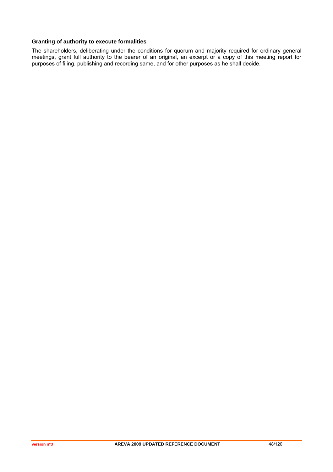### **Granting of authority to execute formalities**

The shareholders, deliberating under the conditions for quorum and majority required for ordinary general meetings, grant full authority to the bearer of an original, an excerpt or a copy of this meeting report for purposes of filing, publishing and recording same, and for other purposes as he shall decide.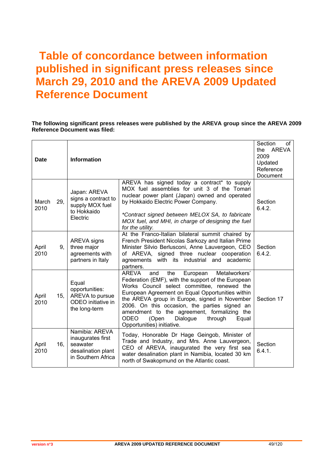# **Table of concordance between information published in significant press releases since March 29, 2010 and the AREVA 2009 Updated Reference Document**

### **The following significant press releases were published by the AREVA group since the AREVA 2009 Reference Document was filed:**

| <b>Date</b>   |     | <b>Information</b>                                                                          |                                                                                                                                                                                                                                                                                                                                                                                                                                                         | Section<br>of<br>the AREVA<br>2009<br>Updated<br>Reference<br>Document |
|---------------|-----|---------------------------------------------------------------------------------------------|---------------------------------------------------------------------------------------------------------------------------------------------------------------------------------------------------------------------------------------------------------------------------------------------------------------------------------------------------------------------------------------------------------------------------------------------------------|------------------------------------------------------------------------|
| March<br>2010 | 29, | Japan: AREVA<br>signs a contract to<br>supply MOX fuel<br>to Hokkaido<br>Electric           | AREVA has signed today a contract* to supply<br>MOX fuel assemblies for unit 3 of the Tomari<br>nuclear power plant (Japan) owned and operated<br>by Hokkaido Electric Power Company.<br>*Contract signed between MELOX SA, to fabricate<br>MOX fuel, and MHI, in charge of designing the fuel<br>for the utility.                                                                                                                                      | Section<br>6.4.2.                                                      |
| April<br>2010 | 9.  | AREVA signs<br>three major<br>agreements with<br>partners in Italy                          | At the Franco-Italian bilateral summit chaired by<br>French President Nicolas Sarkozy and Italian Prime<br>Minister Silvio Berlusconi, Anne Lauvergeon, CEO<br>of AREVA, signed three nuclear cooperation<br>agreements with its industrial and academic<br>partners.                                                                                                                                                                                   | Section<br>6.4.2.                                                      |
| April<br>2010 | 15, | Equal<br>opportunities:<br>AREVA to pursue<br>ODEO initiative in<br>the long-term           | <b>AREVA</b><br>the<br>Metalworkers'<br>and<br>European<br>Federation (EMF), with the support of the European<br>Works Council select committee, renewed the<br>European Agreement on Equal Opportunities within<br>the AREVA group in Europe, signed in November<br>2006. On this occasion, the parties signed an<br>amendment to the agreement, formalizing the<br><b>ODEO</b><br>Dialogue<br>(Open<br>through<br>Equal<br>Opportunities) initiative. | Section 17                                                             |
| April<br>2010 | 16, | Namibia: AREVA<br>inaugurates first<br>seawater<br>desalination plant<br>in Southern Africa | Today, Honorable Dr Hage Geingob, Minister of<br>Trade and Industry, and Mrs. Anne Lauvergeon,<br>CEO of AREVA, inaugurated the very first sea<br>water desalination plant in Namibia, located 30 km<br>north of Swakopmund on the Atlantic coast.                                                                                                                                                                                                      | Section<br>6.4.1.                                                      |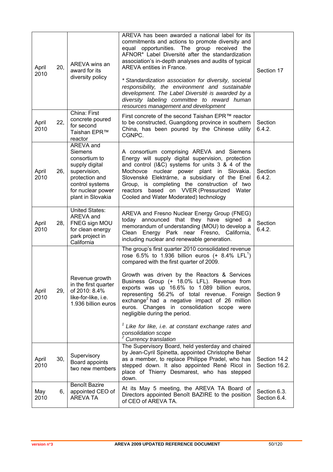| April<br>2010 | 20, | AREVA wins an<br>award for its<br>diversity policy                                                                                                     | AREVA has been awarded a national label for its<br>commitments and actions to promote diversity and<br>equal opportunities. The group received the<br>AFNOR* Label Diversité after the standardization<br>association's in-depth analyses and audits of typical<br>AREVA entities in France.<br>* Standardization association for diversity, societal<br>responsibility, the environment and sustainable<br>development. The Label Diversité is awarded by a<br>diversity labeling committee to reward human<br>resources management and development                                                                              | Section 17                    |
|---------------|-----|--------------------------------------------------------------------------------------------------------------------------------------------------------|-----------------------------------------------------------------------------------------------------------------------------------------------------------------------------------------------------------------------------------------------------------------------------------------------------------------------------------------------------------------------------------------------------------------------------------------------------------------------------------------------------------------------------------------------------------------------------------------------------------------------------------|-------------------------------|
| April<br>2010 | 22, | China: First<br>concrete poured<br>for second<br>Taishan EPR™<br>reactor                                                                               | First concrete of the second Taishan EPR™ reactor<br>to be constructed, Guangdong province in southern<br>China, has been poured by the Chinese utility<br>CGNPC.                                                                                                                                                                                                                                                                                                                                                                                                                                                                 | Section<br>6.4.2.             |
| April<br>2010 | 26, | AREVA and<br>Siemens<br>consortium to<br>supply digital<br>supervision,<br>protection and<br>control systems<br>for nuclear power<br>plant in Slovakia | A consortium comprising AREVA and Siemens<br>Energy will supply digital supervision, protection<br>and control (I&C) systems for units 3 & 4 of the<br>Mochovce nuclear power plant in Slovakia.<br>Slovenské Elektrárne, a subsidiary of the Enel<br>Group, is completing the construction of two<br>reactors based on VVER (Pressurized<br>Water<br>Cooled and Water Moderated) technology                                                                                                                                                                                                                                      | Section<br>6.4.2.             |
| April<br>2010 | 28, | <b>United States:</b><br>AREVA and<br>FNEG sign MOU<br>for clean energy<br>park project in<br>California                                               | AREVA and Fresno Nuclear Energy Group (FNEG)<br>today announced that they have signed a<br>memorandum of understanding (MOU) to develop a<br>Clean Energy Park near Fresno, California,<br>including nuclear and renewable generation.                                                                                                                                                                                                                                                                                                                                                                                            | Section<br>6.4.2.             |
| April<br>2010 | 29, | Revenue growth<br>in the first quarter<br>of 2010: 8.4%<br>like-for-like, i.e.<br>1.936 billion euros                                                  | The group's first quarter 2010 consolidated revenue<br>rose 6.5% to 1.936 billion euros $(+ 8.4\%$ LFL <sup>1</sup> )<br>compared with the first quarter of 2009.<br>Growth was driven by the Reactors & Services<br>Business Group (+ 18.0% LFL). Revenue from<br>exports was up 16.6% to 1.089 billion euros,<br>representing 56.2% of total revenue. Foreign<br>exchange <sup>2</sup> had a negative impact of 26 million<br>euros. Changes in consolidation scope were<br>negligible during the period.<br>$1$ Like for like, i.e. at constant exchange rates and<br>consolidation scope<br><sup>2</sup> Currency translation | Section 9                     |
| April<br>2010 | 30, | Supervisory<br>Board appoints<br>two new members                                                                                                       | The Supervisory Board, held yesterday and chaired<br>by Jean-Cyril Spinetta, appointed Christophe Behar<br>as a member, to replace Philippe Pradel, who has<br>stepped down. It also appointed René Ricol in<br>place of Thierry Desmarest, who has stepped<br>down.                                                                                                                                                                                                                                                                                                                                                              | Section 14.2<br>Section 16.2. |
| May<br>2010   | 6,  | Benoît Bazire<br>appointed CEO of<br><b>AREVA TA</b>                                                                                                   | At its May 5 meeting, the AREVA TA Board of<br>Directors appointed Benoît BAZIRE to the position<br>of CEO of AREVA TA.                                                                                                                                                                                                                                                                                                                                                                                                                                                                                                           | Section 6.3.<br>Section 6.4.  |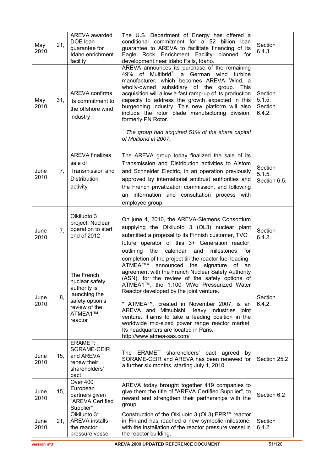| May<br>2010  | 21, | AREVA awarded<br>DOE loan<br>guarantee for<br>Idaho enrichment<br>facility                                              | The U.S. Department of Energy has offered a<br>conditional commitment for a \$2 billion loan<br>guarantee to AREVA to facilitate financing of its<br>Eagle Rock Enrichment Facility planned for<br>development near Idaho Falls, Idaho.                                                                                                                                                                                                                                                                                             | Section<br>6.4.3.                      |
|--------------|-----|-------------------------------------------------------------------------------------------------------------------------|-------------------------------------------------------------------------------------------------------------------------------------------------------------------------------------------------------------------------------------------------------------------------------------------------------------------------------------------------------------------------------------------------------------------------------------------------------------------------------------------------------------------------------------|----------------------------------------|
| May<br>2010  | 31, | <b>AREVA confirms</b><br>its commitment to<br>the offshore wind<br>industry                                             | AREVA announces its purchase of the remaining<br>49% of Multibrid <sup>1</sup> , a German wind turbine<br>manufacturer, which becomes AREVA Wind, a<br>wholly-owned subsidiary of the group. This<br>acquisition will allow a fast ramp-up of its production<br>capacity to address the growth expected in this<br>burgeoning industry. This new platform will also<br>include the rotor blade manufacturing division,<br>formerly PN Rotor.<br>$1$ The group had acquired 51% of the share capital<br>of Multibrid in 2007.        | Section<br>5.1.5.<br>Section<br>6.4.2. |
| June<br>2010 | 7.  | <b>AREVA finalizes</b><br>sale of<br>Transmission and<br><b>Distribution</b><br>activity                                | The AREVA group today finalized the sale of its<br>Transmission and Distribution activities to Alstom<br>and Schneider Electric, in an operation previously<br>approved by international antitrust authorities and<br>the French privatization commission, and following<br>an information and consultation process with<br>employee group.                                                                                                                                                                                         | Section<br>5.1.5.<br>Section 6.5.      |
| June<br>2010 | 7,  | Olkiluoto 3<br>project: Nuclear<br>operation to start<br>end of 2012                                                    | On june 4, 2010, the AREVA-Siemens Consortium<br>supplying the Olkiluoto 3 (OL3) nuclear plant<br>submitted a proposal to its Finnish customer, TVO,<br>future operator of this 3+ Generation reactor,<br>outlining<br>the<br>calendar and<br>milestones<br>for<br>completion of the project till the reactor fuel loading.                                                                                                                                                                                                         | Section<br>6.4.2.                      |
| June<br>2010 | 8,  | The French<br>nuclear safety<br>authority is<br>launching the<br>safety option's<br>review of the<br>ATMEA1™<br>reactor | ATMEA <sup>™</sup> * announced the<br>signature of<br>an<br>agreement with the French Nuclear Safety Authority<br>(ASN), for the review of the safety options of<br>ATMEA1™, the 1,100 MWe Pressurized Water<br>Reactor developed by the joint venture.<br>* ATMEA™, created in November 2007, is an<br>AREVA and Mitsubishi Heavy Industries joint<br>venture. It aims to take a leading position in the<br>worldwide mid-sized power range reactor market.<br>Its headquarters are located in Paris.<br>http://www.atmea-sas.com/ | Section<br>6.4.2.                      |
| June<br>2010 | 15, | ERAMET:<br>SORAME-CEIR<br>and AREVA<br>renew their<br>shareholders'<br>pact                                             | The ERAMET<br>shareholders' pact agreed<br>bv<br>SORAME-CEIR and AREVA has been renewed for<br>a further six months, starting July 1, 2010.                                                                                                                                                                                                                                                                                                                                                                                         | Section 25.2                           |
| June<br>2010 | 15, | Over 400<br>European<br>partners given<br>"AREVA Certified<br>Supplier"                                                 | AREVA today brought together 419 companies to<br>give them the title of "AREVA Certified Supplier", to<br>reward and strengthen their partnerships with the<br>group.                                                                                                                                                                                                                                                                                                                                                               | Section 6.2                            |
| June<br>2010 | 21, | Olkiluoto 3:<br><b>AREVA</b> installs<br>the reactor<br>pressure vessel                                                 | Construction of the Olkiluoto 3 (OL3) EPR™ reactor<br>in Finland has reached a new symbolic milestone,<br>with the installation of the reactor pressure vessel in<br>the reactor building.                                                                                                                                                                                                                                                                                                                                          | Section<br>6.4.2.                      |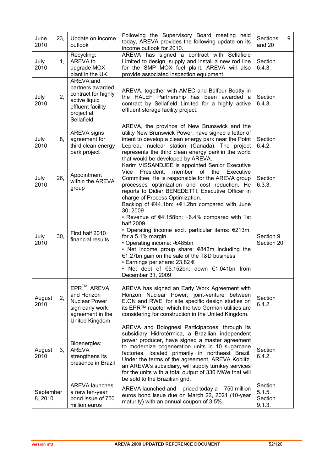| June<br>2010        | 23, | Update on income<br>outlook                                                                                              | Following the Supervisory Board meeting held<br>today, AREVA provides the following update on its<br>income outlook for 2010.                                                                                                                                                                                                                                                                                                                                       | Sections<br>9<br>and 20                |
|---------------------|-----|--------------------------------------------------------------------------------------------------------------------------|---------------------------------------------------------------------------------------------------------------------------------------------------------------------------------------------------------------------------------------------------------------------------------------------------------------------------------------------------------------------------------------------------------------------------------------------------------------------|----------------------------------------|
| July<br>2010        | 1,  | Recycling:<br>AREVA to<br>upgrade MOX<br>plant in the UK                                                                 | AREVA has signed a contract with Sellafield<br>Limited to design, supply and install a new rod line<br>for the SMP MOX fuel plant. AREVA will also<br>provide associated inspection equipment.                                                                                                                                                                                                                                                                      | Section<br>6.4.3.                      |
| July<br>2010        | 2,  | AREVA and<br>partners awarded<br>contract for highly<br>active liquid<br>effluent facility<br>project at<br>Sellafield   | AREVA, together with AMEC and Balfour Beatty in<br>the HALEF Partnership has been awarded a<br>contract by Sellafield Limited for a highly active<br>effluent storage facility project.                                                                                                                                                                                                                                                                             | Section<br>6.4.3.                      |
| July<br>2010        | 8,  | AREVA signs<br>agreement for<br>third clean energy<br>park project                                                       | AREVA, the province of New Brunswick and the<br>utility New Brunswick Power, have signed a letter of<br>intent to develop a clean energy park near the Point<br>Lepreau nuclear station (Canada). The project<br>represents the third clean energy park in the world<br>that would be developed by AREVA.                                                                                                                                                           | Section<br>6.4.2.                      |
| July<br>2010        | 26, | Appointment<br>within the AREVA<br>group                                                                                 | Karim VISSANDJEE is appointed Senior Executive<br>member<br>of<br>Vice<br>President,<br>the<br>Executive<br>Committee. He is responsible for the AREVA group<br>processes optimization and cost reduction. He<br>reports to Didier BENEDETTI, Executive Officer in<br>charge of Process Optimization.                                                                                                                                                               | Section<br>6.3.3.                      |
| July<br>2010        | 30, | First half 2010<br>financial results                                                                                     | Backlog of €44.1bn: +€1.2bn compared with June<br>30, 2009<br>• Revenue of €4.158bn: $+6.4\%$ compared with 1st<br>half 2009<br>• Operating income excl. particular items: $E$ 213m,<br>for a 5.1% margin<br>• Operating income: - €485bn<br>• Net income group share: €843m including the<br>€1.27bn gain on the sale of the T&D business<br>• Earnings per share: 23,82 €<br>• Net debt of $€5.152bn$ : down $€1.041bn$ from<br>December 31, 2009                 | Section 9<br>Section 20                |
| August<br>2010      | 2,  | EPR <sup>™</sup> : AREVA<br>and Horizon<br><b>Nuclear Power</b><br>sign early work<br>agreement in the<br>United Kingdom | AREVA has signed an Early Work Agreement with<br>Horizon Nuclear Power, joint-venture between<br>E.ON and RWE, for site specific design studies on<br>its EPR™ reactor which the two German utilities are<br>considering for construction in the United Kingdom.                                                                                                                                                                                                    | Section<br>6.4.2.                      |
| August<br>2010      | 3,  | Bioenergies:<br><b>AREVA</b><br>strengthens its<br>presence in Brazil                                                    | AREVA and Bolognesi Participacoes, through its<br>subsidiary Hidrotérmica, a Brazilian independent<br>power producer, have signed a master agreement<br>to modernize cogeneration units in 10 sugarcane<br>factories, located primarily in northeast Brazil.<br>Under the terms of the agreement, AREVA Koblitz,<br>an AREVA's subsidiary, will supply turnkey services<br>for the units with a total output of 330 MWe that will<br>be sold to the Brazilian grid. | Section<br>6.4.2.                      |
| September<br>8,2010 |     | <b>AREVA launches</b><br>a new ten-year<br>bond issue of 750<br>million euros                                            | AREVA launched and<br>priced today a<br>750 million<br>euros bond issue due on March 22, 2021 (10-year<br>maturity) with an annual coupon of 3.5%.                                                                                                                                                                                                                                                                                                                  | Section<br>5.1.5.<br>Section<br>9.1.3. |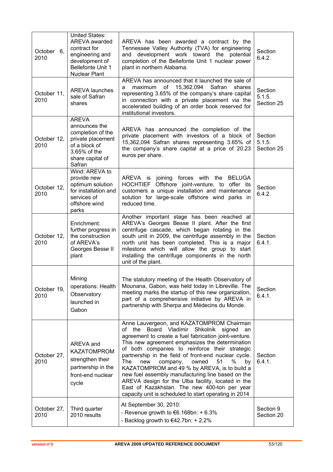| October 6,<br>2010  | <b>United States:</b><br>AREVA awarded<br>contract for<br>engineering and<br>development of<br><b>Bellefonte Unit 1</b><br>Nuclear Plant | AREVA has been awarded a contract by the<br>Tennessee Valley Authority (TVA) for engineering<br>and development work toward the potential<br>completion of the Bellefonte Unit 1 nuclear power<br>plant in northern Alabama.                                                                                                                                                                                                                                                                                                                                                                                                                          | Section<br>6.4.2.               |
|---------------------|------------------------------------------------------------------------------------------------------------------------------------------|-------------------------------------------------------------------------------------------------------------------------------------------------------------------------------------------------------------------------------------------------------------------------------------------------------------------------------------------------------------------------------------------------------------------------------------------------------------------------------------------------------------------------------------------------------------------------------------------------------------------------------------------------------|---------------------------------|
| October 11,<br>2010 | <b>AREVA launches</b><br>sale of Safran<br>shares                                                                                        | AREVA has announced that it launched the sale of<br>maximum of 15,362,094<br>Safran<br>shares<br>a<br>representing 3.65% of the company's share capital<br>in connection with a private placement via the<br>accelerated building of an order book reserved for<br>institutional investors.                                                                                                                                                                                                                                                                                                                                                           | Section<br>5.1.5.<br>Section 25 |
| October 12,<br>2010 | <b>AREVA</b><br>announces the<br>completion of the<br>private placement<br>of a block of<br>3.65% of the<br>share capital of<br>Safran   | AREVA has announced the completion of the<br>private placement with investors of a block of<br>15,362,094 Safran shares representing 3.65% of<br>the company's share capital at a price of 20.23<br>euros per share.                                                                                                                                                                                                                                                                                                                                                                                                                                  | Section<br>5.1.5.<br>Section 25 |
| October 12,<br>2010 | Wind: AREVA to<br>provide new<br>optimum solution<br>for installation and<br>services of<br>offshore wind<br>parks                       | AREVA is joining forces with the BELUGA<br>HOCHTIEF Offshore joint-venture, to offer its<br>customers a unique installation and maintenance<br>solution for large-scale offshore wind parks in<br>reduced time.                                                                                                                                                                                                                                                                                                                                                                                                                                       | Section<br>6.4.2.               |
| October 12,<br>2010 | Enrichment:<br>further progress in<br>the construction<br>of AREVA's<br>Georges Besse II<br>plant                                        | Another important stage has been reached at<br>AREVA's Georges Besse II plant. After the first<br>centrifuge cascade, which began rotating in the<br>south unit in 2009, the centrifuge assembly in the<br>north unit has been completed. This is a major<br>milestone which will allow the group to start<br>installing the centrifuge components in the north<br>unit of the plant.                                                                                                                                                                                                                                                                 | Section<br>6.4.1.               |
| October 19.<br>2010 | Mining<br>operations: Health<br>Observatory<br>launched in<br>Gabon                                                                      | The statutory meeting of the Health Observatory of<br>Mounana, Gabon, was held today in Libreville. The<br>meeting marks the startup of this new organization,<br>part of a comprehensive initiative by AREVA in<br>partnership with Sherpa and Médecins du Monde.                                                                                                                                                                                                                                                                                                                                                                                    | Section<br>6.4.1.               |
| October 27,<br>2010 | AREVA and<br><b>KAZATOMPROM</b><br>strengthen their<br>partnership in the<br>front-end nuclear<br>cycle                                  | Anne Lauvergeon, and KAZATOMPROM Chairman<br>Board<br>Vladimir<br>Shkolnik<br>the<br>signed<br>οf<br>an<br>agreement to create a fuel fabrication joint-venture.<br>This new agreement emphasizes the determination<br>of both companies to reinforce their strategic<br>partnership in the field of front-end nuclear cycle.<br>51<br>%<br>The<br>company,<br>new<br>owned<br>by<br>KAZATOMPROM and 49 % by AREVA, is to build a<br>new fuel assembly manufacturing line based on the<br>AREVA design for the Ulba facility, located in the<br>East of Kazakhstan. The new 400-ton per year<br>capacity unit is scheduled to start operating in 2014 | Section<br>6.4.1.               |
| October 27,<br>2010 | Third quarter<br>2010 results                                                                                                            | At September 30, 2010:<br>- Revenue growth to $€6.168bn: + 6.3%$<br>- Backlog growth to $€42.7$ bn: + 2.2%                                                                                                                                                                                                                                                                                                                                                                                                                                                                                                                                            | Section 9<br>Section 20         |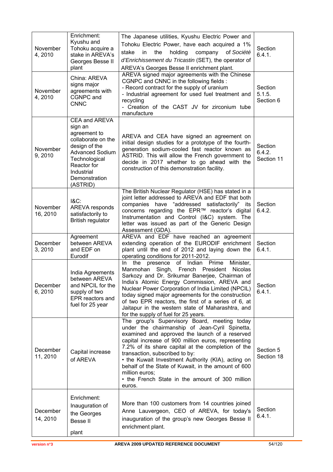| November<br>4,2010   | Enrichment:<br>Kyushu and<br>Tohoku acquire a<br>stake in AREVA's<br>Georges Besse II<br>plant                                                                                       | The Japanese utilities, Kyushu Electric Power and<br>Tohoku Electric Power, have each acquired a 1%<br>stake<br>the<br>holding<br>in.<br>company of Société<br>d'Enrichissement du Tricastin (SET), the operator of<br>AREVA's Georges Besse II enrichment plant.                                                                                                                                                                                                                           | Section<br>6.4.1.               |
|----------------------|--------------------------------------------------------------------------------------------------------------------------------------------------------------------------------------|---------------------------------------------------------------------------------------------------------------------------------------------------------------------------------------------------------------------------------------------------------------------------------------------------------------------------------------------------------------------------------------------------------------------------------------------------------------------------------------------|---------------------------------|
| November<br>4,2010   | China: AREVA<br>signs major<br>agreements with<br>CGNPC and<br><b>CNNC</b>                                                                                                           | AREVA signed major agreements with the Chinese<br>CGNPC and CNNC in the following fields:<br>- Record contract for the supply of uranium<br>- Industrial agreement for used fuel treatment and<br>recycling<br>- Creation of the CAST JV for zirconium tube<br>manufacture                                                                                                                                                                                                                  | Section<br>5.1.5.<br>Section 6  |
| November<br>9,2010   | CEA and AREVA<br>sign an<br>agreement to<br>collaborate on the<br>design of the<br><b>Advanced Sodium</b><br>Technological<br>Reactor for<br>Industrial<br>Demonstration<br>(ASTRID) | AREVA and CEA have signed an agreement on<br>initial design studies for a prototype of the fourth-<br>generation sodium-cooled fast reactor known as<br>ASTRID. This will allow the French government to<br>decide in 2017 whether to go ahead with the<br>construction of this demonstration facility.                                                                                                                                                                                     | Section<br>6.4.2.<br>Section 11 |
| November<br>16, 2010 | $18C$ :<br><b>AREVA responds</b><br>satisfactorily to<br><b>British regulator</b>                                                                                                    | The British Nuclear Regulator (HSE) has stated in a<br>joint letter addressed to AREVA and EDF that both<br>companies have "addressed satisfactorily" its<br>concerns regarding the EPR™ reactor's digital<br>Instrumentation and Control (I&C) system. The<br>letter was issued as part of the Generic Design<br>Assessment (GDA).                                                                                                                                                         | Section<br>6.4.2.               |
| December<br>3, 2010  | Agreement<br>between AREVA<br>and EDF on<br>Eurodif                                                                                                                                  | AREVA and EDF have reached an agreement<br>extending operation of the EURODIF enrichment<br>plant until the end of 2012 and laying down the<br>operating conditions for 2011-2012.                                                                                                                                                                                                                                                                                                          | Section<br>6.4.1.               |
| December<br>6,2010   | India Agreements<br>between AREVA<br>and NPCIL for the<br>supply of two<br>EPR reactors and<br>fuel for 25 year                                                                      | of Indian Prime<br>the presence<br>Minister,<br>In.<br>Manmohan Singh, French President<br>Nicolas<br>Sarkozy and Dr. Srikumar Banerjee, Chairman of<br>India's Atomic Energy Commission, AREVA and<br>Nuclear Power Corporation of India Limited (NPCIL)<br>today signed major agreements for the construction<br>of two EPR reactors, the first of a series of 6, at<br>Jaitapur in the western state of Maharashtra, and<br>for the supply of fuel for 25 years.                         | Section<br>6.4.1.               |
| December<br>11, 2010 | Capital increase<br>of AREVA                                                                                                                                                         | The group's Supervisory Board, meeting today<br>under the chairmanship of Jean-Cyril Spinetta,<br>examined and approved the launch of a reserved<br>capital increase of 900 million euros, representing<br>7.2% of its share capital at the completion of the<br>transaction, subscribed to by:<br>• the Kuwait Investment Authority (KIA), acting on<br>behalf of the State of Kuwait, in the amount of 600<br>million euros;<br>• the French State in the amount of 300 million<br>euros. | Section 5<br>Section 18         |
| December<br>14, 2010 | Enrichment:<br>Inauguration of<br>the Georges<br><b>Bessell</b><br>plant                                                                                                             | More than 100 customers from 14 countries joined<br>Anne Lauvergeon, CEO of AREVA, for today's<br>inauguration of the group's new Georges Besse II<br>enrichment plant.                                                                                                                                                                                                                                                                                                                     | Section<br>6.4.1.               |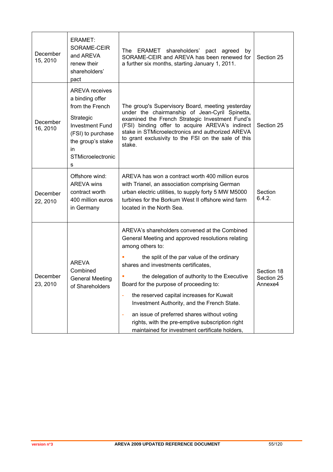| December<br>15, 2010 | ERAMET:<br>SORAME-CEIR<br>and AREVA<br>renew their<br>shareholders'<br>pact                                                                                                  | The ERAMET shareholders' pact agreed<br>by<br>SORAME-CEIR and AREVA has been renewed for<br>a further six months, starting January 1, 2011.                                                                                                                                                                                                                                                                                                                                                                                                                  | Section 25                          |
|----------------------|------------------------------------------------------------------------------------------------------------------------------------------------------------------------------|--------------------------------------------------------------------------------------------------------------------------------------------------------------------------------------------------------------------------------------------------------------------------------------------------------------------------------------------------------------------------------------------------------------------------------------------------------------------------------------------------------------------------------------------------------------|-------------------------------------|
| December<br>16, 2010 | <b>AREVA receives</b><br>a binding offer<br>from the French<br>Strategic<br><b>Investment Fund</b><br>(FSI) to purchase<br>the group's stake<br>in<br>STMicroelectronic<br>s | The group's Supervisory Board, meeting yesterday<br>under the chairmanship of Jean-Cyril Spinetta,<br>examined the French Strategic Investment Fund's<br>(FSI) binding offer to acquire AREVA's indirect<br>stake in STMicroelectronics and authorized AREVA<br>to grant exclusivity to the FSI on the sale of this<br>stake.                                                                                                                                                                                                                                | Section 25                          |
| December<br>22, 2010 | Offshore wind:<br><b>AREVA</b> wins<br>contract worth<br>400 million euros<br>in Germany                                                                                     | AREVA has won a contract worth 400 million euros<br>with Trianel, an association comprising German<br>urban electric utilities, to supply forty 5 MW M5000<br>turbines for the Borkum West II offshore wind farm<br>located in the North Sea.                                                                                                                                                                                                                                                                                                                | Section<br>6.4.2.                   |
| December<br>23, 2010 | <b>AREVA</b><br>Combined<br><b>General Meeting</b><br>of Shareholders                                                                                                        | AREVA's shareholders convened at the Combined<br>General Meeting and approved resolutions relating<br>among others to:<br>the split of the par value of the ordinary<br>shares and investments certificates,<br>the delegation of authority to the Executive<br>Board for the purpose of proceeding to:<br>the reserved capital increases for Kuwait<br>Investment Authority, and the French State.<br>an issue of preferred shares without voting<br>÷<br>rights, with the pre-emptive subscription right<br>maintained for investment certificate holders, | Section 18<br>Section 25<br>Annexe4 |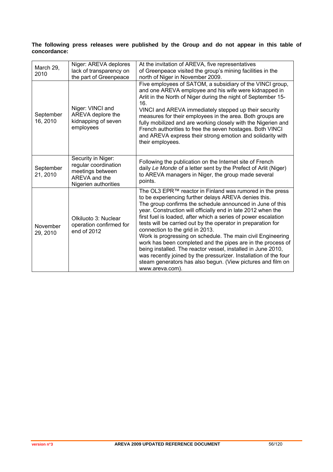### **The following press releases were published by the Group and do not appear in this table of concordance:**

| March 29,<br>2010     | Niger: AREVA deplores<br>lack of transparency on<br>the part of Greenpeace                              | At the invitation of AREVA, five representatives<br>of Greenpeace visited the group's mining facilities in the<br>north of Niger in November 2009.                                                                                                                                                                                                                                                                                                                                                                                                                                                                                                                                                                                                                     |
|-----------------------|---------------------------------------------------------------------------------------------------------|------------------------------------------------------------------------------------------------------------------------------------------------------------------------------------------------------------------------------------------------------------------------------------------------------------------------------------------------------------------------------------------------------------------------------------------------------------------------------------------------------------------------------------------------------------------------------------------------------------------------------------------------------------------------------------------------------------------------------------------------------------------------|
| September<br>16, 2010 | Niger: VINCI and<br>AREVA deplore the<br>kidnapping of seven<br>employees                               | Five employees of SATOM, a subsidiary of the VINCI group,<br>and one AREVA employee and his wife were kidnapped in<br>Arlit in the North of Niger during the night of September 15-<br>16.<br>VINCI and AREVA immediately stepped up their security<br>measures for their employees in the area. Both groups are<br>fully mobilized and are working closely with the Nigerien and<br>French authorities to free the seven hostages. Both VINCI<br>and AREVA express their strong emotion and solidarity with<br>their employees.                                                                                                                                                                                                                                       |
| September<br>21, 2010 | Security in Niger:<br>regular coordination<br>meetings between<br>AREVA and the<br>Nigerien authorities | Following the publication on the Internet site of French<br>daily Le Monde of a letter sent by the Prefect of Arlit (Niger)<br>to AREVA managers in Niger, the group made several<br>points.                                                                                                                                                                                                                                                                                                                                                                                                                                                                                                                                                                           |
| November<br>29, 2010  | Olkiluoto 3: Nuclear<br>operation confirmed for<br>end of 2012                                          | The OL3 EPR™ reactor in Finland was rumored in the press<br>to be experiencing further delays AREVA denies this.<br>The group confirms the schedule announced in June of this<br>year. Construction will officially end in late 2012 when the<br>first fuel is loaded, after which a series of power escalation<br>tests will be carried out by the operator in preparation for<br>connection to the grid in 2013.<br>Work is progressing on schedule. The main civil Engineering<br>work has been completed and the pipes are in the process of<br>being installed. The reactor vessel, installed in June 2010,<br>was recently joined by the pressurizer. Installation of the four<br>steam generators has also begun. (View pictures and film on<br>www.areva.com). |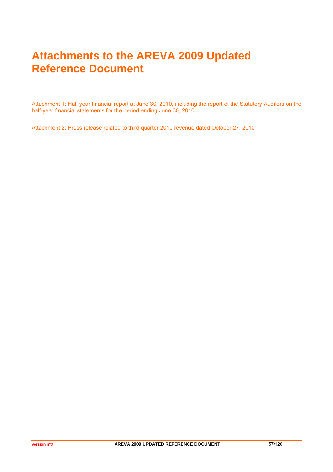# **Attachments to the AREVA 2009 Updated Reference Document**

Attachment 1: Half year financial report at June 30, 2010, including the report of the Statutory Auditors on the half-year financial statements for the period ending June 30, 2010.

Attachment 2: Press release related to third quarter 2010 revenue dated October 27, 2010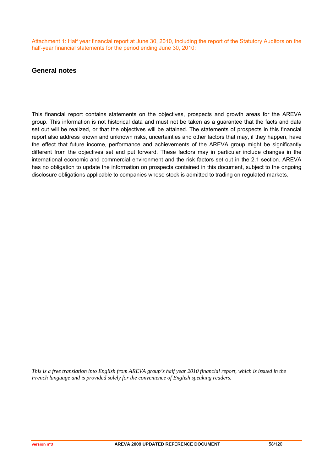Attachment 1: Half year financial report at June 30, 2010, including the report of the Statutory Auditors on the half-year financial statements for the period ending June 30, 2010:

### **General notes**

This financial report contains statements on the objectives, prospects and growth areas for the AREVA group. This information is not historical data and must not be taken as a guarantee that the facts and data set out will be realized, or that the objectives will be attained. The statements of prospects in this financial report also address known and unknown risks, uncertainties and other factors that may, if they happen, have the effect that future income, performance and achievements of the AREVA group might be significantly different from the objectives set and put forward. These factors may in particular include changes in the international economic and commercial environment and the risk factors set out in the 2.1 section. AREVA has no obligation to update the information on prospects contained in this document, subject to the ongoing disclosure obligations applicable to companies whose stock is admitted to trading on regulated markets.

*This is a free translation into English from AREVA group's half year 2010 financial report, which is issued in the French language and is provided solely for the convenience of English speaking readers.*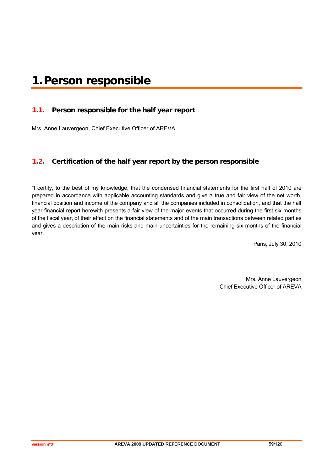# **1.Person responsible**

### **1.1. Person responsible for the half year report**

Mrs. Anne Lauvergeon, Chief Executive Officer of AREVA

### **1.2. Certification of the half year report by the person responsible**

"I certify, to the best of my knowledge, that the condensed financial statements for the first half of 2010 are prepared in accordance with applicable accounting standards and give a true and fair view of the net worth, financial position and income of the company and all the companies included in consolidation, and that the half year financial report herewith presents a fair view of the major events that occurred during the first six months of the fiscal year, of their effect on the financial statements and of the main transactions between related parties and gives a description of the main risks and main uncertainties for the remaining six months of the financial year.

Paris, July 30, 2010

Mrs. Anne Lauvergeon Chief Executive Officer of AREVA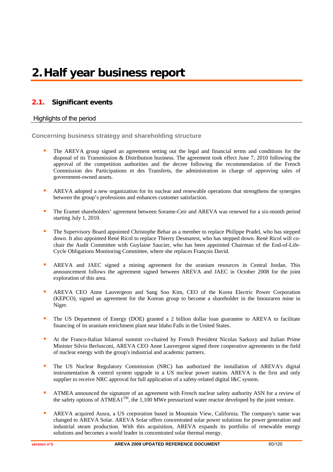### **2.1. Significant events**

### Highlights of the period

**Concerning business strategy and shareholding structure** 

- The AREVA group signed an agreement setting out the legal and financial terms and conditions for the disposal of its Transmission & Distribution business. The agreement took effect June 7, 2010 following the approval of the competition authorities and the decree following the recommendation of the French Commission des Participations et des Transferts, the administration in charge of approving sales of government-owned assets.
- AREVA adopted a new organization for its nuclear and renewable operations that strengthens the synergies between the group's professions and enhances customer satisfaction.
- The Eramet shareholders' agreement between Sorame-Ceir and AREVA was renewed for a six-month period starting July 1, 2010.
- The Supervisory Board appointed Christophe Behar as a member to replace Philippe Pradel, who has stepped down. It also appointed René Ricol to replace Thierry Desmarest, who has stepped down. René Ricol will cochair the Audit Committee with Guylaine Saucier, who has been appointed Chairman of the End-of-Life-Cycle Obligations Monitoring Committee, where she replaces François David.
- **AREVA** and JAEC signed a mining agreement for the uranium resources in Central Jordan. This announcement follows the agreement signed between AREVA and JAEC in October 2008 for the joint exploration of this area.
- AREVA CEO Anne Lauvergeon and Sang Soo Kim, CEO of the Korea Electric Power Corporation (KEPCO), signed an agreement for the Korean group to become a shareholder in the Imouraren mine in Niger.
- The US Department of Energy (DOE) granted a 2 billion dollar loan guarantee to AREVA to facilitate financing of its uranium enrichment plant near Idaho Falls in the United States.
- At the Franco-Italian bilateral summit co-chaired by French President Nicolas Sarkozy and Italian Prime Minister Silvio Berlusconi, AREVA CEO Anne Lauvergeon signed three cooperative agreements in the field of nuclear energy with the group's industrial and academic partners.
- The US Nuclear Regulatory Commission (NRC) has authorized the installation of AREVA's digital instrumentation & control system upgrade in a US nuclear power station. AREVA is the first and only supplier to receive NRC approval for full application of a safety-related digital I&C system.
- ATMEA announced the signature of an agreement with French nuclear safety authority ASN for a review of the safety options of  $ATMEA1<sup>TM</sup>$ , the 1,100 MWe pressurized water reactor developed by the joint venture.
- AREVA acquired Ausra, a US corporation based in Mountain View, California. The company's name was changed to AREVA Solar. AREVA Solar offers concentrated solar power solutions for power generation and industrial steam production. With this acquisition, AREVA expands its portfolio of renewable energy solutions and becomes a world leader in concentrated solar thermal energy.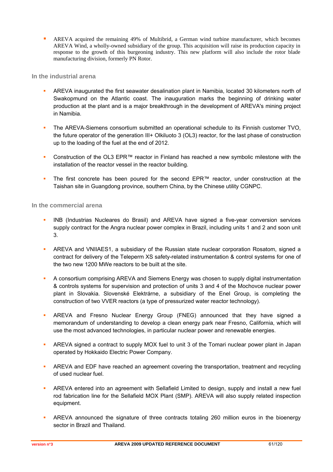AREVA acquired the remaining 49% of Multibrid, a German wind turbine manufacturer, which becomes AREVA Wind, a wholly-owned subsidiary of the group. This acquisition will raise its production capacity in response to the growth of this burgeoning industry. This new platform will also include the rotor blade manufacturing division, formerly PN Rotor.

**In the industrial arena** 

- AREVA inaugurated the first seawater desalination plant in Namibia, located 30 kilometers north of Swakopmund on the Atlantic coast. The inauguration marks the beginning of drinking water production at the plant and is a major breakthrough in the development of AREVA's mining project in Namibia.
- The AREVA-Siemens consortium submitted an operational schedule to its Finnish customer TVO, the future operator of the generation III+ Olkiluoto 3 (OL3) reactor, for the last phase of construction up to the loading of the fuel at the end of 2012.
- Construction of the OL3 EPR™ reactor in Finland has reached a new symbolic milestone with the installation of the reactor vessel in the reactor building.
- The first concrete has been poured for the second EPR™ reactor, under construction at the Taishan site in Guangdong province, southern China, by the Chinese utility CGNPC.

**In the commercial arena** 

- INB (Industrias Nucleares do Brasil) and AREVA have signed a five-year conversion services supply contract for the Angra nuclear power complex in Brazil, including units 1 and 2 and soon unit 3.
- AREVA and VNIIAES1, a subsidiary of the Russian state nuclear corporation Rosatom, signed a contract for delivery of the Teleperm XS safety-related instrumentation & control systems for one of the two new 1200 MWe reactors to be built at the site.
- A consortium comprising AREVA and Siemens Energy was chosen to supply digital instrumentation & controls systems for supervision and protection of units 3 and 4 of the Mochovce nuclear power plant in Slovakia. Slovenské Elektrárne, a subsidiary of the Enel Group, is completing the construction of two VVER reactors (a type of pressurized water reactor technology).
- AREVA and Fresno Nuclear Energy Group (FNEG) announced that they have signed a memorandum of understanding to develop a clean energy park near Fresno, California, which will use the most advanced technologies, in particular nuclear power and renewable energies.
- AREVA signed a contract to supply MOX fuel to unit 3 of the Tomari nuclear power plant in Japan operated by Hokkaido Electric Power Company.
- **AREVA and EDF have reached an agreement covering the transportation, treatment and recycling** of used nuclear fuel.
- AREVA entered into an agreement with Sellafield Limited to design, supply and install a new fuel rod fabrication line for the Sellafield MOX Plant (SMP). AREVA will also supply related inspection equipment.
- AREVA announced the signature of three contracts totaling 260 million euros in the bioenergy sector in Brazil and Thailand.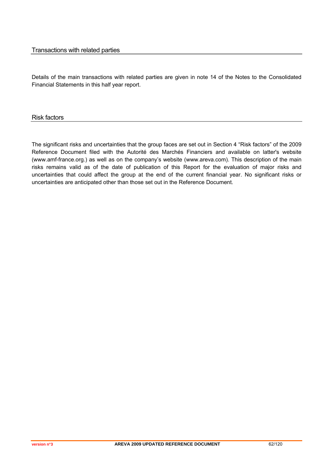### Transactions with related parties

Details of the main transactions with related parties are given in note 14 of the Notes to the Consolidated Financial Statements in this half year report.

Risk factors

The significant risks and uncertainties that the group faces are set out in Section 4 "Risk factors" of the 2009 Reference Document filed with the Autorité des Marchés Financiers and available on latter's website (www.amf-france.org.) as well as on the company's website (www.areva.com). This description of the main risks remains valid as of the date of publication of this Report for the evaluation of major risks and uncertainties that could affect the group at the end of the current financial year. No significant risks or uncertainties are anticipated other than those set out in the Reference Document.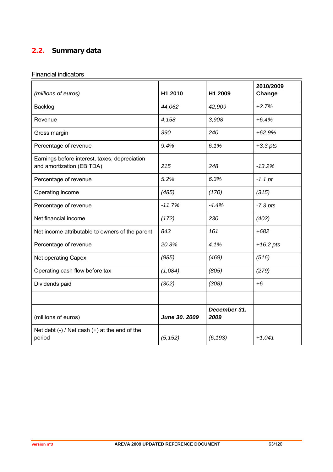# **2.2. Summary data**

# Financial indicators

| (millions of euros)                                                        | H1 2010       | H1 2009              | 2010/2009<br>Change |
|----------------------------------------------------------------------------|---------------|----------------------|---------------------|
| Backlog                                                                    | 44,062        | 42,909               | $+2.7%$             |
| Revenue                                                                    | 4,158         | 3,908                | $+6.4%$             |
| Gross margin                                                               | 390           | 240                  | $+62.9%$            |
| Percentage of revenue                                                      | 9.4%          | 6.1%                 | $+3.3$ pts          |
| Earnings before interest, taxes, depreciation<br>and amortization (EBITDA) | 215           | 248                  | $-13.2%$            |
| Percentage of revenue                                                      | 5.2%          | 6.3%                 | $-1.1$ pt           |
| Operating income                                                           | (485)         | (170)                | (315)               |
| Percentage of revenue                                                      | $-11.7%$      | $-4.4%$              | $-7.3$ pts          |
| Net financial income                                                       | (172)         | 230                  | (402)               |
| Net income attributable to owners of the parent                            | 843           | 161                  | $+682$              |
| Percentage of revenue                                                      | 20.3%         | 4.1%                 | $+16.2$ pts         |
| Net operating Capex                                                        | (985)         | (469)                | (516)               |
| Operating cash flow before tax                                             | (1,084)       | (805)                | (279)               |
| Dividends paid                                                             | (302)         | (308)                | $+6$                |
|                                                                            |               |                      |                     |
| (millions of euros)                                                        | June 30. 2009 | December 31.<br>2009 |                     |
| Net debt $(-)$ / Net cash $(+)$ at the end of the<br>period                | (5, 152)      | (6, 193)             | $+1,041$            |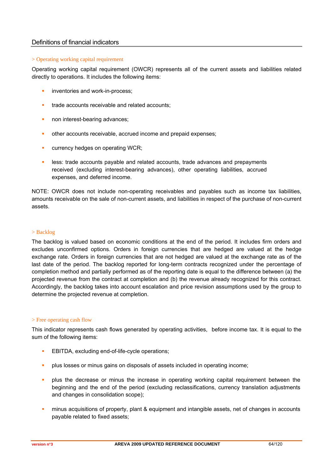### Definitions of financial indicators

### > Operating working capital requirement

Operating working capital requirement (OWCR) represents all of the current assets and liabilities related directly to operations. It includes the following items:

- **inventories and work-in-process;**
- trade accounts receivable and related accounts;
- non interest-bearing advances;
- other accounts receivable, accrued income and prepaid expenses;
- currency hedges on operating WCR;
- **EXECO EXECOUNTER 1999 ISS**: trade accounts payable and related accounts, trade advances and prepayments received (excluding interest-bearing advances), other operating liabilities, accrued expenses, and deferred income.

NOTE: OWCR does not include non-operating receivables and payables such as income tax liabilities, amounts receivable on the sale of non-current assets, and liabilities in respect of the purchase of non-current assets.

### > Backlog

The backlog is valued based on economic conditions at the end of the period. It includes firm orders and excludes unconfirmed options. Orders in foreign currencies that are hedged are valued at the hedge exchange rate. Orders in foreign currencies that are not hedged are valued at the exchange rate as of the last date of the period. The backlog reported for long-term contracts recognized under the percentage of completion method and partially performed as of the reporting date is equal to the difference between (a) the projected revenue from the contract at completion and (b) the revenue already recognized for this contract. Accordingly, the backlog takes into account escalation and price revision assumptions used by the group to determine the projected revenue at completion.

### > Free operating cash flow

This indicator represents cash flows generated by operating activities, before income tax. It is equal to the sum of the following items:

- EBITDA, excluding end-of-life-cycle operations;
- plus losses or minus gains on disposals of assets included in operating income;
- plus the decrease or minus the increase in operating working capital requirement between the beginning and the end of the period (excluding reclassifications, currency translation adjustments and changes in consolidation scope);
- minus acquisitions of property, plant & equipment and intangible assets, net of changes in accounts payable related to fixed assets;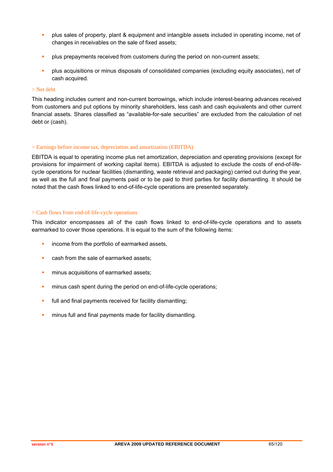- **Property** plus sales of property, plant & equipment and intangible assets included in operating income, net of changes in receivables on the sale of fixed assets;
- plus prepayments received from customers during the period on non-current assets;
- plus acquisitions or minus disposals of consolidated companies (excluding equity associates), net of cash acquired.

### > Net debt

This heading includes current and non-current borrowings, which include interest-bearing advances received from customers and put options by minority shareholders, less cash and cash equivalents and other current financial assets. Shares classified as "available-for-sale securities" are excluded from the calculation of net debt or (cash).

### > Earnings before income tax, depreciation and amortization (EBITDA)

EBITDA is equal to operating income plus net amortization, depreciation and operating provisions (except for provisions for impairment of working capital items). EBITDA is adjusted to exclude the costs of end-of-lifecycle operations for nuclear facilities (dismantling, waste retrieval and packaging) carried out during the year, as well as the full and final payments paid or to be paid to third parties for facility dismantling. It should be noted that the cash flows linked to end-of-life-cycle operations are presented separately.

### > Cash flows from end-of-life-cycle operations

This indicator encompasses all of the cash flows linked to end-of-life-cycle operations and to assets earmarked to cover those operations. It is equal to the sum of the following items:

- **i** income from the portfolio of earmarked assets,
- **Cash from the sale of earmarked assets:**
- **numinus acquisitions of earmarked assets;**
- **numinus cash spent during the period on end-of-life-cycle operations;**
- **full and final payments received for facility dismantling;**
- **numinus full and final payments made for facility dismantling.**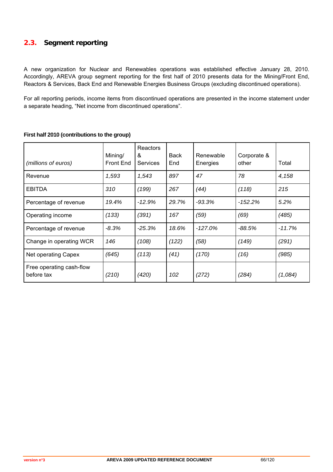# **2.3. Segment reporting**

A new organization for Nuclear and Renewables operations was established effective January 28, 2010. Accordingly, AREVA group segment reporting for the first half of 2010 presents data for the Mining/Front End, Reactors & Services, Back End and Renewable Energies Business Groups (excluding discontinued operations).

For all reporting periods, income items from discontinued operations are presented in the income statement under a separate heading, "Net income from discontinued operations".

| (millions of euros)                    | Mining/<br><b>Front End</b> | Reactors<br>&<br><b>Services</b> | Back<br>End | Renewable<br>Energies | Corporate &<br>other | Total    |
|----------------------------------------|-----------------------------|----------------------------------|-------------|-----------------------|----------------------|----------|
| Revenue                                | 1,593                       | 1,543                            | 897         | 47                    | 78                   | 4,158    |
| <b>EBITDA</b>                          | 310                         | (199)                            | 267         | (44)                  | (118)                | 215      |
| Percentage of revenue                  | 19.4%                       | $-12.9%$                         | 29.7%       | $-93.3%$              | $-152.2\%$           | 5.2%     |
| Operating income                       | (133)                       | (391)                            | 167         | (59)                  | (69)                 | (485)    |
| Percentage of revenue                  | $-8.3%$                     | $-25.3%$                         | 18.6%       | $-127.0%$             | $-88.5%$             | $-11.7%$ |
| Change in operating WCR                | 146                         | (108)                            | (122)       | (58)                  | (149)                | (291)    |
| Net operating Capex                    | (645)                       | (113)                            | (41)        | (170)                 | (16)                 | (985)    |
| Free operating cash-flow<br>before tax | (210)                       | (420)                            | 102         | (272)                 | (284)                | (1,084)  |

### **First half 2010 (contributions to the group)**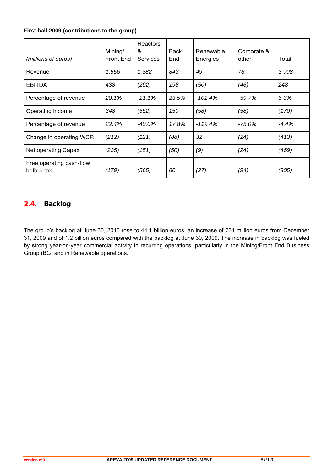### **First half 2009 (contributions to the group)**

| (millions of euros)                    | Mining/<br><b>Front End</b> | Reactors<br>&<br><b>Services</b> | Back<br>End | Renewable<br>Energies | Corporate &<br>other | Total   |
|----------------------------------------|-----------------------------|----------------------------------|-------------|-----------------------|----------------------|---------|
| Revenue                                | 1,556                       | 1,382                            | 843         | 49                    | 78                   | 3,908   |
| <b>EBITDA</b>                          | 438                         | (292)                            | 198         | (50)                  | (46)                 | 248     |
| Percentage of revenue                  | 28.1%                       | $-21.1%$                         | 23.5%       | $-102.4%$             | $-59.7%$             | 6.3%    |
| Operating income                       | 348                         | (552)                            | 150         | (58)                  | (58)                 | (170)   |
| Percentage of revenue                  | 22.4%                       | -40.0%                           | 17.8%       | $-119.4%$             | $-75.0\%$            | $-4.4%$ |
| Change in operating WCR                | (212)                       | (121)                            | (88)        | 32                    | (24)                 | (413)   |
| Net operating Capex                    | (235)                       | (151)                            | (50)        | (9)                   | (24)                 | (469)   |
| Free operating cash-flow<br>before tax | (179)                       | (565)                            | 60          | (27)                  | (94)                 | (805)   |

# **2.4. Backlog**

The group's backlog at June 30, 2010 rose to 44.1 billion euros, an increase of 761 million euros from December 31, 2009 and of 1.2 billion euros compared with the backlog at June 30, 2009. The increase in backlog was fueled by strong year-on-year commercial activity in recurring operations, particularly in the Mining/Front End Business Group (BG) and in Renewable operations.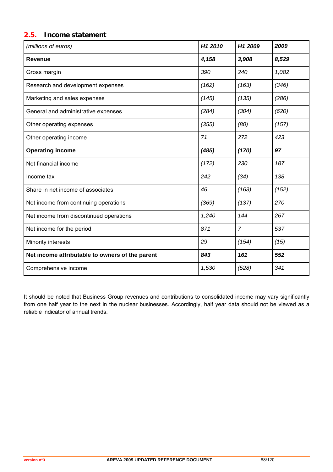### **2.5. Income statement**

| (millions of euros)                             | H1 2010 | H1 2009        | 2009  |
|-------------------------------------------------|---------|----------------|-------|
| <b>Revenue</b>                                  | 4,158   | 3,908          | 8,529 |
| Gross margin                                    | 390     | 240            | 1,082 |
| Research and development expenses               | (162)   | (163)          | (346) |
| Marketing and sales expenses                    | (145)   | (135)          | (286) |
| General and administrative expenses             | (284)   | (304)          | (620) |
| Other operating expenses                        | (355)   | (80)           | (157) |
| Other operating income                          | 71      | 272            | 423   |
| <b>Operating income</b>                         | (485)   | (170)          | 97    |
| Net financial income                            | (172)   | 230            | 187   |
| Income tax                                      | 242     | (34)           | 138   |
| Share in net income of associates               | 46      | (163)          | (152) |
| Net income from continuing operations           | (369)   | (137)          | 270   |
| Net income from discontinued operations         | 1,240   | 144            | 267   |
| Net income for the period                       | 871     | $\overline{7}$ | 537   |
| Minority interests                              | 29      | (154)          | (15)  |
| Net income attributable to owners of the parent | 843     | 161            | 552   |
| Comprehensive income                            | 1,530   | (528)          | 341   |

It should be noted that Business Group revenues and contributions to consolidated income may vary significantly from one half year to the next in the nuclear businesses. Accordingly, half year data should not be viewed as a reliable indicator of annual trends.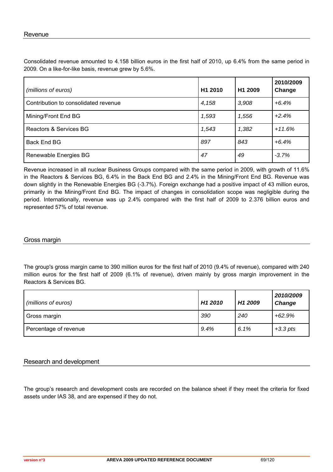Consolidated revenue amounted to 4.158 billion euros in the first half of 2010, up 6.4% from the same period in 2009. On a like-for-like basis, revenue grew by 5.6%.

| (millions of euros)                  | H1 2010 | H <sub>1</sub> 2009 | 2010/2009<br>Change |
|--------------------------------------|---------|---------------------|---------------------|
| Contribution to consolidated revenue | 4,158   | 3,908               | $+6.4%$             |
| Mining/Front End BG                  | 1,593   | 1,556               | $+2.4%$             |
| Reactors & Services BG               | 1,543   | 1,382               | $+11.6%$            |
| Back End BG                          | 897     | 843                 | $+6.4\%$            |
| Renewable Energies BG                | 47      | 49                  | $-3.7%$             |

Revenue increased in all nuclear Business Groups compared with the same period in 2009, with growth of 11.6% in the Reactors & Services BG, 6.4% in the Back End BG and 2.4% in the Mining/Front End BG. Revenue was down slightly in the Renewable Energies BG (-3.7%). Foreign exchange had a positive impact of 43 million euros, primarily in the Mining/Front End BG. The impact of changes in consolidation scope was negligible during the period. Internationally, revenue was up 2.4% compared with the first half of 2009 to 2.376 billion euros and represented 57% of total revenue.

### Gross margin

The group's gross margin came to 390 million euros for the first half of 2010 (9.4% of revenue), compared with 240 million euros for the first half of 2009 (6.1% of revenue), driven mainly by gross margin improvement in the Reactors & Services BG.

| (millions of euros)   | H <sub>1</sub> 2010 | H <sub>1</sub> 2009 | 2010/2009<br><b>Change</b> |
|-----------------------|---------------------|---------------------|----------------------------|
| Gross margin          | 390                 | 240                 | $+62.9%$                   |
| Percentage of revenue | 9.4%                | 6.1%                | $+3.3$ pts                 |

### Research and development

The group's research and development costs are recorded on the balance sheet if they meet the criteria for fixed assets under IAS 38, and are expensed if they do not.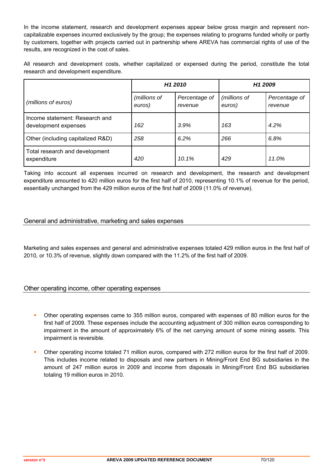In the income statement, research and development expenses appear below gross margin and represent noncapitalizable expenses incurred exclusively by the group; the expenses relating to programs funded wholly or partly by customers, together with projects carried out in partnership where AREVA has commercial rights of use of the results, are recognized in the cost of sales.

All research and development costs, whether capitalized or expensed during the period, constitute the total research and development expenditure.

|                                                        | H <sub>1</sub> 2010    |                          | H <sub>1</sub> 2009    |                          |
|--------------------------------------------------------|------------------------|--------------------------|------------------------|--------------------------|
| (millions of euros)                                    | (millions of<br>euros) | Percentage of<br>revenue | (millions of<br>euros) | Percentage of<br>revenue |
| Income statement: Research and<br>development expenses | 162                    | 3.9%                     | 163                    | 4.2%                     |
| Other (including capitalized R&D)                      | 258                    | 6.2%                     | 266                    | 6.8%                     |
| Total research and development<br>expenditure          | 420                    | 10.1%                    | 429                    | 11.0%                    |

Taking into account all expenses incurred on research and development, the research and development expenditure amounted to 420 million euros for the first half of 2010, representing 10.1% of revenue for the period, essentially unchanged from the 429 million euros of the first half of 2009 (11.0% of revenue).

### General and administrative, marketing and sales expenses

Marketing and sales expenses and general and administrative expenses totaled 429 million euros in the first half of 2010, or 10.3% of revenue, slightly down compared with the 11.2% of the first half of 2009.

### Other operating income, other operating expenses

- Other operating expenses came to 355 million euros, compared with expenses of 80 million euros for the first half of 2009. These expenses include the accounting adjustment of 300 million euros corresponding to impairment in the amount of approximately 6% of the net carrying amount of some mining assets. This impairment is reversible.
- Other operating income totaled 71 million euros, compared with 272 million euros for the first half of 2009. This includes income related to disposals and new partners in Mining/Front End BG subsidiaries in the amount of 247 million euros in 2009 and income from disposals in Mining/Front End BG subsidiaries totaling 19 million euros in 2010.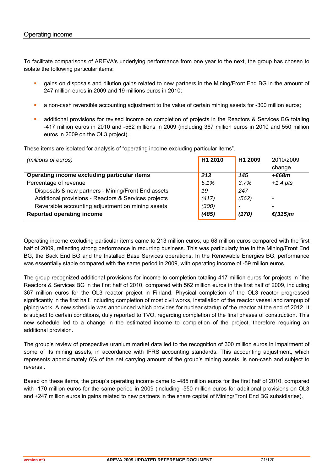To facilitate comparisons of AREVA's underlying performance from one year to the next, the group has chosen to isolate the following particular items:

- gains on disposals and dilution gains related to new partners in the Mining/Front End BG in the amount of 247 million euros in 2009 and 19 millions euros in 2010;
- a non-cash reversible accounting adjustment to the value of certain mining assets for -300 million euros;
- additional provisions for revised income on completion of projects in the Reactors & Services BG totaling -417 million euros in 2010 and -562 millions in 2009 (including 367 million euros in 2010 and 550 million euros in 2009 on the OL3 project).

These items are isolated for analysis of "operating income excluding particular items".

| (millions of euros)                                  | H <sub>1</sub> 2010 | H <sub>1</sub> 2009 | 2010/2009  |
|------------------------------------------------------|---------------------|---------------------|------------|
|                                                      |                     |                     | change     |
| Operating income excluding particular items          | 213                 | 145                 | +€68m      |
| Percentage of revenue                                | 5.1%                | 3.7%                | $+1.4$ pts |
| Disposals & new partners - Mining/Front End assets   | 19                  | 247                 |            |
| Additional provisions - Reactors & Services projects | (417)               | (562)               |            |
| Reversible accounting adjustment on mining assets    | (300)               | $\overline{a}$      |            |
| <b>Reported operating income</b>                     | (485)               | (170)               | €(315) $m$ |

Operating income excluding particular items came to 213 million euros, up 68 million euros compared with the first half of 2009, reflecting strong performance in recurring business. This was particularly true in the Mining/Front End BG, the Back End BG and the Installed Base Services operations. In the Renewable Energies BG, performance was essentially stable compared with the same period in 2009, with operating income of -59 million euros.

The group recognized additional provisions for income to completion totaling 417 million euros for projects in `the Reactors & Services BG in the first half of 2010, compared with 562 million euros in the first half of 2009, including 367 million euros for the OL3 reactor project in Finland. Physical completion of the OL3 reactor progressed significantly in the first half, including completion of most civil works, installation of the reactor vessel and rampup of piping work. A new schedule was announced which provides for nuclear startup of the reactor at the end of 2012. It is subject to certain conditions, duly reported to TVO, regarding completion of the final phases of construction. This new schedule led to a change in the estimated income to completion of the project, therefore requiring an additional provision.

The group's review of prospective uranium market data led to the recognition of 300 million euros in impairment of some of its mining assets, in accordance with IFRS accounting standards. This accounting adjustment, which represents approximately 6% of the net carrying amount of the group's mining assets, is non-cash and subject to reversal.

Based on these items, the group's operating income came to -485 million euros for the first half of 2010, compared with -170 million euros for the same period in 2009 (including -550 million euros for additional provisions on OL3 and +247 million euros in gains related to new partners in the share capital of Mining/Front End BG subsidiaries).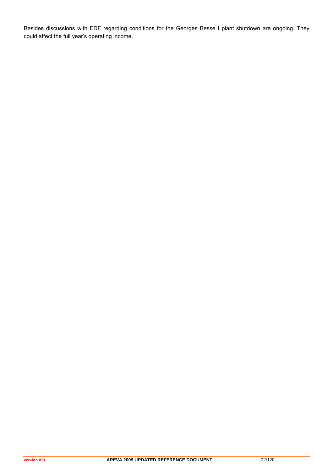Besides discussions with EDF regarding conditions for the Georges Besse I plant shutdown are ongoing. They could affect the full year's operating income.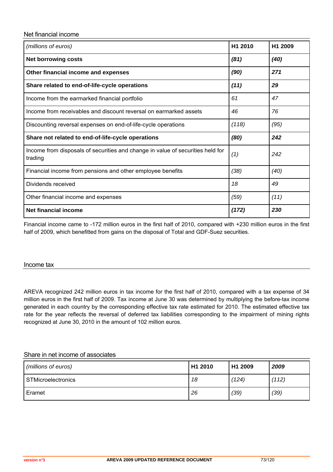#### Net financial income

| (millions of euros)                                                                       | H <sub>1</sub> 2010 | H <sub>1</sub> 2009 |
|-------------------------------------------------------------------------------------------|---------------------|---------------------|
| <b>Net borrowing costs</b>                                                                | (81)                | (40)                |
| (90)<br>Other financial income and expenses                                               |                     | 271                 |
| Share related to end-of-life-cycle operations                                             | (11)                | 29                  |
| Income from the earmarked financial portfolio                                             | 61                  | 47                  |
| Income from receivables and discount reversal on earmarked assets                         | 46                  | 76                  |
| Discounting reversal expenses on end-of-life-cycle operations                             | (118)               | (95)                |
| Share not related to end-of-life-cycle operations                                         | (80)                | 242                 |
| Income from disposals of securities and change in value of securities held for<br>trading | (1)                 | 242                 |
| Financial income from pensions and other employee benefits                                | (38)                | (40)                |
| Dividends received                                                                        | 18                  | 49                  |
| Other financial income and expenses                                                       | (59)                | (11)                |
| Net financial income                                                                      | (172)               | 230                 |

Financial income came to -172 million euros in the first half of 2010, compared with +230 million euros in the first half of 2009, which benefitted from gains on the disposal of Total and GDF-Suez securities.

#### Income tax

AREVA recognized 242 million euros in tax income for the first half of 2010, compared with a tax expense of 34 million euros in the first half of 2009. Tax income at June 30 was determined by multiplying the before-tax income generated in each country by the corresponding effective tax rate estimated for 2010. The estimated effective tax rate for the year reflects the reversal of deferred tax liabilities corresponding to the impairment of mining rights recognized at June 30, 2010 in the amount of 102 million euros.

#### Share in net income of associates

| (millions of euros) | H1 2010 | H <sub>1</sub> 2009 | 2009  |
|---------------------|---------|---------------------|-------|
| STMicroelectronics  | 18      | (124)               | (112) |
| Eramet              | 26      | (39)                | (39)  |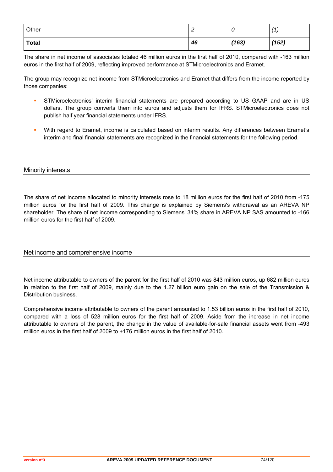| Other | $\sim$<br><u>_</u> | U     | (1)   |
|-------|--------------------|-------|-------|
| Total | 46                 | (163) | (152) |

The share in net income of associates totaled 46 million euros in the first half of 2010, compared with -163 million euros in the first half of 2009, reflecting improved performance at STMicroelectronics and Eramet.

The group may recognize net income from STMicroelectronics and Eramet that differs from the income reported by those companies:

- STMicroelectronics' interim financial statements are prepared according to US GAAP and are in US dollars. The group converts them into euros and adjusts them for IFRS. STMicroelectronics does not publish half year financial statements under IFRS.
- With regard to Eramet, income is calculated based on interim results. Any differences between Eramet's interim and final financial statements are recognized in the financial statements for the following period.

#### Minority interests

The share of net income allocated to minority interests rose to 18 million euros for the first half of 2010 from -175 million euros for the first half of 2009. This change is explained by Siemens's withdrawal as an AREVA NP shareholder. The share of net income corresponding to Siemens' 34% share in AREVA NP SAS amounted to -166 million euros for the first half of 2009.

## Net income and comprehensive income

Net income attributable to owners of the parent for the first half of 2010 was 843 million euros, up 682 million euros in relation to the first half of 2009, mainly due to the 1.27 billion euro gain on the sale of the Transmission & Distribution business.

Comprehensive income attributable to owners of the parent amounted to 1.53 billion euros in the first half of 2010, compared with a loss of 528 million euros for the first half of 2009. Aside from the increase in net income attributable to owners of the parent, the change in the value of available-for-sale financial assets went from -493 million euros in the first half of 2009 to +176 million euros in the first half of 2010.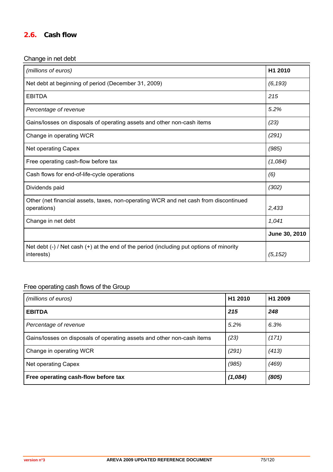## **2.6. Cash flow**

## Change in net debt

| (millions of euros)                                                                                       | H1 2010       |
|-----------------------------------------------------------------------------------------------------------|---------------|
| Net debt at beginning of period (December 31, 2009)                                                       | (6, 193)      |
| <b>EBITDA</b>                                                                                             | 215           |
| Percentage of revenue                                                                                     | 5.2%          |
| Gains/losses on disposals of operating assets and other non-cash items                                    | (23)          |
| Change in operating WCR                                                                                   | (291)         |
| Net operating Capex                                                                                       | (985)         |
| Free operating cash-flow before tax                                                                       | (1,084)       |
| Cash flows for end-of-life-cycle operations                                                               | (6)           |
| Dividends paid                                                                                            | (302)         |
| Other (net financial assets, taxes, non-operating WCR and net cash from discontinued<br>operations)       | 2,433         |
| Change in net debt                                                                                        | 1,041         |
|                                                                                                           | June 30, 2010 |
| Net debt $(-)$ / Net cash $(+)$ at the end of the period (including put options of minority<br>interests) | (5, 152)      |

# Free operating cash flows of the Group

| (millions of euros)                                                    | H1 2010 | H1 2009 |
|------------------------------------------------------------------------|---------|---------|
| <b>EBITDA</b>                                                          | 215     | 248     |
| Percentage of revenue                                                  | 5.2%    | 6.3%    |
| Gains/losses on disposals of operating assets and other non-cash items | (23)    | (171)   |
| Change in operating WCR                                                | (291)   | (413)   |
| Net operating Capex                                                    | (985)   | (469)   |
| Free operating cash-flow before tax                                    | (1,084) | (805)   |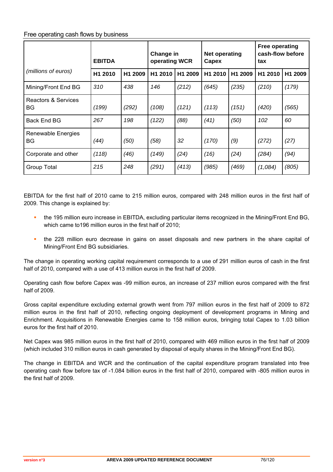## Free operating cash flows by business

|                           | <b>EBITDA</b> |         | Change in<br>operating WCR |         | <b>Net operating</b><br>Capex |                     | Free operating<br>cash-flow before<br>tax |                     |
|---------------------------|---------------|---------|----------------------------|---------|-------------------------------|---------------------|-------------------------------------------|---------------------|
| (millions of euros)       | H1 2010       | H1 2009 | H1 2010                    | H1 2009 | H1 2010                       | H <sub>1</sub> 2009 | H <sub>1</sub> 2010                       | H <sub>1</sub> 2009 |
| Mining/Front End BG       | 310           | 438     | 146                        | (212)   | (645)                         | (235)               | (210)                                     | (179)               |
| Reactors & Services<br>BG | (199)         | (292)   | (108)                      | (121)   | (113)                         | (151)               | (420)                                     | (565)               |
| <b>Back End BG</b>        | 267           | 198     | (122)                      | (88)    | (41)                          | (50)                | 102                                       | 60                  |
| Renewable Energies<br>BG  | (44)          | (50)    | (58)                       | 32      | (170)                         | (9)                 | (272)                                     | (27)                |
| Corporate and other       | (118)         | (46)    | (149)                      | (24)    | (16)                          | (24)                | (284)                                     | (94)                |
| Group Total               | 215           | 248     | (291)                      | (413)   | (985)                         | (469)               | (1,084)                                   | (805)               |

EBITDA for the first half of 2010 came to 215 million euros, compared with 248 million euros in the first half of 2009. This change is explained by:

- the 195 million euro increase in EBITDA, excluding particular items recognized in the Mining/Front End BG, which came to 196 million euros in the first half of 2010:
- the 228 million euro decrease in gains on asset disposals and new partners in the share capital of Mining/Front End BG subsidiaries.

The change in operating working capital requirement corresponds to a use of 291 million euros of cash in the first half of 2010, compared with a use of 413 million euros in the first half of 2009.

Operating cash flow before Capex was -99 million euros, an increase of 237 million euros compared with the first half of 2009.

Gross capital expenditure excluding external growth went from 797 million euros in the first half of 2009 to 872 million euros in the first half of 2010, reflecting ongoing deployment of development programs in Mining and Enrichment. Acquisitions in Renewable Energies came to 158 million euros, bringing total Capex to 1.03 billion euros for the first half of 2010.

Net Capex was 985 million euros in the first half of 2010, compared with 469 million euros in the first half of 2009 (which included 310 million euros in cash generated by disposal of equity shares in the Mining/Front End BG).

The change in EBITDA and WCR and the continuation of the capital expenditure program translated into free operating cash flow before tax of -1.084 billion euros in the first half of 2010, compared with -805 million euros in the first half of 2009.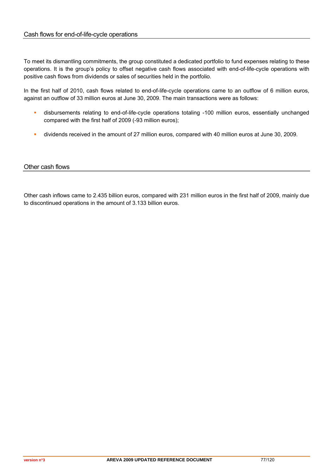To meet its dismantling commitments, the group constituted a dedicated portfolio to fund expenses relating to these operations. It is the group's policy to offset negative cash flows associated with end-of-life-cycle operations with positive cash flows from dividends or sales of securities held in the portfolio.

In the first half of 2010, cash flows related to end-of-life-cycle operations came to an outflow of 6 million euros, against an outflow of 33 million euros at June 30, 2009. The main transactions were as follows:

- disbursements relating to end-of-life-cycle operations totaling -100 million euros, essentially unchanged compared with the first half of 2009 (-93 million euros);
- dividends received in the amount of 27 million euros, compared with 40 million euros at June 30, 2009.

## Other cash flows

Other cash inflows came to 2.435 billion euros, compared with 231 million euros in the first half of 2009, mainly due to discontinued operations in the amount of 3.133 billion euros.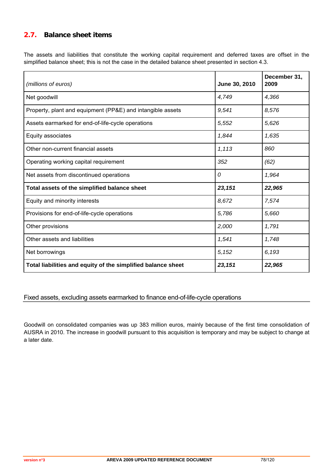## **2.7. Balance sheet items**

The assets and liabilities that constitute the working capital requirement and deferred taxes are offset in the simplified balance sheet; this is not the case in the detailed balance sheet presented in section 4.3.

| (millions of euros)                                          | June 30, 2010 | December 31,<br>2009 |
|--------------------------------------------------------------|---------------|----------------------|
| Net goodwill                                                 | 4,749         | 4,366                |
| Property, plant and equipment (PP&E) and intangible assets   | 9,541         | 8,576                |
| Assets earmarked for end-of-life-cycle operations            | 5,552         | 5,626                |
| Equity associates                                            | 1,844         | 1,635                |
| Other non-current financial assets                           | 1,113         | 860                  |
| Operating working capital requirement                        | 352           | (62)                 |
| Net assets from discontinued operations                      | 0             | 1,964                |
| Total assets of the simplified balance sheet                 | 23,151        | 22,965               |
| Equity and minority interests                                | 8,672         | 7,574                |
| Provisions for end-of-life-cycle operations                  | 5,786         | 5,660                |
| Other provisions                                             | 2,000         | 1,791                |
| Other assets and liabilities                                 | 1,541         | 1,748                |
| Net borrowings                                               | 5,152         | 6,193                |
| Total liabilities and equity of the simplified balance sheet | 23,151        | 22,965               |

## Fixed assets, excluding assets earmarked to finance end-of-life-cycle operations

Goodwill on consolidated companies was up 383 million euros, mainly because of the first time consolidation of AUSRA in 2010. The increase in goodwill pursuant to this acquisition is temporary and may be subject to change at a later date.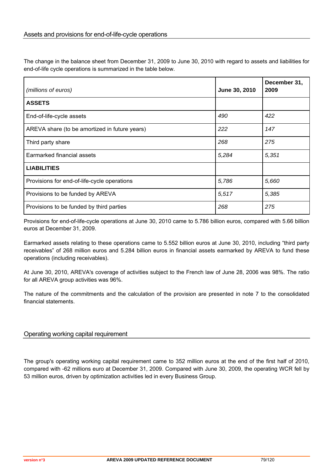The change in the balance sheet from December 31, 2009 to June 30, 2010 with regard to assets and liabilities for end-of-life cycle operations is summarized in the table below.

| (millions of euros)                           | June 30, 2010 | December 31,<br>2009 |
|-----------------------------------------------|---------------|----------------------|
| <b>ASSETS</b>                                 |               |                      |
| End-of-life-cycle assets                      | 490           | 422                  |
| AREVA share (to be amortized in future years) | 222           | 147                  |
| Third party share                             | 268           | 275                  |
| Earmarked financial assets                    | 5,284         | 5,351                |
| <b>LIABILITIES</b>                            |               |                      |
| Provisions for end-of-life-cycle operations   | 5,786         | 5,660                |
| Provisions to be funded by AREVA              | 5,517         | 5,385                |
| Provisions to be funded by third parties      | 268           | 275                  |

Provisions for end-of-life-cycle operations at June 30, 2010 came to 5.786 billion euros, compared with 5.66 billion euros at December 31, 2009.

Earmarked assets relating to these operations came to 5.552 billion euros at June 30, 2010, including "third party receivables" of 268 million euros and 5.284 billion euros in financial assets earmarked by AREVA to fund these operations (including receivables).

At June 30, 2010, AREVA's coverage of activities subject to the French law of June 28, 2006 was 98%. The ratio for all AREVA group activities was 96%.

The nature of the commitments and the calculation of the provision are presented in note 7 to the consolidated financial statements.

## Operating working capital requirement

The group's operating working capital requirement came to 352 million euros at the end of the first half of 2010, compared with -62 millions euro at December 31, 2009. Compared with June 30, 2009, the operating WCR fell by 53 million euros, driven by optimization activities led in every Business Group.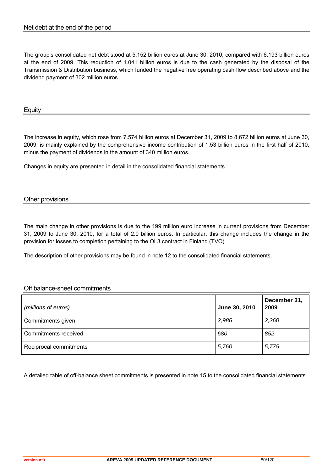The group's consolidated net debt stood at 5.152 billion euros at June 30, 2010, compared with 6.193 billion euros at the end of 2009. This reduction of 1.041 billion euros is due to the cash generated by the disposal of the Transmission & Distribution business, which funded the negative free operating cash flow described above and the dividend payment of 302 million euros.

#### **Equity**

The increase in equity, which rose from 7.574 billion euros at December 31, 2009 to 8.672 billion euros at June 30, 2009, is mainly explained by the comprehensive income contribution of 1.53 billion euros in the first half of 2010, minus the payment of dividends in the amount of 340 million euros.

Changes in equity are presented in detail in the consolidated financial statements.

## Other provisions

The main change in other provisions is due to the 199 million euro increase in current provisions from December 31, 2009 to June 30, 2010, for a total of 2.0 billion euros. In particular, this change includes the change in the provision for losses to completion pertaining to the OL3 contract in Finland (TVO).

The description of other provisions may be found in note 12 to the consolidated financial statements.

## Off balance-sheet commitments

| (millions of euros)    | June 30, 2010 | December 31,<br>2009 |
|------------------------|---------------|----------------------|
| Commitments given      | 2,986         | 2,260                |
| Commitments received   | 680           | 852                  |
| Reciprocal commitments | 5,760         | 5,775                |

A detailed table of off-balance sheet commitments is presented in note 15 to the consolidated financial statements.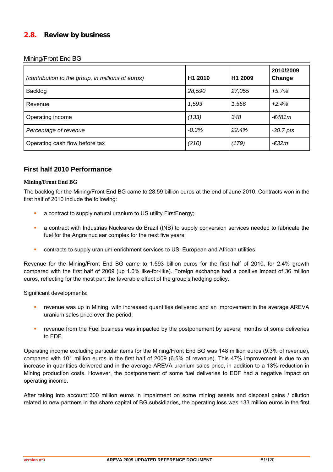## **2.8. Review by business**

Mining/Front End BG

| (contribution to the group, in millions of euros) | H1 2010 | H1 2009 | 2010/2009<br>Change |
|---------------------------------------------------|---------|---------|---------------------|
| Backlog                                           | 28,590  | 27,055  | $+5.7%$             |
| Revenue                                           | 1,593   | 1,556   | $+2.4%$             |
| Operating income                                  | (133)   | 348     | $-€481m$            |
| Percentage of revenue                             | $-8.3%$ | 22.4%   | $-30.7$ pts         |
| Operating cash flow before tax                    | (210)   | (179)   | $-632m$             |

## **First half 2010 Performance**

#### **Mining/Front End BG**

The backlog for the Mining/Front End BG came to 28.59 billion euros at the end of June 2010. Contracts won in the first half of 2010 include the following:

- a contract to supply natural uranium to US utility FirstEnergy;
- a contract with Industrias Nucleares do Brazil (INB) to supply conversion services needed to fabricate the fuel for the Angra nuclear complex for the next five years;
- contracts to supply uranium enrichment services to US, European and African utilities.

Revenue for the Mining/Front End BG came to 1.593 billion euros for the first half of 2010, for 2.4% growth compared with the first half of 2009 (up 1.0% like-for-like). Foreign exchange had a positive impact of 36 million euros, reflecting for the most part the favorable effect of the group's hedging policy.

Significant developments:

- revenue was up in Mining, with increased quantities delivered and an improvement in the average AREVA uranium sales price over the period;
- revenue from the Fuel business was impacted by the postponement by several months of some deliveries to EDF.

Operating income excluding particular items for the Mining/Front End BG was 148 million euros (9.3% of revenue), compared with 101 million euros in the first half of 2009 (6.5% of revenue). This 47% improvement is due to an increase in quantities delivered and in the average AREVA uranium sales price, in addition to a 13% reduction in Mining production costs. However, the postponement of some fuel deliveries to EDF had a negative impact on operating income.

After taking into account 300 million euros in impairment on some mining assets and disposal gains / dilution related to new partners in the share capital of BG subsidiaries, the operating loss was 133 million euros in the first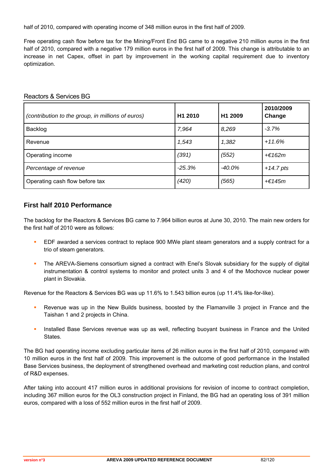half of 2010, compared with operating income of 348 million euros in the first half of 2009.

Free operating cash flow before tax for the Mining/Front End BG came to a negative 210 million euros in the first half of 2010, compared with a negative 179 million euros in the first half of 2009. This change is attributable to an increase in net Capex, offset in part by improvement in the working capital requirement due to inventory optimization.

| (contribution to the group, in millions of euros) | H1 2010  | H <sub>1</sub> 2009 | 2010/2009<br>Change |
|---------------------------------------------------|----------|---------------------|---------------------|
| Backlog                                           | 7,964    | 8,269               | $-3.7%$             |
| Revenue                                           | 1,543    | 1,382               | $+11.6%$            |
| Operating income                                  | (391)    | (552)               | $+$ $E162m$         |
| Percentage of revenue                             | $-25.3%$ | $-40.0\%$           | $+14.7$ pts         |
| Operating cash flow before tax                    | (420)    | (565)               | +€145m              |

#### Reactors & Services BG

## **First half 2010 Performance**

The backlog for the Reactors & Services BG came to 7.964 billion euros at June 30, 2010. The main new orders for the first half of 2010 were as follows:

- EDF awarded a services contract to replace 900 MWe plant steam generators and a supply contract for a trio of steam generators.
- The AREVA-Siemens consortium signed a contract with Enel's Slovak subsidiary for the supply of digital instrumentation & control systems to monitor and protect units 3 and 4 of the Mochovce nuclear power plant in Slovakia.

Revenue for the Reactors & Services BG was up 11.6% to 1.543 billion euros (up 11.4% like-for-like).

- Revenue was up in the New Builds business, boosted by the Flamanville 3 project in France and the Taishan 1 and 2 projects in China.
- Installed Base Services revenue was up as well, reflecting buoyant business in France and the United States.

The BG had operating income excluding particular items of 26 million euros in the first half of 2010, compared with 10 million euros in the first half of 2009. This improvement is the outcome of good performance in the Installed Base Services business, the deployment of strengthened overhead and marketing cost reduction plans, and control of R&D expenses.

After taking into account 417 million euros in additional provisions for revision of income to contract completion, including 367 million euros for the OL3 construction project in Finland, the BG had an operating loss of 391 million euros, compared with a loss of 552 million euros in the first half of 2009.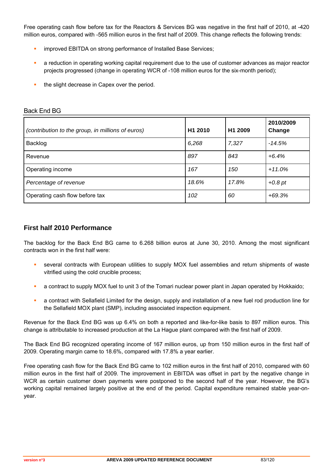Free operating cash flow before tax for the Reactors & Services BG was negative in the first half of 2010, at -420 million euros, compared with -565 million euros in the first half of 2009. This change reflects the following trends:

- improved EBITDA on strong performance of Installed Base Services;
- a reduction in operating working capital requirement due to the use of customer advances as major reactor projects progressed (change in operating WCR of -108 million euros for the six-month period);
- the slight decrease in Capex over the period.

| (contribution to the group, in millions of euros) | H1 2010 | H1 2009 | 2010/2009<br>Change |
|---------------------------------------------------|---------|---------|---------------------|
| Backlog                                           | 6,268   | 7,327   | $-14.5%$            |
| Revenue                                           | 897     | 843     | $+6.4%$             |
| Operating income                                  | 167     | 150     | $+11.0%$            |
| Percentage of revenue                             | 18.6%   | 17.8%   | $+0.8$ pt           |
| Operating cash flow before tax                    | 102     | 60      | $+69.3%$            |

#### Back End BG

## **First half 2010 Performance**

The backlog for the Back End BG came to 6.268 billion euros at June 30, 2010. Among the most significant contracts won in the first half were:

- several contracts with European utilities to supply MOX fuel assemblies and return shipments of waste vitrified using the cold crucible process;
- a contract to supply MOX fuel to unit 3 of the Tomari nuclear power plant in Japan operated by Hokkaido;
- a contract with Sellafield Limited for the design, supply and installation of a new fuel rod production line for the Sellafield MOX plant (SMP), including associated inspection equipment.

Revenue for the Back End BG was up 6.4% on both a reported and like-for-like basis to 897 million euros. This change is attributable to increased production at the La Hague plant compared with the first half of 2009.

The Back End BG recognized operating income of 167 million euros, up from 150 million euros in the first half of 2009. Operating margin came to 18.6%, compared with 17.8% a year earlier.

Free operating cash flow for the Back End BG came to 102 million euros in the first half of 2010, compared with 60 million euros in the first half of 2009. The improvement in EBITDA was offset in part by the negative change in WCR as certain customer down payments were postponed to the second half of the year. However, the BG's working capital remained largely positive at the end of the period. Capital expenditure remained stable year-onyear.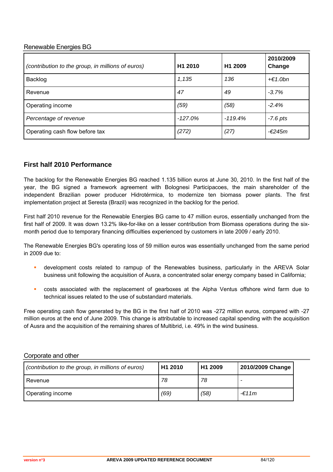## Renewable Energies BG

| (contribution to the group, in millions of euros) | H <sub>1</sub> 2010 | H <sub>1</sub> 2009 | 2010/2009<br>Change |
|---------------------------------------------------|---------------------|---------------------|---------------------|
| Backlog                                           | 1,135               | 136                 | $+€1.0bn$           |
| Revenue                                           | 47                  | 49                  | $-3.7%$             |
| Operating income                                  | (59)                | (58)                | $-2.4%$             |
| Percentage of revenue                             | $-127.0%$           | $-119.4%$           | $-7.6$ pts          |
| Operating cash flow before tax                    | (272)               | (27)                | $-€245m$            |

## **First half 2010 Performance**

The backlog for the Renewable Energies BG reached 1.135 billion euros at June 30, 2010. In the first half of the year, the BG signed a framework agreement with Bolognesi Participacoes, the main shareholder of the independent Brazilian power producer Hidrotérmica, to modernize ten biomass power plants. The first implementation project at Seresta (Brazil) was recognized in the backlog for the period.

First half 2010 revenue for the Renewable Energies BG came to 47 million euros, essentially unchanged from the first half of 2009. It was down 13.2% like-for-like on a lesser contribution from Biomass operations during the sixmonth period due to temporary financing difficulties experienced by customers in late 2009 / early 2010.

The Renewable Energies BG's operating loss of 59 million euros was essentially unchanged from the same period in 2009 due to:

- development costs related to rampup of the Renewables business, particularly in the AREVA Solar business unit following the acquisition of Ausra, a concentrated solar energy company based in California;
- costs associated with the replacement of gearboxes at the Alpha Ventus offshore wind farm due to technical issues related to the use of substandard materials.

Free operating cash flow generated by the BG in the first half of 2010 was -272 million euros, compared with -27 million euros at the end of June 2009. This change is attributable to increased capital spending with the acquisition of Ausra and the acquisition of the remaining shares of Multibrid, i.e. 49% in the wind business.

## Corporate and other

| (contribution to the group, in millions of euros) | H <sub>1</sub> 2010 | H <sub>1</sub> 2009 | 2010/2009 Change |
|---------------------------------------------------|---------------------|---------------------|------------------|
| Revenue                                           | 78                  | 78                  |                  |
| Operating income                                  | (69)                | (58)                | $-£11m$          |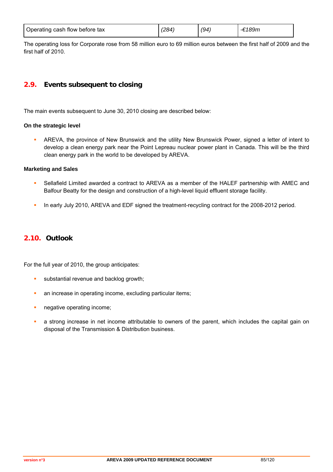| Operating cash flow before tax | (284) | (94 | `189m |
|--------------------------------|-------|-----|-------|
|--------------------------------|-------|-----|-------|

The operating loss for Corporate rose from 58 million euro to 69 million euros between the first half of 2009 and the first half of 2010.

## **2.9. Events subsequent to closing**

The main events subsequent to June 30, 2010 closing are described below:

#### **On the strategic level**

 AREVA, the province of New Brunswick and the utility New Brunswick Power, signed a letter of intent to develop a clean energy park near the Point Lepreau nuclear power plant in Canada. This will be the third clean energy park in the world to be developed by AREVA.

#### **Marketing and Sales**

- Sellafield Limited awarded a contract to AREVA as a member of the HALEF partnership with AMEC and Balfour Beatty for the design and construction of a high-level liquid effluent storage facility.
- In early July 2010, AREVA and EDF signed the treatment-recycling contract for the 2008-2012 period.

## **2.10. Outlook**

For the full year of 2010, the group anticipates:

- substantial revenue and backlog growth;
- **an increase in operating income, excluding particular items;**
- **negative operating income;**
- **a** a strong increase in net income attributable to owners of the parent, which includes the capital gain on disposal of the Transmission & Distribution business.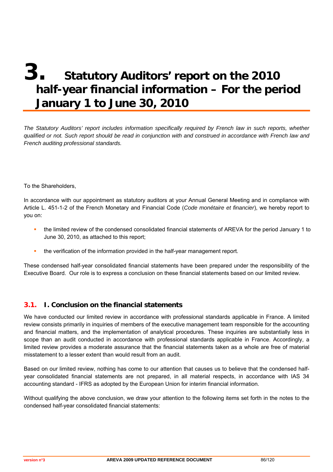# **3. Statutory Auditors' report on the 2010 half-year financial information – For the period January 1 to June 30, 2010**

*The Statutory Auditors' report includes information specifically required by French law in such reports, whether qualified or not. Such report should be read in conjunction with and construed in accordance with French law and French auditing professional standards.* 

To the Shareholders,

In accordance with our appointment as statutory auditors at your Annual General Meeting and in compliance with Article L. 451-1-2 of the French Monetary and Financial Code (*Code monétaire et financier*), we hereby report to you on:

- the limited review of the condensed consolidated financial statements of AREVA for the period January 1 to June 30, 2010, as attached to this report;
- the verification of the information provided in the half-year management report.

These condensed half-year consolidated financial statements have been prepared under the responsibility of the Executive Board. Our role is to express a conclusion on these financial statements based on our limited review.

## **3.1. I. Conclusion on the financial statements**

We have conducted our limited review in accordance with professional standards applicable in France. A limited review consists primarily in inquiries of members of the executive management team responsible for the accounting and financial matters, and the implementation of analytical procedures. These inquiries are substantially less in scope than an audit conducted in accordance with professional standards applicable in France. Accordingly, a limited review provides a moderate assurance that the financial statements taken as a whole are free of material misstatement to a lesser extent than would result from an audit.

Based on our limited review, nothing has come to our attention that causes us to believe that the condensed halfyear consolidated financial statements are not prepared, in all material respects, in accordance with IAS 34 accounting standard - IFRS as adopted by the European Union for interim financial information.

Without qualifying the above conclusion, we draw your attention to the following items set forth in the notes to the condensed half-year consolidated financial statements: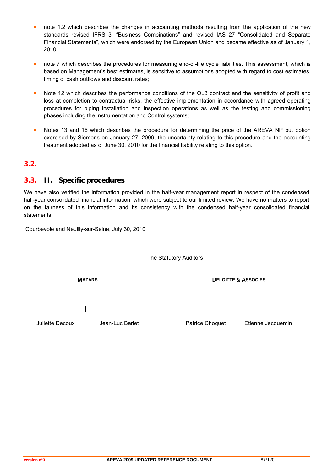- note 1.2 which describes the changes in accounting methods resulting from the application of the new standards revised IFRS 3 "Business Combinations" and revised IAS 27 "Consolidated and Separate Financial Statements", which were endorsed by the European Union and became effective as of January 1, 2010;
- note 7 which describes the procedures for measuring end-of-life cycle liabilities. This assessment, which is based on Management's best estimates, is sensitive to assumptions adopted with regard to cost estimates, timing of cash outflows and discount rates;
- Note 12 which describes the performance conditions of the OL3 contract and the sensitivity of profit and loss at completion to contractual risks, the effective implementation in accordance with agreed operating procedures for piping installation and inspection operations as well as the testing and commissioning phases including the Instrumentation and Control systems;
- **Notes 13 and 16 which describes the procedure for determining the price of the AREVA NP put option** exercised by Siemens on January 27, 2009, the uncertainty relating to this procedure and the accounting treatment adopted as of June 30, 2010 for the financial liability relating to this option.

## **3.2.**

## **3.3. II. Specific procedures**

We have also verified the information provided in the half-year management report in respect of the condensed half-year consolidated financial information, which were subject to our limited review. We have no matters to report on the fairness of this information and its consistency with the condensed half-year consolidated financial statements.

Courbevoie and Neuilly-sur-Seine, July 30, 2010

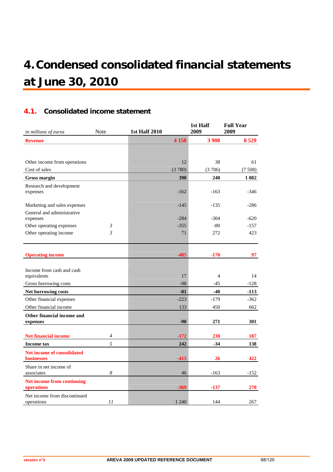# **4.Condensed consolidated financial statements at June 30, 2010**

## **4.1. Consolidated income statement**

| in millions of euros                     | Note           | <b>1st Half 2010</b> | 1st Half<br>2009 | <b>Full Year</b><br>2009 |
|------------------------------------------|----------------|----------------------|------------------|--------------------------|
| <b>Revenue</b>                           |                | 4 1 5 8              | 3 9 0 8          | 8 5 29                   |
|                                          |                |                      |                  |                          |
|                                          |                |                      |                  |                          |
| Other income from operations             |                | 12                   | 38               | 61                       |
| Cost of sales                            |                | (3780)               | (3706)           | (7508)                   |
| <b>Gross margin</b>                      |                | 390                  | 240              | 1 0 8 2                  |
| Research and development                 |                |                      |                  |                          |
| expenses                                 |                | $-162$               | $-163$           | $-346$                   |
| Marketing and sales expenses             |                | $-145$               | $-135$           | $-286$                   |
| General and administrative               |                |                      |                  |                          |
| expenses                                 |                | $-284$               | $-304$           | $-620$                   |
| Other operating expenses                 | 3              | $-355$               | $-80$            | $-157$                   |
| Other operating income                   | $\mathfrak{Z}$ | 71                   | 272              | 423                      |
|                                          |                |                      |                  |                          |
|                                          |                |                      |                  |                          |
| <b>Operating income</b>                  |                | $-485$               | $-170$           | 97                       |
|                                          |                |                      |                  |                          |
| Income from cash and cash<br>equivalents |                | 17                   | $\overline{4}$   | 14                       |
| Gross borrowing costs                    |                | $-98$                | $-45$            | $-128$                   |
| Net borrowing costs                      |                | $-81$                | $-40$            | $-113$                   |
| Other financial expenses                 |                | $-223$               | $-179$           | $-362$                   |
| Other financial income                   |                | 133                  | 450              | 662                      |
| Other financial income and               |                |                      |                  |                          |
| expenses                                 |                | $-90$                | 271              | 301                      |
|                                          |                |                      |                  |                          |
| <b>Net financial income</b>              | 4              | $-172$               | 230              | 187                      |
| <b>Income tax</b>                        | 5              | 242                  | $-34$            | 138                      |
| <b>Net income of consolidated</b>        |                |                      |                  |                          |
| <b>businesses</b>                        |                | $-415$               | 26               | 422                      |
| Share in net income of<br>associates     | 8              | 46                   | $-163$           | $-152$                   |
|                                          |                |                      |                  |                          |
| Net income from continuing<br>operations |                | $-369$               | $-137$           | 270                      |
| Net income from discontinued             |                |                      |                  |                          |
| operations                               | 11             | 1 2 4 0              | 144              | 267                      |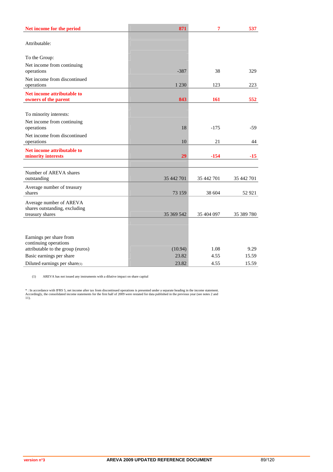| Net income for the period                                     | 871              | 7            | 537           |
|---------------------------------------------------------------|------------------|--------------|---------------|
| Attributable:                                                 |                  |              |               |
| To the Group:                                                 |                  |              |               |
| Net income from continuing                                    |                  |              |               |
| operations<br>Net income from discontinued                    | $-387$           | 38           | 329           |
| operations                                                    | 1 2 3 0          | 123          | 223           |
| Net income attributable to<br>owners of the parent            | 843              | 161          | 552           |
| To minority interests:                                        |                  |              |               |
| Net income from continuing                                    |                  |              |               |
| operations                                                    | 18               | $-175$       | $-59$         |
| Net income from discontinued<br>operations                    | 10               | 21           | 44            |
| Net income attributable to                                    |                  |              |               |
| minority interests                                            | 29               | $-154$       | $-15$         |
| Number of AREVA shares                                        |                  |              |               |
| outstanding                                                   | 35 442 701       | 35 442 701   | 35 442 701    |
| Average number of treasury<br>shares                          | 73 159           | 38 604       | 52 9 21       |
| Average number of AREVA                                       |                  |              |               |
| shares outstanding, excluding                                 |                  |              |               |
| treasury shares                                               | 35 369 542       | 35 404 097   | 35 389 780    |
|                                                               |                  |              |               |
| Earnings per share from                                       |                  |              |               |
| continuing operations                                         |                  |              |               |
| attributable to the group (euros)<br>Basic earnings per share | (10.94)<br>23.82 | 1.08<br>4.55 | 9.29<br>15.59 |
| Diluted earnings per share(1)                                 | 23.82            | 4.55         | 15.59         |

(1) AREVA has not issued any instruments with a dilutive impact on share capital

\* : In accordance with IFRS 5, net income after tax from discontinued operations is presented under a separate heading in the income statement.<br>Accordingly, the consolidated income statements for the first half of 2009 wer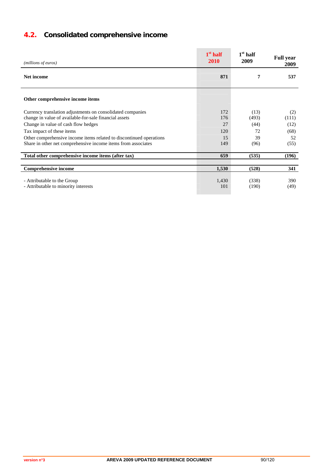# **4.2. Consolidated comprehensive income**

| (millions of euros)                                                                                                                                         | $1st$ half<br>2010 | $1st$ half<br>2009    | <b>Full year</b><br>2009 |
|-------------------------------------------------------------------------------------------------------------------------------------------------------------|--------------------|-----------------------|--------------------------|
| <b>Net income</b>                                                                                                                                           | 871                | 7                     | 537                      |
| Other comprehensive income items                                                                                                                            |                    |                       |                          |
| Currency translation adjustments on consolidated companies<br>change in value of available-for-sale financial assets<br>Change in value of cash flow hedges | 172<br>176<br>27   | (13)<br>(493)<br>(44) | (2)<br>(111)<br>(12)     |
| Tax impact of these items                                                                                                                                   | 120                | 72                    | (68)                     |
| Other comprehensive income items related to discontinued operations<br>Share in other net comprehensive income items from associates                        | 15<br>149          | 39<br>(96)            | 52<br>(55)               |
| Total other comprehensive income items (after tax)                                                                                                          | 659                | (535)                 | (196)                    |
| <b>Comprehensive income</b>                                                                                                                                 | 1,530              | (528)                 | 341                      |
| - Attributable to the Group<br>- Attributable to minority interests                                                                                         | 1,430<br>101       | (338)<br>(190)        | 390<br>(49)              |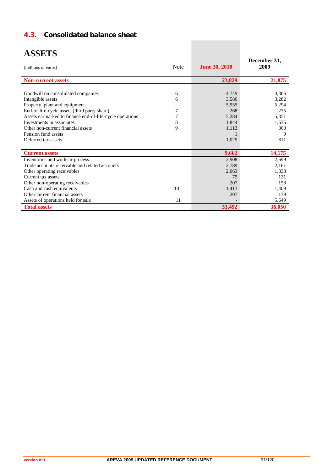## **4.3. Consolidated balance sheet**

| <b>ASSETS</b><br>(millions of euros)                                                                                                                                                                                                                                                                                  | <b>Note</b>                | <b>June 30, 2010</b>                                               | December 31,<br>2009                                                       |
|-----------------------------------------------------------------------------------------------------------------------------------------------------------------------------------------------------------------------------------------------------------------------------------------------------------------------|----------------------------|--------------------------------------------------------------------|----------------------------------------------------------------------------|
| <b>Non-current assets</b>                                                                                                                                                                                                                                                                                             |                            | 23,829                                                             | 21,875                                                                     |
| Goodwill on consolidated companies<br>Intangible assets<br>Property, plant and equipment<br>End-of-life-cycle assets (third party share)<br>Assets earmarked to finance end-of-life-cycle operations<br>Investments in associates<br>Other non-current financial assets<br>Pension fund assets<br>Deferred tax assets | 6<br>6<br>7<br>7<br>8<br>9 | 4,749<br>3,586<br>5,955<br>268<br>5,284<br>1,844<br>1,113<br>1,029 | 4,366<br>3,282<br>5,294<br>275<br>5,351<br>1,635<br>860<br>$\Omega$<br>811 |
| <b>Current assets</b>                                                                                                                                                                                                                                                                                                 |                            | 9,662                                                              | 14,175                                                                     |
| Inventories and work-in-process<br>Trade accounts receivable and related accounts<br>Other operating receivables<br>Current tax assets<br>Other non-operating receivables<br>Cash and cash equivalents<br>Other current financial assets<br>Assets of operations held for sale                                        | 10<br>11                   | 2,908<br>2,789<br>2,063<br>75<br>207<br>1.413<br>207               | 2,699<br>2,161<br>1,838<br>121<br>158<br>1.409<br>139<br>5,649             |
| <b>Total assets</b>                                                                                                                                                                                                                                                                                                   |                            | 33,492                                                             | 36,050                                                                     |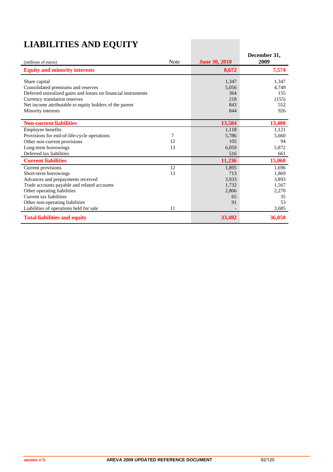# **LIABILITIES AND EQUITY**

| (millions of euros)                                                                                                                                                                                              | <b>Note</b> | <b>June 30, 2010</b>                | December 31,<br>2009                  |
|------------------------------------------------------------------------------------------------------------------------------------------------------------------------------------------------------------------|-------------|-------------------------------------|---------------------------------------|
| <b>Equity and minority interests</b>                                                                                                                                                                             |             | 8,672                               | 7,574                                 |
| Share capital<br>Consolidated premiums and reserves<br>Deferred unrealized gains and losses on financial instruments<br>Currency translation reserves<br>Net income attributable to equity holders of the parent |             | 1,347<br>5,056<br>364<br>218<br>843 | 1,347<br>4,749<br>155<br>(155)<br>552 |
| Minority interests                                                                                                                                                                                               |             | 844                                 | 926                                   |
| <b>Non-current liabilities</b>                                                                                                                                                                                   |             | 13,584                              | 13,408                                |
| Employee benefits                                                                                                                                                                                                |             | 1,118                               | 1,121                                 |
| Provisions for end-of-life-cycle operations                                                                                                                                                                      | 7           | 5,786                               | 5,660                                 |
| Other non-current provisions                                                                                                                                                                                     | 12          | 105                                 | 94                                    |
| Long-term borrowings                                                                                                                                                                                             | 13          | 6,059                               | 5,872                                 |
| Deferred tax liabilities                                                                                                                                                                                         |             | 516                                 | 661                                   |
| <b>Current liabilities</b>                                                                                                                                                                                       |             | 11,236                              | 15,068                                |
| Current provisions                                                                                                                                                                                               | 12          | 1,895                               | 1,696                                 |
| Short-term borrowings                                                                                                                                                                                            | 13          | 713                                 | 1,869                                 |
| Advances and prepayments received                                                                                                                                                                                |             | 3,933                               | 3,893                                 |
| Trade accounts payable and related accounts                                                                                                                                                                      |             | 1,732                               | 1,567                                 |
| Other operating liabilities                                                                                                                                                                                      |             | 2,806                               | 2,270                                 |
| Current tax liabilities                                                                                                                                                                                          |             | 65                                  | 35                                    |
| Other non-operating liabilities                                                                                                                                                                                  |             | 91                                  | 53                                    |
| Liabilities of operations held for sale                                                                                                                                                                          | 11          |                                     | 3,685                                 |
| <b>Total liabilities and equity</b>                                                                                                                                                                              |             | 33,492                              | 36,050                                |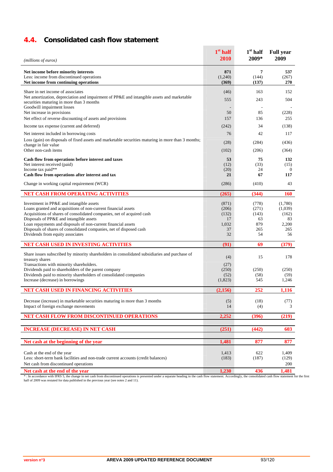## **4.4. Consolidated cash flow statement**

| (millions of euros)                                                                                                        | $1st$ half<br>2010      | $1st$ half<br>2009*              | <b>Full year</b><br>2009 |
|----------------------------------------------------------------------------------------------------------------------------|-------------------------|----------------------------------|--------------------------|
| Net income before minority interests<br>Less: income from discontinued operations<br>Net income from continuing operations | 871<br>(1,240)<br>(369) | $\overline{7}$<br>(144)<br>(137) | 537<br>(267)<br>270      |
| Share in net income of associates                                                                                          | (46)                    | 163                              | 152                      |
| Net amortization, depreciation and impairment of PP&E and intangible assets and marketable                                 | 555                     | 243                              | 504                      |
| securities maturing in more than 3 months<br>Goodwill impairment losses                                                    |                         |                                  |                          |
| Net increase in provisions                                                                                                 | 50                      | 85                               | (228)                    |
| Net effect of reverse discounting of assets and provisions                                                                 | 157                     | 136                              | 255                      |
| Income tax expense (current and deferred)                                                                                  | (242)                   | 34                               | (138)                    |
| Net interest included in borrowing costs                                                                                   | 76                      | 42                               | 117                      |
| Loss (gain) on disposals of fixed assets and marketable securities maturing in more than 3 months;<br>change in fair value | (28)                    | (284)                            | (436)                    |
| Other non-cash items                                                                                                       | (102)                   | (206)                            | (364)                    |
| Cash flow from operations before interest and taxes                                                                        | 53                      | 75                               | 132                      |
| Net interest received (paid)                                                                                               | (12)                    | (33)                             | (15)                     |
| Income tax paid**<br>Cash flow from operations after interest and tax                                                      | (20)<br>21              | 24<br>67                         | $\overline{0}$<br>117    |
|                                                                                                                            |                         |                                  |                          |
| Change in working capital requirement (WCR)                                                                                | (286)                   | (410)                            | 43                       |
| NET CASH FROM OPERATING ACTIVITIES                                                                                         | (265)                   | (344)                            | <b>160</b>               |
| Investment in PP&E and intangible assets                                                                                   | (871)                   | (778)                            | (1,780)                  |
| Loans granted and acquisitions of non-current financial assets                                                             | (206)                   | (271)                            | (1,039)                  |
| Acquisitions of shares of consolidated companies, net of acquired cash<br>Disposals of PP&E and intangible assets          | (132)<br>17             | (143)<br>63                      | (162)<br>83              |
| Loan repayments and disposals of non-current financial assets                                                              | 1,032                   | 879                              | 2,200                    |
| Disposals of shares of consolidated companies, net of disposed cash                                                        | 37                      | 265                              | 265                      |
| Dividends from equity associates                                                                                           | 32                      | 54                               | 56                       |
| NET CASH USED IN INVESTING ACTIVITIES                                                                                      | (91)                    | 69                               | (379)                    |
| Share issues subscribed by minority shareholders in consolidated subsidiaries and purchase of                              | (4)                     | 15                               | 178                      |
| treasury shares<br>Transactions with minority shareholders.                                                                | (27)                    |                                  |                          |
| Dividends paid to shareholders of the parent company                                                                       | (250)                   | (250)                            | (250)                    |
| Dividends paid to minority shareholders of consolidated companies                                                          | (52)                    | (58)                             | (59)                     |
| Increase (decrease) in borrowings                                                                                          | (1,823)                 | 545                              | 1,246                    |
| NET CASH USED IN FINANCING ACTIVITIES                                                                                      | (2,156)                 | 252                              | 1,116                    |
| Decrease (increase) in marketable securities maturing in more than 3 months                                                | (5)                     | (18)                             | (77)                     |
| Impact of foreign exchange movements                                                                                       | 14                      | (4)                              | 3                        |
| NET CASH FLOW FROM DISCONTINUED OPERATIONS                                                                                 | 2,252                   | (396)                            | (219)                    |
|                                                                                                                            |                         |                                  |                          |
| <b>INCREASE (DECREASE) IN NET CASH</b>                                                                                     | (251)                   | (442)                            | 603                      |
| Net cash at the beginning of the year                                                                                      | 1,481                   | 877                              | 877                      |
|                                                                                                                            |                         |                                  |                          |
| Cash at the end of the year<br>Less: short-term bank facilities and non-trade current accounts (credit balances)           | 1,413<br>(183)          | 622<br>(187)                     | 1,409<br>(129)           |
| Net cash from discontinued operations                                                                                      |                         |                                  | 200                      |
| Net cash at the end of the year                                                                                            | 1,230                   | 436                              | 1,481                    |

Net cash at the end of the year and the state of the state from discontinued operations is presented under a separate heading in the cash flow statement. Accordingly, the consolidated cash flow statement for the first thal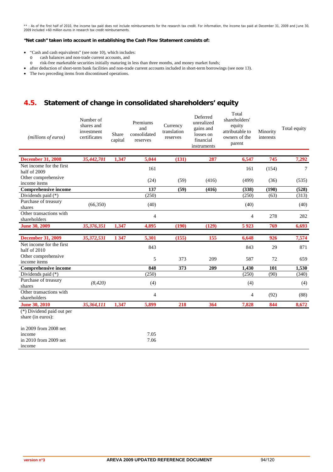\*\* : As of the first half of 2010, the income tax paid does not include reimbursements for the research tax credit. For information, the income tax paid at December 31, 2009 and June 30,<br>2009 included +60 million euros in

#### **"Net cash" taken into account in establishing the Cash Flow Statement consists of:**

- "Cash and cash equivalents" (see note 10), which includes:
	-
	- o cash balances and non-trade current accounts, and risk-free marketable securities initially maturing in less than three months, and money market funds;
- after deduction of short-term bank facilities and non-trade current accounts included in short-term borrowings (see note 13).
- The two preceding items from discontinued operations.

## **4.5. Statement of change in consolidated shareholders' equity**

| (millions of euros)                                                | Number of<br>shares and<br>investment<br>certificates | Share<br>capital | Premiums<br>and<br>consolidated<br>reserves | Currency<br>translation<br>reserves | Deferred<br>unrealized<br>gains and<br>losses on<br>financial<br>instruments | Total<br>shareholders'<br>equity<br>attributable to<br>owners of the<br>parent | Minority<br>interests | Total equity |
|--------------------------------------------------------------------|-------------------------------------------------------|------------------|---------------------------------------------|-------------------------------------|------------------------------------------------------------------------------|--------------------------------------------------------------------------------|-----------------------|--------------|
| <b>December 31, 2008</b>                                           | 35,442,701                                            | 1,347            | 5,044                                       | (131)                               | 287                                                                          | 6,547                                                                          | 745                   | 7,292        |
| Net income for the first<br>half of 2009                           |                                                       |                  | 161                                         |                                     |                                                                              | 161                                                                            | (154)                 | $\tau$       |
| Other comprehensive<br>income items                                |                                                       |                  | (24)                                        | (59)                                | (416)                                                                        | (499)                                                                          | (36)                  | (535)        |
| <b>Comprehensive income</b>                                        |                                                       |                  | 137                                         | (59)                                | (416)                                                                        | (338)                                                                          | (190)                 | (528)        |
| Dividends paid (*)                                                 |                                                       |                  | (250)                                       |                                     |                                                                              | (250)                                                                          | (63)                  | (313)        |
| Purchase of treasury<br>shares                                     | (66,350)                                              |                  | (40)                                        |                                     |                                                                              | (40)                                                                           |                       | (40)         |
| Other transactions with<br>shareholders                            |                                                       |                  | $\overline{4}$                              |                                     |                                                                              | 4                                                                              | 278                   | 282          |
| <b>June 30, 2009</b>                                               | 35,376,351                                            | 1,347            | 4,895                                       | (190)                               | (129)                                                                        | 5923                                                                           | 769                   | 6,693        |
|                                                                    |                                                       |                  |                                             |                                     |                                                                              |                                                                                |                       |              |
| <b>December 31, 2009</b>                                           | 35,372,531                                            | 1 3 4 7          | 5,301                                       | (155)                               | 155                                                                          | 6,648                                                                          | $\overline{926}$      | 7,574        |
| Net income for the first<br>half of 2010                           |                                                       |                  | 843                                         |                                     |                                                                              | 843                                                                            | 29                    | 871          |
| Other comprehensive<br>income items                                |                                                       |                  | 5                                           | 373                                 | 209                                                                          | 587                                                                            | 72                    | 659          |
| <b>Comprehensive income</b>                                        |                                                       |                  | 848                                         | 373                                 | 209                                                                          | 1,430                                                                          | 101                   | 1,530        |
| Dividends paid (*)                                                 |                                                       |                  | (250)                                       |                                     |                                                                              | (250)                                                                          | (90)                  | (340)        |
| Purchase of treasury<br>shares                                     | (8, 420)                                              |                  | (4)                                         |                                     |                                                                              | (4)                                                                            |                       | (4)          |
| Other transactions with<br>shareholders                            |                                                       |                  | $\overline{4}$                              |                                     |                                                                              | 4                                                                              | (92)                  | (88)         |
| <b>June 30, 2010</b>                                               | 35,364,111                                            | 1,347            | 5,899                                       | 218                                 | 364                                                                          | 7,828                                                                          | 844                   | 8,672        |
| (*) Dividend paid out per<br>share (in euros):                     |                                                       |                  |                                             |                                     |                                                                              |                                                                                |                       |              |
| in 2009 from 2008 net<br>income<br>in 2010 from 2009 net<br>income |                                                       |                  | 7.05<br>7.06                                |                                     |                                                                              |                                                                                |                       |              |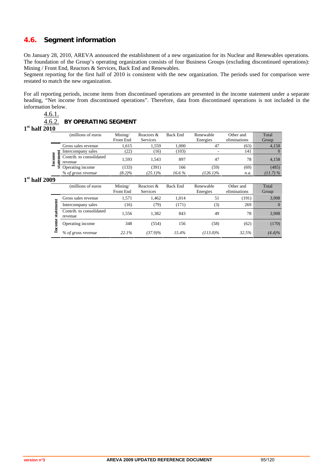## **4.6. Segment information**

On January 28, 2010, AREVA announced the establishment of a new organization for its Nuclear and Renewables operations. The foundation of the Group's operating organization consists of four Business Groups (excluding discontinued operations): Mining / Front End, Reactors & Services, Back End and Renewables.

Segment reporting for the first half of 2010 is consistent with the new organization. The periods used for comparison were restated to match the new organization.

For all reporting periods, income items from discontinued operations are presented in the income statement under a separate heading, "Net income from discontinued operations". Therefore, data from discontinued operations is not included in the information below.

## 4.6.1.

#### 4.6.2. **BY OPERATING SEGMENT**

**1st half 2010**

|        | (millions of euros)      | Mining/   | Reactors & | Back End | Renewable   | Other and    | Total       |
|--------|--------------------------|-----------|------------|----------|-------------|--------------|-------------|
|        |                          | Front End | Services   |          | Energies    | eliminations | Group       |
|        | Gross sales revenue      | 1.615     | 1.559      | 1.000    | 47          | (63)         | 4,158       |
|        | Intercompany sales       | (22)      | 16)        | (103)    |             | 141          |             |
| ë<br>∊ | Contrib. to consolidated | 1.593     | 1.543      | 897      | 47          | 78           | 4,158       |
| g<br>₿ | revenue                  |           |            |          |             |              |             |
|        | Operating income<br>ಕ    | (133)     | (391)      | 166      | (59)        | (69)         | (485)       |
|        | % of gross revenue       | $(8.2)\%$ | $(25.1)\%$ | $16.6\%$ | $(126.1)\%$ | n.a.         | $(11.7) \%$ |
|        |                          |           |            |          |             |              |             |

#### **1st half 2009**

|     | (millions of euros                  | Mining/<br><b>Front End</b> | Reactors &<br><b>Services</b> | <b>Back End</b> | Renewable<br>Energies | Other and<br>eliminations | Total<br>Group |
|-----|-------------------------------------|-----------------------------|-------------------------------|-----------------|-----------------------|---------------------------|----------------|
|     | Gross sales revenue                 | 1.571                       | 1.462                         | 1,014           | 51                    | (191)                     | 3,908          |
|     | Intercompany sales                  | (16)                        | (79)                          | (171)           | (3)                   | 269                       | $\Omega$       |
| ន្ល | Contrib. to consolidated<br>revenue | 1.556                       | 1,382                         | 843             | 49                    | 78                        | 3,908          |
| ω   | Operating income                    | 348                         | (554)                         | 156             | (58)                  | (62)                      | (170)          |
| Ĕ   | % of gross revenue                  | 22.1%                       | $(37.9)\%$                    | 15.4%           | $(113.0)\%$           | 32.5%                     | $(4.4)\%$      |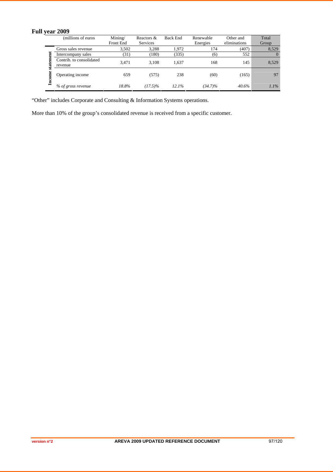## **Full year 2009**

| (millions of euros)      | Mining/   | Reactors &      | Back End | Renewable  | Other and    | Total   |
|--------------------------|-----------|-----------------|----------|------------|--------------|---------|
|                          | Front End | <b>Services</b> |          | Energies   | eliminations | Group   |
| Gross sales revenue      | 3.502     | 3.288           | 1.972    | 174        | (407)        | 8,529   |
| Intercompany sales       | (31)      | (180)           | (335)    | (6)        | 552          |         |
| Contrib. to consolidated | 3.471     | 3.108           | 1.637    | 168        | 145          | 8,529   |
| revenue                  |           |                 |          |            |              |         |
| Operating income         | 659       | (575)           | 238      | (60)       | (165)        | 97      |
| % of gross revenue       | 18.8%     | $(17.5)\%$      | 12.1%    | $(34.7)\%$ | 40.6%        | $1.1\%$ |

"Other" includes Corporate and Consulting & Information Systems operations.

More than 10% of the group's consolidated revenue is received from a specific customer.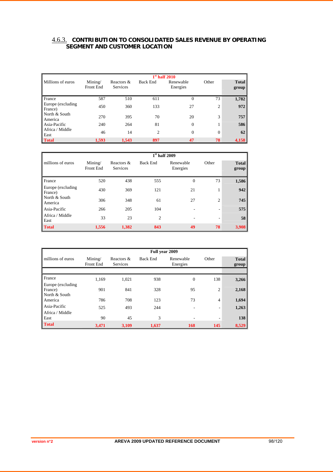#### 4.6.3. **CONTRIBUTION TO CONSOLIDATED SALES REVENUE BY OPERATING SEGMENT AND CUSTOMER LOCATION**

|                              |                      |                               |                 | $1st$ half 2010       |                |                       |
|------------------------------|----------------------|-------------------------------|-----------------|-----------------------|----------------|-----------------------|
| Millions of euros            | Mining/<br>Front End | Reactors &<br><b>Services</b> | <b>Back End</b> | Renewable<br>Energies | Other          | <b>Total</b><br>group |
| France                       | 587                  | 510                           | 611             | $\Omega$              | 73             | 1,782                 |
| Europe (excluding<br>France) | 450                  | 360                           | 133             | 27                    | $\overline{2}$ | 972                   |
| North & South<br>America     | 270                  | 395                           | 70              | 20                    | 3              | 757                   |
| Asia-Pacific                 | 240                  | 264                           | 81              | $\theta$              | 1              | 586                   |
| Africa / Middle<br>East      | 46                   | 14                            | $\overline{c}$  | $\overline{0}$        | $\theta$       | 62                    |
| <b>Total</b>                 | 1,593                | 1,543                         | 897             | 47                    | 78             | 4,158                 |

|                              |                      |                               |                | $1st$ half 2009       |       |                       |
|------------------------------|----------------------|-------------------------------|----------------|-----------------------|-------|-----------------------|
| millions of euros            | Mining/<br>Front End | Reactors &<br><b>Services</b> | Back End       | Renewable<br>Energies | Other | <b>Total</b><br>group |
| France                       | 520                  | 438                           | 555            | $\overline{0}$        | 73    | 1,586                 |
| Europe (excluding<br>France) | 430                  | 369                           | 121            | 21                    | 1     | 942                   |
| North & South<br>America     | 306                  | 348                           | 61             | 27                    | 2     | 745                   |
| Asia-Pacific                 | 266                  | 205                           | 104            |                       | ۰     | 575                   |
| Africa / Middle<br>East      | 33                   | 23                            | $\overline{c}$ |                       | ۰.    | 58                    |
| <b>Total</b>                 | 1,556                | 1,382                         | 843            | 49                    | 78    | 3,908                 |

|                                 | Full year 2009       |                               |          |                       |                          |                       |  |
|---------------------------------|----------------------|-------------------------------|----------|-----------------------|--------------------------|-----------------------|--|
| millions of euros               | Mining/<br>Front End | Reactors &<br><b>Services</b> | Back End | Renewable<br>Energies | Other                    | <b>Total</b><br>group |  |
|                                 |                      |                               |          |                       |                          |                       |  |
| France<br>Europe (excluding)    | 1,169                | 1,021                         | 938      | $\overline{0}$        | 138                      | 3,266                 |  |
| France)<br>North & South        | 901                  | 841                           | 328      | 95                    | $\overline{2}$           | 2,168                 |  |
| America                         | 786                  | 708                           | 123      | 73                    | 4                        | 1,694                 |  |
| Asia-Pacific<br>Africa / Middle | 525                  | 493                           | 244      |                       | $\overline{\phantom{a}}$ | 1,263                 |  |
| East                            | 90                   | 45                            | 3        |                       | ٠                        | 138                   |  |
| <b>Total</b>                    | 3,471                | 3,109                         | 1,637    | 168                   | 145                      | 8,529                 |  |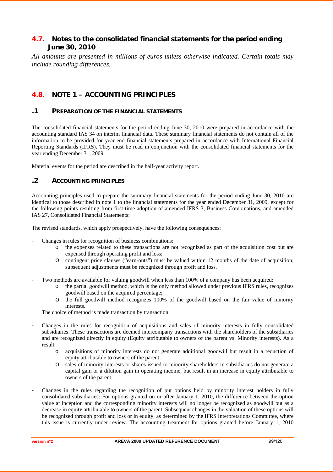## **4.7. Notes to the consolidated financial statements for the period ending June 30, 2010**

*All amounts are presented in millions of euros unless otherwise indicated. Certain totals may include rounding differences.*

## **4.8. NOTE 1 – ACCOUNTING PRINCIPLES**

#### **.1 PREPARATION OF THE FINANCIAL STATEMENTS**

The consolidated financial statements for the period ending June 30, 2010 were prepared in accordance with the accounting standard IAS 34 on interim financial data. These summary financial statements do not contain all of the information to be provided for year-end financial statements prepared in accordance with International Financial Reporting Standards (IFRS). They must be read in conjunction with the consolidated financial statements for the year ending December 31, 2009.

Material events for the period are described in the half-year activity report.

## **.2 ACCOUNTING PRINCIPLES**

Accounting principles used to prepare the summary financial statements for the period ending June 30, 2010 are identical to those described in note 1 to the financial statements for the year ended December 31, 2009, except for the following points resulting from first-time adoption of amended IFRS 3, Business Combinations, and amended IAS 27, Consolidated Financial Statements:

The revised standards, which apply prospectively, have the following consequences:

- Changes in rules for recognition of business combinations:
	- o the expenses related to these transactions are not recognized as part of the acquisition cost but are expensed through operating profit and loss;
	- o contingent price clauses ("earn-outs") must be valued within 12 months of the date of acquisition; subsequent adjustments must be recognized through profit and loss.
- Two methods are available for valuing goodwill when less than 100% of a company has been acquired:
	- o the partial goodwill method, which is the only method allowed under previous IFRS rules, recognizes goodwill based on the acquired percentage;
	- o the full goodwill method recognizes 100% of the goodwill based on the fair value of minority interests.

The choice of method is made transaction by transaction.

- Changes in the rules for recognition of acquisitions and sales of minority interests in fully consolidated subsidiaries: These transactions are deemed intercompany transactions with the shareholders of the subsidiaries and are recognized directly in equity (Equity attributable to owners of the parent vs. Minority interests). As a result:
	- o acquisitions of minority interests do not generate additional goodwill but result in a reduction of equity attributable to owners of the parent:
	- o sales of minority interests or shares issued to minority shareholders in subsidiaries do not generate a capital gain or a dilution gain in operating income, but result in an increase in equity attributable to owners of the parent.
- Changes in the rules regarding the recognition of put options held by minority interest holders in fully consolidated subsidiaries: For options granted on or after January 1, 2010, the difference between the option value at inception and the corresponding minority interests will no longer be recognized as goodwill but as a decrease in equity attributable to owners of the parent. Subsequent changes in the valuation of these options will be recognized through profit and loss or in equity, as determined by the IFRS Interpretations Committee, where this issue is currently under review. The accounting treatment for options granted before January 1, 2010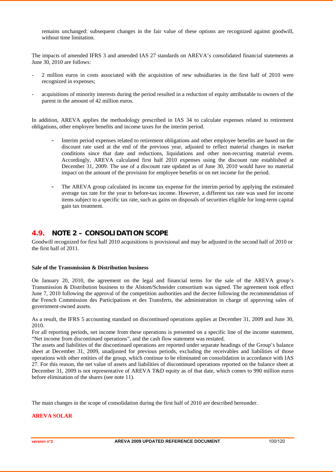remains unchanged: subsequent changes in the fair value of these options are recognized against goodwill, without time limitation.

The impacts of amended IFRS 3 and amended IAS 27 standards on AREVA's consolidated financial statements at June 30, 2010 are follows:

- 2 million euros in costs associated with the acquisition of new subsidiaries in the first half of 2010 were recognized in expenses;
- acquisitions of minority interests during the period resulted in a reduction of equity attributable to owners of the parent in the amount of 42 million euros.

In addition, AREVA applies the methodology prescribed in IAS 34 to calculate expenses related to retirement obligations, other employee benefits and income taxes for the interim period.

- Interim period expenses related to retirement obligations and other employee benefits are based on the discount rate used at the end of the previous year, adjusted to reflect material changes in market conditions since that date and reductions, liquidations and other non-recurring material events. Accordingly, AREVA calculated first half 2010 expenses using the discount rate established at December 31, 2009. The use of a discount rate updated as of June 30, 2010 would have no material impact on the amount of the provision for employee benefits or on net income for the period.
- The AREVA group calculated its income tax expense for the interim period by applying the estimated average tax rate for the year to before-tax income. However, a different tax rate was used for income items subject to a specific tax rate, such as gains on disposals of securities eligible for long-term capital gain tax treatment.

## **4.9. NOTE 2 – CONSOLIDATION SCOPE**

Goodwill recognized for first half 2010 acquisitions is provisional and may be adjusted in the second half of 2010 or the first half of 2011.

#### **Sale of the Transmission & Distribution business**

On January 20, 2010, the agreement on the legal and financial terms for the sale of the AREVA group's Transmission & Distribution business to the Alstom/Schneider consortium was signed. The agreement took effect June 7, 2010 following the approval of the competition authorities and the decree following the recommendation of the French Commission des Participations et des Transferts, the administration in charge of approving sales of government-owned assets.

As a result, the IFRS 5 accounting standard on discontinued operations applies at December 31, 2009 and June 30, 2010.

For all reporting periods, net income from these operations is presented on a specific line of the income statement, "Net income from discontinued operations", and the cash flow statement was restated.

The assets and liabilities of the discontinued operations are reported under separate headings of the Group's balance sheet at December 31, 2009, unadjusted for previous periods, excluding the receivables and liabilities of those operations with other entities of the group, which continue to be eliminated on consolidation in accordance with IAS 27. For this reason, the net value of assets and liabilities of discontinued operations reported on the balance sheet at December 31, 2009 is not representative of AREVA T&D equity as of that date, which comes to 990 million euros before elimination of the shares (see note 11).

The main changes in the scope of consolidation during the first half of 2010 are described hereunder.

#### **AREVA SOLAR**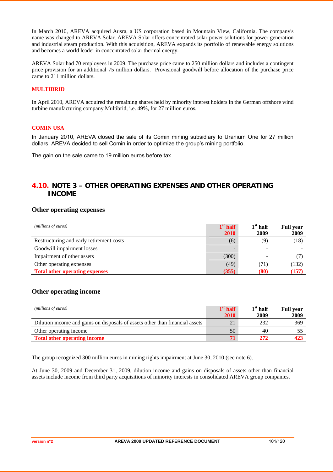In March 2010, AREVA acquired Ausra, a US corporation based in Mountain View, California. The company's name was changed to AREVA Solar. AREVA Solar offers concentrated solar power solutions for power generation and industrial steam production. With this acquisition, AREVA expands its portfolio of renewable energy solutions and becomes a world leader in concentrated solar thermal energy.

AREVA Solar had 70 employees in 2009. The purchase price came to 250 million dollars and includes a contingent price provision for an additional 75 million dollars. Provisional goodwill before allocation of the purchase price came to 211 million dollars.

#### **MULTIBRID**

In April 2010, AREVA acquired the remaining shares held by minority interest holders in the German offshore wind turbine manufacturing company Multibrid, i.e. 49%, for 27 million euros.

#### **COMIN USA**

In January 2010, AREVA closed the sale of its Comin mining subsidiary to Uranium One for 27 million dollars. AREVA decided to sell Comin in order to optimize the group's mining portfolio.

The gain on the sale came to 19 million euros before tax.

## **4.10. NOTE 3 – OTHER OPERATING EXPENSES AND OTHER OPERATING INCOME**

#### **Other operating expenses**

| (millions of euros)                      | $1st$ half<br><b>2010</b> | $1st$ half<br>2009 | <b>Full year</b><br>2009 |
|------------------------------------------|---------------------------|--------------------|--------------------------|
| Restructuring and early retirement costs | (6)                       | (9)                | (18)                     |
| Goodwill impairment losses               |                           |                    |                          |
| Impairment of other assets               | (300)                     |                    |                          |
| Other operating expenses                 | (49)                      |                    | (132)                    |
| <b>Total other operating expenses</b>    | (355)                     | (80)               | (157)                    |

#### **Other operating income**

| (millions of euros)                                                          | $1st$ half | $1st$ half | <b>Full vear</b> |
|------------------------------------------------------------------------------|------------|------------|------------------|
|                                                                              | 2010       | 2009       | 2009             |
| Dilution income and gains on disposals of assets other than financial assets | 21         | 232        | 369              |
| Other operating income                                                       | 50         | 40         |                  |
| <b>Total other operating income</b>                                          |            |            | 423              |

The group recognized 300 million euros in mining rights impairment at June 30, 2010 (see note 6).

At June 30, 2009 and December 31, 2009, dilution income and gains on disposals of assets other than financial assets include income from third party acquisitions of minority interests in consolidated AREVA group companies.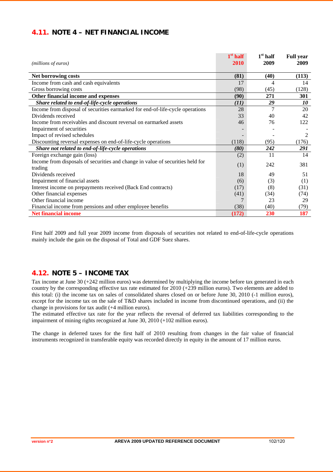## **4.11. NOTE 4 – NET FINANCIAL INCOME**

| (millions of euros)                                                            | $1st$ half<br>2010 | $1st$ half<br>2009 | <b>Full year</b><br>2009 |
|--------------------------------------------------------------------------------|--------------------|--------------------|--------------------------|
| Net borrowing costs                                                            | (81)               | (40)               | (113)                    |
| Income from cash and cash equivalents                                          | 17                 | 4                  | 14                       |
| Gross borrowing costs                                                          | (98)               | (45)               | (128)                    |
| Other financial income and expenses                                            | (90)               | 271                | <b>301</b>               |
| Share related to end-of-life-cycle operations                                  | (11)               | 29                 | 10                       |
| Income from disposal of securities earmarked for end-of-life-cycle operations  | 28                 | 7                  | 20                       |
| Dividends received                                                             | 33                 | 40                 | 42                       |
| Income from receivables and discount reversal on earmarked assets              | 46                 | 76                 | 122                      |
| Impairment of securities                                                       |                    |                    |                          |
| Impact of revised schedules                                                    |                    |                    | 2                        |
| Discounting reversal expenses on end-of-life-cycle operations                  | (118)              | (95)               | (176)                    |
| Share not related to end-of-life-cycle operations                              | (80)               | 242                | 291                      |
| Foreign exchange gain (loss)                                                   | (2)                | 11                 | 14                       |
| Income from disposals of securities and change in value of securities held for | (1)                | 242                | 381                      |
| trading                                                                        |                    |                    |                          |
| Dividends received                                                             | 18                 | 49                 | 51                       |
| Impairment of financial assets                                                 | (6)                | (3)                | (1)                      |
| Interest income on prepayments received (Back End contracts)                   | (17)               | (8)                | (31)                     |
| Other financial expenses                                                       | (41)               | (34)               | (74)                     |
| Other financial income                                                         |                    | 23                 | 29                       |
| Financial income from pensions and other employee benefits                     | (38)               | (40)               | (79)                     |
| <b>Net financial income</b>                                                    | (172)              | 230                | 187                      |

First half 2009 and full year 2009 income from disposals of securities not related to end-of-life-cycle operations mainly include the gain on the disposal of Total and GDF Suez shares.

## **4.12. NOTE 5 – INCOME TAX**

Tax income at June 30 (+242 million euros) was determined by multiplying the income before tax generated in each country by the corresponding effective tax rate estimated for 2010 (+239 million euros). Two elements are added to this total: (i) the income tax on sales of consolidated shares closed on or before June 30, 2010 (-1 million euros), except for the income tax on the sale of T&D shares included in income from discontinued operations, and (ii) the change in provisions for tax audit (+4 million euros).

The estimated effective tax rate for the year reflects the reversal of deferred tax liabilities corresponding to the impairment of mining rights recognized at June 30, 2010 (+102 million euros).

The change in deferred taxes for the first half of 2010 resulting from changes in the fair value of financial instruments recognized in transferable equity was recorded directly in equity in the amount of 17 million euros.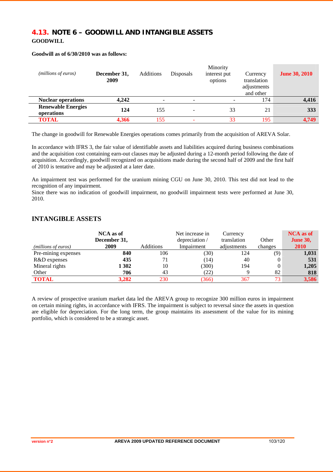## **4.13. NOTE 6 – GOODWILL AND INTANGIBLE ASSETS GOODWILL**

#### **Goodwill as of 6/30/2010 was as follows:**

| (millions of euros)                     | December 31,<br>2009 | <b>Additions</b>         | <b>Disposals</b>         | Minority<br>interest put<br>options | Currency<br>translation<br>adjustments<br>and other | <b>June 30, 2010</b> |
|-----------------------------------------|----------------------|--------------------------|--------------------------|-------------------------------------|-----------------------------------------------------|----------------------|
| <b>Nuclear operations</b>               | 4.242                | $\overline{\phantom{a}}$ | $\overline{\phantom{0}}$ |                                     | 174                                                 | 4,416                |
| <b>Renewable Energies</b><br>operations | 124                  | 155                      | $\overline{\phantom{0}}$ | 33                                  | 21                                                  | 333                  |
| <b>TOTAL</b>                            | 4.366                | 155                      |                          | 33                                  | 195                                                 | 4.749                |

The change in goodwill for Renewable Energies operations comes primarily from the acquisition of AREVA Solar.

In accordance with IFRS 3, the fair value of identifiable assets and liabilities acquired during business combinations and the acquisition cost containing earn-out clauses may be adjusted during a 12-month period following the date of acquisition. Accordingly, goodwill recognized on acquisitions made during the second half of 2009 and the first half of 2010 is tentative and may be adjusted at a later date.

An impairment test was performed for the uranium mining CGU on June 30, 2010. This test did not lead to the recognition of any impairment.

Since there was no indication of goodwill impairment, no goodwill impairment tests were performed at June 30, 2010.

## **INTANGIBLE ASSETS**

|                     | NCA as of<br>December 31, |           | Net increase in<br>depreciation / | Currency<br>translation | Other   | <b>NCA</b> as of<br><b>June 30,</b> |
|---------------------|---------------------------|-----------|-----------------------------------|-------------------------|---------|-------------------------------------|
| (millions of euros) | 2009                      | Additions | Impairment                        | adjustments             | changes | 2010                                |
| Pre-mining expenses | 840                       | 106       | (30)                              | 124                     | (9)     | 1,031                               |
| R&D expenses        | 435                       |           | (14)                              | 40                      | 0       | 531                                 |
| Mineral rights      | 1 302                     | 10        | (300)                             | 194                     |         | 1,205                               |
| Other               | 706                       | 43        | (22)                              |                         | 82      | 818                                 |
| <b>TOTAL</b>        | 3.282                     | 230       | 366                               | 367                     | 73      | 3,586                               |

A review of prospective uranium market data led the AREVA group to recognize 300 million euros in impairment on certain mining rights, in accordance with IFRS. The impairment is subject to reversal since the assets in question are eligible for depreciation. For the long term, the group maintains its assessment of the value for its mining portfolio, which is considered to be a strategic asset.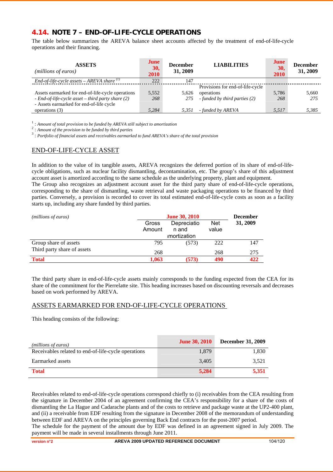## **4.14. NOTE 7 – END-OF-LIFE-CYCLE OPERATIONS**

The table below summarizes the AREVA balance sheet accounts affected by the treatment of end-of-life-cycle operations and their financing.

| <b>ASSETS</b><br>( <i>millions of euros</i> )                                                                                                          | June<br>30,<br>2010 | <b>December</b><br>31, 2009 | <b>LIABILITIES</b>                                                              | June<br>30,<br>2010 | <b>December</b><br>31, 2009 |
|--------------------------------------------------------------------------------------------------------------------------------------------------------|---------------------|-----------------------------|---------------------------------------------------------------------------------|---------------------|-----------------------------|
| End-of-life-cycle assets $-$ AREVA share $\binom{1}{k}$                                                                                                | 222                 | 147                         |                                                                                 |                     |                             |
| Assets earmarked for end-of-life-cycle operations<br>$-$ End-of-life-cycle asset $-$ third party share (2)<br>- Assets earmarked for end-of-life cycle | 5,552<br>268        | 5.626<br>275                | Provisions for end-of-life-cycle<br>operations<br>- funded by third parties (2) | 5.786<br>268        | 5.660<br>275                |
| operations (3)                                                                                                                                         | 5.284               | 5,351                       | - funded by AREVA                                                               | 5,517               | 5,385                       |

<sup>1</sup>: *Amount of total provision to be funded by AREVA still subject to amortization* 

: *Amount of the provision to be funded by third parties* <sup>3</sup>

: *Portfolio of financial assets and receivables earmarked to fund AREVA's share of the total provision* 

## END-OF-LIFE-CYCLE ASSET

In addition to the value of its tangible assets, AREVA recognizes the deferred portion of its share of end-of-lifecycle obligations, such as nuclear facility dismantling, decontamination, etc. The group's share of this adjustment account asset is amortized according to the same schedule as the underlying property, plant and equipment.

The Group also recognizes an adjustment account asset for the third party share of end-of-life-cycle operations, corresponding to the share of dismantling, waste retrieval and waste packaging operations to be financed by third parties. Conversely, a provision is recorded to cover its total estimated end-of-life-cycle costs as soon as a facility starts up, including any share funded by third parties.

| (millions of euros)         | <b>June 30, 2010</b> |                                      |                     |          |
|-----------------------------|----------------------|--------------------------------------|---------------------|----------|
|                             | Gross<br>Amount      | Depreciatio<br>n and<br>imortization | <b>Net</b><br>value | 31, 2009 |
| Group share of assets       | 795                  | (573)                                | 222                 | 147      |
| Third party share of assets | 268                  |                                      | 268                 | 275      |
| <b>Total</b>                | 1.063                | (573)                                | 490                 | 422      |

The third party share in end-of-life-cycle assets mainly corresponds to the funding expected from the CEA for its share of the commitment for the Pierrelatte site. This heading increases based on discounting reversals and decreases based on work performed by AREVA.

## ASSETS EARMARKED FOR END-OF-LIFE-CYCLE OPERATIONS

This heading consists of the following:

| ( <i>millions of euros</i> )                        | <b>June 30, 2010</b> | <b>December 31, 2009</b> |
|-----------------------------------------------------|----------------------|--------------------------|
| Receivables related to end-of-life-cycle operations | 1,879                | 1,830                    |
| Earmarked assets                                    | 3,405                | 3,521                    |
| <b>Total</b>                                        | 5,284                | 5,351                    |

Receivables related to end-of-life-cycle operations correspond chiefly to (i) receivables from the CEA resulting from the signature in December 2004 of an agreement confirming the CEA's responsibility for a share of the costs of dismantling the La Hague and Cadarache plants and of the costs to retrieve and package waste at the UP2-400 plant, and (ii) a receivable from EDF resulting from the signature in December 2008 of the memorandum of understanding between EDF and AREVA on the principles governing Back End contracts for the post-2007 period.

The schedule for the payment of the amount due by EDF was defined in an agreement signed in July 2009. The payment will be made in several installments through June 2011.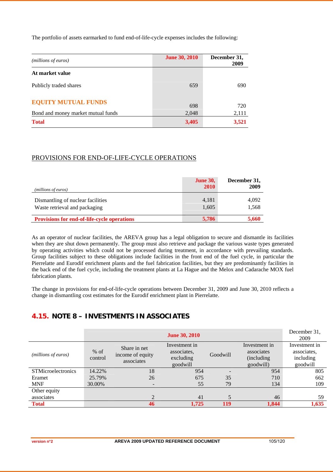The portfolio of assets earmarked to fund end-of-life-cycle expenses includes the following:

| ( <i>millions of euros</i> )       | <b>June 30, 2010</b> | December 31,<br>2009 |
|------------------------------------|----------------------|----------------------|
| At market value                    |                      |                      |
| Publicly traded shares             | 659                  | 690                  |
| <b>EQUITY MUTUAL FUNDS</b>         | 698                  | 720                  |
| Bond and money market mutual funds | 2,048                | 2,111                |
| <b>Total</b>                       | 3,405                | 3,521                |

## PROVISIONS FOR END-OF-LIFE-CYCLE OPERATIONS

| (millions of euros)                                                | <b>June 30,</b><br><b>2010</b> | December 31,<br>2009 |
|--------------------------------------------------------------------|--------------------------------|----------------------|
| Dismantling of nuclear facilities<br>Waste retrieval and packaging | 4,181<br>1,605                 | 4,092<br>1,568       |
| <b>Provisions for end-of-life-cycle operations</b>                 | 5,786                          | 5,660                |

As an operator of nuclear facilities, the AREVA group has a legal obligation to secure and dismantle its facilities when they are shut down permanently. The group must also retrieve and package the various waste types generated by operating activities which could not be processed during treatment, in accordance with prevailing standards. Group facilities subject to these obligations include facilities in the front end of the fuel cycle, in particular the Pierrelatte and Eurodif enrichment plants and the fuel fabrication facilities, but they are predominantly facilities in the back end of the fuel cycle, including the treatment plants at La Hague and the Melox and Cadarache MOX fuel fabrication plants.

The change in provisions for end-of-life-cycle operations between December 31, 2009 and June 30, 2010 reflects a change in dismantling cost estimates for the Eurodif enrichment plant in Pierrelatte.

## **4.15. NOTE 8 – INVESTMENTS IN ASSOCIATES**

|                              |                   |                                                | <b>June 30, 2010</b>                                  |          |                                                         | December 31.<br>2009                                  |
|------------------------------|-------------------|------------------------------------------------|-------------------------------------------------------|----------|---------------------------------------------------------|-------------------------------------------------------|
| ( <i>millions of euros</i> ) | $%$ of<br>control | Share in net<br>income of equity<br>associates | Investment in<br>associates,<br>excluding<br>goodwill | Goodwill | Investment in<br>associates<br>(including)<br>goodwill) | Investment in<br>associates.<br>including<br>goodwill |
| <b>STMicroelectronics</b>    | 14.22%            | 18                                             | 954                                                   |          | 954                                                     | 805                                                   |
| Eramet                       | 25.79%            | 26                                             | 675                                                   | 35       | 710                                                     | 662                                                   |
| <b>MNF</b>                   | 30.00%            | $\overline{\phantom{0}}$                       | 55                                                    | 79       | 134                                                     | 109                                                   |
| Other equity                 |                   |                                                |                                                       |          |                                                         |                                                       |
| associates                   |                   | $\mathfrak{D}$                                 | 41                                                    | 5        | 46                                                      | 59                                                    |
| <b>Total</b>                 |                   | 46                                             | 1.725                                                 | 119      | 1,844                                                   | 1,635                                                 |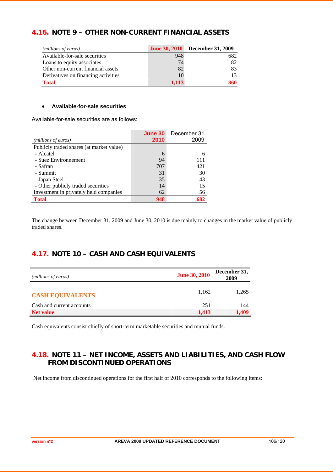## **4.16. NOTE 9 – OTHER NON-CURRENT FINANCIAL ASSETS**

| ( <i>millions of euros</i> )        |       | <b>June 30, 2010</b> December 31, 2009 |
|-------------------------------------|-------|----------------------------------------|
| Available-for-sale securities       | 948   | 682                                    |
| Loans to equity associates          | 74    | 82                                     |
| Other non-current financial assets  | 82    | 83                                     |
| Derivatives on financing activities |       |                                        |
| <b>Total</b>                        | 1.113 | 860                                    |

#### • **Available-for-sale securities**

Available-for-sale securities are as follows:

|                                          | June 30 | December 31 |
|------------------------------------------|---------|-------------|
| ( <i>millions of euros</i> )             | 2010    | 2009        |
| Publicly traded shares (at market value) |         |             |
| - Alcatel                                | 6       |             |
| - Suez Environnement                     | 94      | 111         |
| - Safran                                 | 707     | 421         |
| - Summit                                 | 31      | 30          |
| - Japan Steel                            | 35      | 43          |
| - Other publicly traded securities       | 14      | 15          |
| Investment in privately held companies   | 62      | 56          |
| <b>Total</b>                             | 948     | 682         |

The change between December 31, 2009 and June 30, 2010 is due mainly to changes in the market value of publicly traded shares.

## **4.17. NOTE 10 – CASH AND CASH EQUIVALENTS**

| (millions of euros)       | <b>June 30, 2010</b> | December 31,<br>2009 |
|---------------------------|----------------------|----------------------|
| <b>CASH EQUIVALENTS</b>   | 1.162                | 1,265                |
| Cash and current accounts | 251                  | 144                  |
| <b>Net value</b>          | 1,413                | 1.409                |

Cash equivalents consist chiefly of short-term marketable securities and mutual funds.

## **4.18. NOTE 11 – NET INCOME, ASSETS AND LIABILITIES, AND CASH FLOW FROM DISCONTINUED OPERATIONS**

Net income from discontinued operations for the first half of 2010 corresponds to the following items: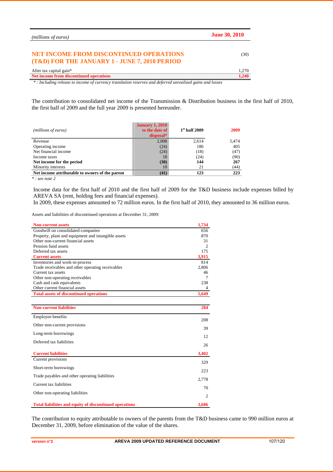| ( <i>millions of euros</i> )                                                                             | <b>June 30, 2010</b> |
|----------------------------------------------------------------------------------------------------------|----------------------|
| <b>NET INCOME FROM DISCONTINUED OPERATIONS</b><br>(T&D) FOR THE JANUARY 1 - JUNE 7, 2010 PERIOD          | (30)                 |
| After tax capital gain*                                                                                  | 1,270                |
| Net income from discontinued operations                                                                  | 1,240                |
| *: Including release to income of currency translation reserves and deferred unrealized gains and losses |                      |

The contribution to consolidated net income of the Transmission & Distribution business in the first half of 2010, the first half of 2009 and the full year 2009 is presented hereunder.

| (millions of euros)                             | <b>January 1, 2010</b><br>to the date of<br>disposal* | $1st$ half 2009 | 2009  |
|-------------------------------------------------|-------------------------------------------------------|-----------------|-------|
| Revenue                                         | 2,008                                                 | 2,614           | 5,474 |
| Operating income                                | (24)                                                  | 186             | 405   |
| Net financial income                            | (24)                                                  | (18)            | (47)  |
| Income taxes                                    | 18                                                    | (24)            | (90)  |
| Net income for the period                       | (30)                                                  | 144             | 267   |
| Minority interests                              | 10                                                    | 21              | (44)  |
| Net income attributable to owners of the parent | (41)                                                  | 123             | 223   |

*\* : see note 2* 

Income data for the first half of 2010 and the first half of 2009 for the T&D business include expenses billed by AREVA SA (rent, holding fees and financial expenses).

In 2009, these expenses amounted to 72 million euros. In the first half of 2010, they amounted to 36 million euros.

Assets and liabilities of discontinued operations at December 31, 2009:

| <b>Non-current assets</b>                                      | 1,734    |
|----------------------------------------------------------------|----------|
| Goodwill on consolidated companies                             | 656      |
| Property, plant and equipment and intangible assets            | 870      |
| Other non-current financial assets                             | 31       |
| Pension fund assets                                            | 2        |
| Deferred tax assets                                            | 175      |
| <b>Current assets</b>                                          | 3,915    |
| Inventories and work-in-process                                | 814      |
| Trade receivables and other operating receivables              | 2,806    |
| Current tax assets                                             | 46       |
| Other non-operating receivables                                | 7        |
| Cash and cash equivalents<br>Other current financial assets    | 238<br>4 |
| <b>Total assets of discontinued operations</b>                 | 5,649    |
|                                                                |          |
|                                                                |          |
| <b>Non-current liabilities</b>                                 | 284      |
| Employee benefits                                              | 208      |
| Other non-current provisions                                   | 39       |
| Long-term borrowings                                           | 12       |
| Deferred tax liabilities                                       |          |
|                                                                | 26       |
| <b>Current liabilities</b>                                     | 3,402    |
| Current provisions                                             | 329      |
| Short-term borrowings                                          | 223      |
| Trade payables and other operating liabilities                 |          |
|                                                                | 2,778    |
| Current tax liabilities                                        | 70       |
| Other non-operating liabilities                                | 2        |
| <b>Total liabilities and equity of discontinued operations</b> | 3,686    |
|                                                                |          |

The contribution to equity attributable to owners of the parents from the T&D business came to 990 million euros at December 31, 2009, before elimination of the value of the shares.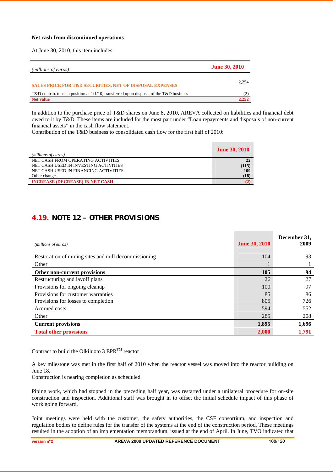#### **Net cash from discontinued operations**

At June 30, 2010, this item includes:

| ( <i>millions of euros</i> )                                                              | <b>June 30, 2010</b> |
|-------------------------------------------------------------------------------------------|----------------------|
| <b>SALES PRICE FOR T&amp;D SECURITIES, NET OF DISPOSAL EXPENSES</b>                       | 2.254                |
| T&D contrib. to cash position at $1/1/10$ , transferred upon disposal of the T&D business |                      |
| <b>Net value</b>                                                                          | 2.252                |

In addition to the purchase price of T&D shares on June 8, 2010, AREVA collected on liabilities and financial debt owed to it by T&D. These items are included for the most part under "Loan repayments and disposals of non-current financial assets" in the cash flow statement.

Contribution of the T&D business to consolidated cash flow for the first half of 2010:

|                                        | <b>June 30, 2010</b> |
|----------------------------------------|----------------------|
| (millions of euros)                    |                      |
| NET CASH FROM OPERATING ACTIVITIES     | 22                   |
| NET CASH USED IN INVESTING ACTIVITIES  | (115)                |
| NET CASH USED IN FINANCING ACTIVITIES  | 109                  |
| Other changes                          | (18)                 |
| <b>INCREASE (DECREASE) IN NET CASH</b> |                      |

## **4.19. NOTE 12 – OTHER PROVISIONS**

|                                                      |                      | December 31, |
|------------------------------------------------------|----------------------|--------------|
| (millions of euros)                                  | <b>June 30, 2010</b> | 2009         |
|                                                      |                      |              |
| Restoration of mining sites and mill decommissioning | 104                  | 93           |
| Other                                                |                      |              |
| Other non-current provisions                         | 105                  | 94           |
| Restructuring and layoff plans                       | 26                   | 27           |
| Provisions for ongoing cleanup                       | 100                  | 97           |
| Provisions for customer warranties                   | 85                   | 86           |
| Provisions for losses to completion                  | 805                  | 726          |
| Accrued costs                                        | 594                  | 552          |
| Other                                                | 285                  | 208          |
| <b>Current provisions</b>                            | 1,895                | 1,696        |
| <b>Total other provisions</b>                        | 2,000                | 1,791        |

#### Contract to build the Olkiluoto 3  $EPR^{TM}$  reactor

A key milestone was met in the first half of 2010 when the reactor vessel was moved into the reactor building on June 18.

Construction is nearing completion as scheduled.

Piping work, which had stopped in the preceding half year, was restarted under a unilateral procedure for on-site construction and inspection. Additional staff was brought in to offset the initial schedule impact of this phase of work going forward.

Joint meetings were held with the customer, the safety authorities, the CSF consortium, and inspection and regulation bodies to define rules for the transfer of the systems at the end of the construction period. These meetings resulted in the adoption of an implementation memorandum, issued at the end of April. In June, TVO indicated that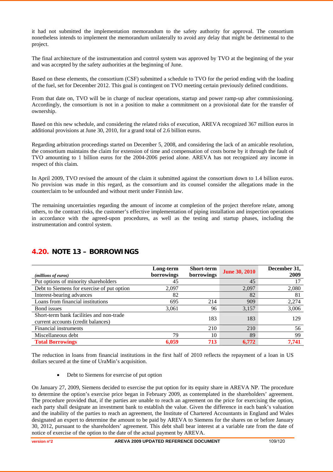it had not submitted the implementation memorandum to the safety authority for approval. The consortium nonetheless intends to implement the memorandum unilaterally to avoid any delay that might be detrimental to the project.

The final architecture of the instrumentation and control system was approved by TVO at the beginning of the year and was accepted by the safety authorities at the beginning of June.

Based on these elements, the consortium (CSF) submitted a schedule to TVO for the period ending with the loading of the fuel, set for December 2012. This goal is contingent on TVO meeting certain previously defined conditions.

From that date on, TVO will be in charge of nuclear operations, startup and power ramp-up after commissioning. Accordingly, the consortium is not in a position to make a commitment on a provisional date for the transfer of ownership.

Based on this new schedule, and considering the related risks of execution, AREVA recognized 367 million euros in additional provisions at June 30, 2010, for a grand total of 2.6 billion euros.

Regarding arbitration proceedings started on December 5, 2008, and considering the lack of an amicable resolution, the consortium maintains the claim for extension of time and compensation of costs borne by it through the fault of TVO amounting to 1 billion euros for the 2004-2006 period alone. AREVA has not recognized any income in respect of this claim.

In April 2009, TVO revised the amount of the claim it submitted against the consortium down to 1.4 billion euros. No provision was made in this regard, as the consortium and its counsel consider the allegations made in the counterclaim to be unfounded and without merit under Finnish law.

The remaining uncertainties regarding the amount of income at completion of the project therefore relate, among others, to the contract risks, the customer's effective implementation of piping installation and inspection operations in accordance with the agreed-upon procedures, as well as the testing and startup phases, including the instrumentation and control system.

| (millions of euros)                                                            | Long-term<br>borrowings | Short-term<br>borrowings | <b>June 30, 2010</b> | December 31,<br>2009 |
|--------------------------------------------------------------------------------|-------------------------|--------------------------|----------------------|----------------------|
| Put options of minority shareholders                                           | 45                      |                          | 45                   | 17                   |
| Debt to Siemens for exercise of put option                                     | 2,097                   |                          | 2,097                | 2,080                |
| Interest-bearing advances                                                      | 82                      |                          | 82                   | 81                   |
| Loans from financial institutions                                              | 695                     | 214                      | 909                  | 2,274                |
| Bond issues                                                                    | 3,061                   | 96                       | 3,157                | 3,006                |
| Short-term bank facilities and non-trade<br>current accounts (credit balances) |                         | 183                      | 183                  | 129                  |
| Financial instruments                                                          |                         | 210                      | 210                  | 56                   |
| Miscellaneous debt                                                             | 79                      | 10                       | 89                   | 99                   |
| <b>Total Borrowings</b>                                                        | 6.059                   | 713                      | 6.772                | 7.741                |

## **4.20. NOTE 13 – BORROWINGS**

The reduction in loans from financial institutions in the first half of 2010 reflects the repayment of a loan in US dollars secured at the time of UraMin's acquisition.

• Debt to Siemens for exercise of put option

On January 27, 2009, Siemens decided to exercise the put option for its equity share in AREVA NP. The procedure to determine the option's exercise price began in February 2009, as contemplated in the shareholders' agreement. The procedure provided that, if the parties are unable to reach an agreement on the price for exercising the option, each party shall designate an investment bank to establish the value. Given the difference in each bank's valuation and the inability of the parties to reach an agreement, the Institute of Chartered Accountants in England and Wales designated an expert to determine the amount to be paid by AREVA to Siemens for the shares on or before January 30, 2012, pursuant to the shareholders' agreement. This debt shall bear interest at a variable rate from the date of notice of exercise of the option to the date of the actual payment by AREVA.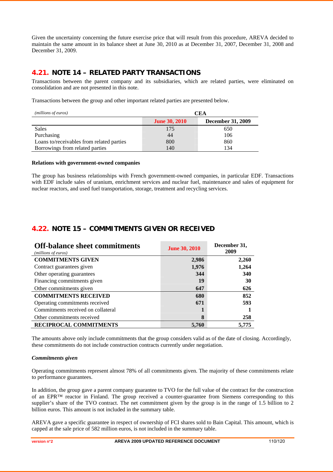Given the uncertainty concerning the future exercise price that will result from this procedure, AREVA decided to maintain the same amount in its balance sheet at June 30, 2010 as at December 31, 2007, December 31, 2008 and December 31, 2009.

## **4.21. NOTE 14 – RELATED PARTY TRANSACTIONS**

Transactions between the parent company and its subsidiaries, which are related parties, were eliminated on consolidation and are not presented in this note.

Transactions between the group and other important related parties are presented below.

| (millions of euros)                       | CEA                  |                          |  |
|-------------------------------------------|----------------------|--------------------------|--|
|                                           | <b>June 30, 2010</b> | <b>December 31, 2009</b> |  |
| <b>Sales</b>                              | 175                  | 650                      |  |
| Purchasing                                | 44                   | 106                      |  |
| Loans to/receivables from related parties | 800                  | 860                      |  |
| Borrowings from related parties           | 140                  | 134                      |  |

#### **Relations with government-owned companies**

The group has business relationships with French government-owned companies, in particular EDF. Transactions with EDF include sales of uranium, enrichment services and nuclear fuel, maintenance and sales of equipment for nuclear reactors, and used fuel transportation, storage, treatment and recycling services.

## **4.22. NOTE 15 – COMMITMENTS GIVEN OR RECEIVED**

| <b>Off-balance sheet commitments</b><br>(millions of euros) | <b>June 30, 2010</b> | December 31,<br>2009 |
|-------------------------------------------------------------|----------------------|----------------------|
| <b>COMMITMENTS GIVEN</b>                                    | 2,986                | 2,260                |
| Contract guarantees given                                   | 1,976                | 1,264                |
| Other operating guarantees                                  | 344                  | 340                  |
| Financing commitments given                                 | 19                   | 30                   |
| Other commitments given                                     | 647                  | 626                  |
| <b>COMMITMENTS RECEIVED</b>                                 | 680                  | 852                  |
| Operating commitments received                              | 671                  | 593                  |
| Commitments received on collateral                          |                      |                      |
| Other commitments received                                  | 8                    | 258                  |
| <b>RECIPROCAL COMMITMENTS</b>                               | 5,760                | 5.775                |

The amounts above only include commitments that the group considers valid as of the date of closing. Accordingly, these commitments do not include construction contracts currently under negotiation.

#### *Commitments given*

Operating commitments represent almost 78% of all commitments given. The majority of these commitments relate to performance guarantees.

In addition, the group gave a parent company guarantee to TVO for the full value of the contract for the construction of an EPR™ reactor in Finland. The group received a counter-guarantee from Siemens corresponding to this supplier's share of the TVO contract. The net commitment given by the group is in the range of 1.5 billion to 2 billion euros. This amount is not included in the summary table.

AREVA gave a specific guarantee in respect of ownership of FCI shares sold to Bain Capital. This amount, which is capped at the sale price of 582 million euros, is not included in the summary table.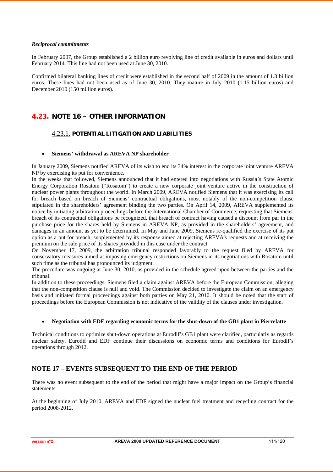#### *Reciprocal commitments*

In February 2007, the Group established a 2 billion euro revolving line of credit available in euros and dollars until February 2014. This line had not been used at June 30, 2010.

Confirmed bilateral banking lines of credit were established in the second half of 2009 in the amount of 1.3 billion euros. These lines had not been used as of June 30, 2010. They mature in July 2010 (1.15 billion euros) and December 2010 (150 million euros).

## **4.23. NOTE 16 – OTHER INFORMATION**

## 4.23.1. **POTENTIAL LITIGATION AND LIABILITIES**

#### • **Siemens' withdrawal as AREVA NP shareholder**

In January 2009, Siemens notified AREVA of its wish to end its 34% interest in the corporate joint venture AREVA NP by exercising its put for convenience.

In the weeks that followed, Siemens announced that it had entered into negotiations with Russia's State Atomic Energy Corporation Rosatom ("Rosatom") to create a new corporate joint venture active in the construction of nuclear power plants throughout the world. In March 2009, AREVA notified Siemens that it was exercising its call for breach based on breach of Siemens' contractual obligations, most notably of the non-competition clause stipulated in the shareholders' agreement binding the two parties. On April 14, 2009, AREVA supplemented its notice by initiating arbitration proceedings before the International Chamber of Commerce, requesting that Siemens' breach of its contractual obligations be recognized, that breach of contract having caused a discount from par in the purchase price for the shares held by Siemens in AREVA NP, as provided in the shareholders' agreement, and damages in an amount as yet to be determined. In May and June 2009, Siemens re-qualified the exercise of its put option as a put for breach, supplemented by its response aimed at rejecting AREVA's requests and at receiving the premium on the sale price of its shares provided in this case under the contract.

On November 17, 2009, the arbitration tribunal responded favorably to the request filed by AREVA for conservatory measures aimed at imposing emergency restrictions on Siemens in its negotiations with Rosatom until such time as the tribunal has pronounced its judgment.

The procedure was ongoing at June 30, 2010, as provided in the schedule agreed upon between the parties and the tribunal.

In addition to these proceedings, Siemens filed a claim against AREVA before the European Commission, alleging that the non-competition clause is null and void. The Commission decided to investigate the claim on an emergency basis and initiated formal proceedings against both parties on May 21, 2010. It should be noted that the start of proceedings before the European Commission is not indicative of the validity of the clauses under investigation.

#### • **Negotiation with EDF regarding economic terms for the shut-down of the GB1 plant in Pierrelatte**

Technical conditions to optimize shut-down operations at Eurodif's GB1 plant were clarified, particularly as regards nuclear safety. Eurodif and EDF continue their discussions on economic terms and conditions for Eurodif's operations through 2012.

## **NOTE 17 – EVENTS SUBSEQUENT TO THE END OF THE PERIOD**

There was no event subsequent to the end of the period that might have a major impact on the Group's financial statements.

At the beginning of July 2010, AREVA and EDF signed the nuclear fuel treatment and recycling contract for the period 2008-2012.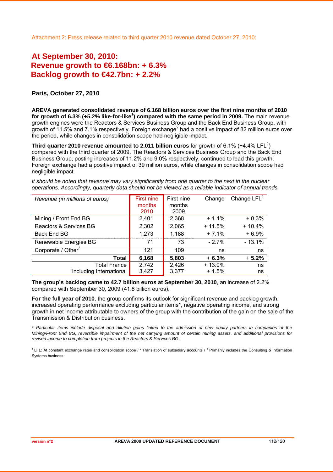# **At September 30, 2010: Revenue growth to €6.168bn: + 6.3% Backlog growth to €42.7bn: + 2.2%**

### **Paris, October 27, 2010**

**AREVA generated consolidated revenue of 6.168 billion euros over the first nine months of 2010 for growth of 6.3% (+5.2% like-for-like<sup>1</sup> ) compared with the same period in 2009.** The main revenue growth engines were the Reactors & Services Business Group and the Back End Business Group, with growth of 11.5% and 7.1% respectively. Foreign exchange<sup>2</sup> had a positive impact of 82 million euros over the period, while changes in consolidation scope had negligible impact.

**Third quarter 2010 revenue amounted to 2.011 billion euros** for growth of 6.1% (+4.4% LFL<sup>1</sup>) compared with the third quarter of 2009. The Reactors & Services Business Group and the Back End Business Group, posting increases of 11.2% and 9.0% respectively, continued to lead this growth. Foreign exchange had a positive impact of 39 million euros, while changes in consolidation scope had negligible impact.

| Revenue (in millions of euros) | First nine<br>months | First nine<br>months | Change   | Change $LFL1$ |
|--------------------------------|----------------------|----------------------|----------|---------------|
|                                | 2010                 | 2009                 |          |               |
| Mining / Front End BG          | 2,401                | 2,368                | $+1.4%$  | $+0.3%$       |
| Reactors & Services BG         | 2,302                | 2,065                | $+11.5%$ | $+10.4%$      |
| Back End BG                    | 1,273                | 1,188                | $+7.1%$  | $+6.9%$       |
| Renewable Energies BG          | 71                   | 73                   | $-2.7%$  | $-13.1%$      |
| Corporate / Other <sup>3</sup> | 121                  | 109                  | ns       | ns            |
| Total                          | 6,168                | 5,803                | $+6.3%$  | $+5.2%$       |
| <b>Total France</b>            | 2,742                | 2,426                | $+13.0%$ | ns            |
| including International        | 3,427                | 3,377                | $+1.5%$  | ns            |

*It should be noted that revenue may vary significantly from one quarter to the next in the nuclear operations. Accordingly, quarterly data should not be viewed as a reliable indicator of annual trends.*

**The group's backlog came to 42.7 billion euros at September 30, 2010**, an increase of 2.2% compared with September 30, 2009 (41.8 billion euros).

**For the full year of 2010**, the group confirms its outlook for significant revenue and backlog growth, increased operating performance excluding particular items\*, negative operating income, and strong growth in net income attributable to owners of the group with the contribution of the gain on the sale of the Transmission & Distribution business.

*\* Particular items include disposal and dilution gains linked to the admission of new equity partners in companies of the Mining/Front End BG, reversible impairment of the net carrying amount of certain mining assets, and additional provisions for revised income to completion from projects in the Reactors & Services BG.*

 $1$  LFL: At constant exchange rates and consolidation scope /  $2$  Translation of subsidiary accounts /  $3$  Primarily includes the Consulting & Information Systems business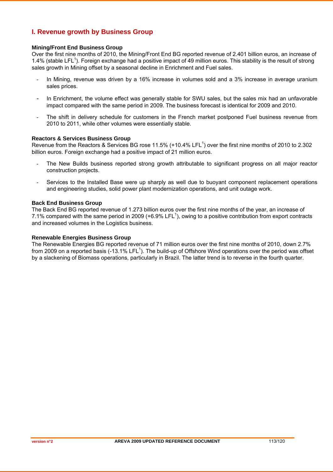## **I. Revenue growth by Business Group**

### **Mining/Front End Business Group**

Over the first nine months of 2010, the Mining/Front End BG reported revenue of 2.401 billion euros, an increase of 1.4% (stable LFL<sup>1</sup>). Foreign exchange had a positive impact of 49 million euros. This stability is the result of strong sales growth in Mining offset by a seasonal decline in Enrichment and Fuel sales.

- In Mining, revenue was driven by a 16% increase in volumes sold and a 3% increase in average uranium sales prices.
- In Enrichment, the volume effect was generally stable for SWU sales, but the sales mix had an unfavorable impact compared with the same period in 2009. The business forecast is identical for 2009 and 2010.
- The shift in delivery schedule for customers in the French market postponed Fuel business revenue from 2010 to 2011, while other volumes were essentially stable.

#### **Reactors & Services Business Group**

Revenue from the Reactors & Services BG rose 11.5% (+10.4% LFL<sup>1</sup>) over the first nine months of 2010 to 2.302 billion euros. Foreign exchange had a positive impact of 21 million euros.

- The New Builds business reported strong growth attributable to significant progress on all major reactor construction projects.
- Services to the Installed Base were up sharply as well due to buoyant component replacement operations and engineering studies, solid power plant modernization operations, and unit outage work.

#### **Back End Business Group**

The Back End BG reported revenue of 1.273 billion euros over the first nine months of the year, an increase of 7.1% compared with the same period in 2009 (+6.9% LFL<sup>1</sup>), owing to a positive contribution from export contracts and increased volumes in the Logistics business.

#### **Renewable Energies Business Group**

The Renewable Energies BG reported revenue of 71 million euros over the first nine months of 2010, down 2.7% from 2009 on a reported basis (-13.1% LFL<sup>1</sup>). The build-up of Offshore Wind operations over the period was offset by a slackening of Biomass operations, particularly in Brazil. The latter trend is to reverse in the fourth quarter.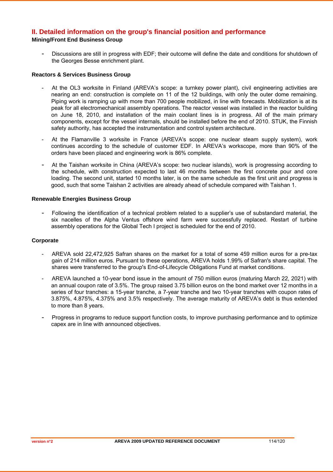## **II. Detailed information on the group's financial position and performance Mining/Front End Business Group**

Discussions are still in progress with EDF; their outcome will define the date and conditions for shutdown of the Georges Besse enrichment plant.

#### **Reactors & Services Business Group**

- At the OL3 worksite in Finland (AREVA's scope: a turnkey power plant), civil engineering activities are nearing an end: construction is complete on 11 of the 12 buildings, with only the outer dome remaining. Piping work is ramping up with more than 700 people mobilized, in line with forecasts. Mobilization is at its peak for all electromechanical assembly operations. The reactor vessel was installed in the reactor building on June 18, 2010, and installation of the main coolant lines is in progress. All of the main primary components, except for the vessel internals, should be installed before the end of 2010. STUK, the Finnish safety authority, has accepted the instrumentation and control system architecture.
- At the Flamanville 3 worksite in France (AREVA's scope: one nuclear steam supply system), work continues according to the schedule of customer EDF. In AREVA's workscope, more than 90% of the orders have been placed and engineering work is 86% complete.
- At the Taishan worksite in China (AREVA's scope: two nuclear islands), work is progressing according to the schedule, with construction expected to last 46 months between the first concrete pour and core loading. The second unit, started 10 months later, is on the same schedule as the first unit and progress is good, such that some Taishan 2 activities are already ahead of schedule compared with Taishan 1.

### **Renewable Energies Business Group**

- Following the identification of a technical problem related to a supplier's use of substandard material, the six nacelles of the Alpha Ventus offshore wind farm were successfully replaced. Restart of turbine assembly operations for the Global Tech I project is scheduled for the end of 2010.

#### **Corporate**

- AREVA sold 22,472,925 Safran shares on the market for a total of some 459 million euros for a pre-tax gain of 214 million euros. Pursuant to these operations, AREVA holds 1.99% of Safran's share capital. The shares were transferred to the group's End-of-Lifecycle Obligations Fund at market conditions.
- AREVA launched a 10-year bond issue in the amount of 750 million euros (maturing March 22, 2021) with an annual coupon rate of 3.5%. The group raised 3.75 billion euros on the bond market over 12 months in a series of four tranches: a 15-year tranche, a 7-year tranche and two 10-year tranches with coupon rates of 3.875%, 4.875%, 4.375% and 3.5% respectively. The average maturity of AREVA's debt is thus extended to more than 8 years.
- Progress in programs to reduce support function costs, to improve purchasing performance and to optimize capex are in line with announced objectives.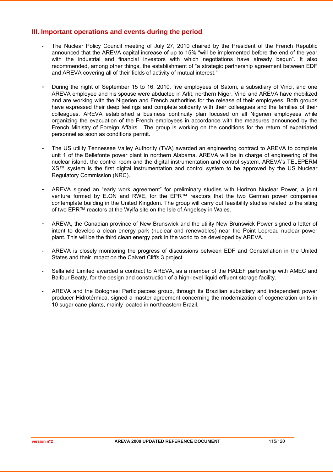## **III. Important operations and events during the period**

- The Nuclear Policy Council meeting of July 27, 2010 chaired by the President of the French Republic announced that the AREVA capital increase of up to 15% "will be implemented before the end of the year with the industrial and financial investors with which negotiations have already begun". It also recommended, among other things, the establishment of "a strategic partnership agreement between EDF and AREVA covering all of their fields of activity of mutual interest."
- During the night of September 15 to 16, 2010, five employees of Satom, a subsidiary of Vinci, and one AREVA employee and his spouse were abducted in Arlit, northern Niger. Vinci and AREVA have mobilized and are working with the Nigerien and French authorities for the release of their employees. Both groups have expressed their deep feelings and complete solidarity with their colleagues and the families of their colleagues. AREVA established a business continuity plan focused on all Nigerien employees while organizing the evacuation of the French employees in accordance with the measures announced by the French Ministry of Foreign Affairs. The group is working on the conditions for the return of expatriated personnel as soon as conditions permit.
- The US utility Tennessee Valley Authority (TVA) awarded an engineering contract to AREVA to complete unit 1 of the Bellefonte power plant in northern Alabama. AREVA will be in charge of engineering of the nuclear island, the control room and the digital instrumentation and control system. AREVA's TELEPERM XS™ system is the first digital instrumentation and control system to be approved by the US Nuclear Regulatory Commission (NRC).
- AREVA signed an "early work agreement" for preliminary studies with Horizon Nuclear Power, a joint venture formed by E.ON and RWE, for the EPR™ reactors that the two German power companies contemplate building in the United Kingdom. The group will carry out feasibility studies related to the siting of two EPR™ reactors at the Wylfa site on the Isle of Angelsey in Wales.
- AREVA, the Canadian province of New Brunswick and the utility New Brunswick Power signed a letter of intent to develop a clean energy park (nuclear and renewables) near the Point Lepreau nuclear power plant. This will be the third clean energy park in the world to be developed by AREVA.
- AREVA is closely monitoring the progress of discussions between EDF and Constellation in the United States and their impact on the Calvert Cliffs 3 project.
- Sellafield Limited awarded a contract to AREVA, as a member of the HALEF partnership with AMEC and Balfour Beatty, for the design and construction of a high-level liquid effluent storage facility.
- AREVA and the Bolognesi Participacoes group, through its Brazilian subsidiary and independent power producer Hidrotérmica, signed a master agreement concerning the modernization of cogeneration units in 10 sugar cane plants, mainly located in northeastern Brazil.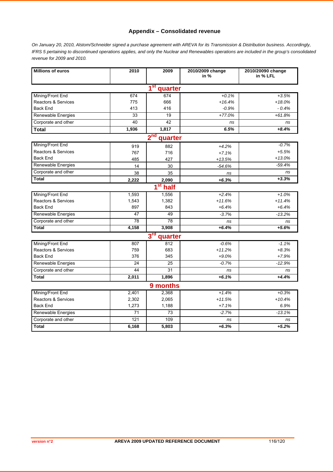## **Appendix – Consolidated revenue**

*On January 20, 2010, Alstom/Schneider signed a purchase agreement with AREVA for its Transmission & Distribution business. Accordingly, IFRS 5 pertaining to discontinued operations applies, and only the Nuclear and Renewables operations are included in the group's consolidated revenue for 2009 and 2010.*

| <b>Millions of euros</b>       | 2010  | 2009                       | 2010/2009 change<br>in $%$ | 2010/20090 change<br>in % LFL |  |
|--------------------------------|-------|----------------------------|----------------------------|-------------------------------|--|
|                                |       | 1 <sup>st</sup><br>quarter |                            |                               |  |
| Mining/Front End               | 674   | 674                        | $+0.1%$                    | $+3.5%$                       |  |
| Reactors & Services            | 775   | 666                        | $+16.4%$                   | $+18.0%$                      |  |
| <b>Back End</b>                | 413   | 416                        | $-0.9%$                    | $-0.4%$                       |  |
| Renewable Energies             | 33    | 19                         | $+77.0%$                   | $+61.8%$                      |  |
| Corporate and other            | 40    | 42                         | ns                         | ns                            |  |
| <b>Total</b>                   | 1,936 | 1,817                      | 6.5%                       | $+8.4%$                       |  |
|                                |       | 2 <sub>nd</sub><br>quarter |                            |                               |  |
| Mining/Front End               | 919   | 882                        | $+4.2%$                    | $-0.7%$                       |  |
| <b>Reactors &amp; Services</b> | 767   | 716                        | $+7.1%$                    | $+5.5%$                       |  |
| <b>Back End</b>                | 485   | 427                        | $+13.5%$                   | $+13.0%$                      |  |
| Renewable Energies             | 14    | 30                         | $-54.6%$                   | $-59.4%$                      |  |
| Corporate and other            | 38    | 35                         | ns                         | ns                            |  |
| <b>Total</b>                   | 2,222 | 2,090                      | $+6.3%$                    | $+3.3%$                       |  |
|                                |       | $1st$ half                 |                            |                               |  |
| Mining/Front End               | 1,593 | 1,556                      | $+2.4%$                    | $+1.0%$                       |  |
| Reactors & Services            | 1,543 | 1,382                      | $+11.6%$                   | $+11.4%$                      |  |
| <b>Back End</b>                | 897   | 843                        | $+6.4%$                    | $+6.4%$                       |  |
| Renewable Energies             | 47    | 49                         | $-3.7%$                    | $-13.2%$                      |  |
| Corporate and other            | 78    | 78                         | ns                         | ns                            |  |
| <b>Total</b>                   | 4,158 | 3,908                      | $+6.4%$                    | $+5.6%$                       |  |
|                                |       | 3 <sup>rd</sup><br>quarter |                            |                               |  |
| Mining/Front End               | 807   | 812                        | $-0.6%$                    | $-1.1%$                       |  |
| Reactors & Services            | 759   | 683                        | $+11.2%$                   | $+8.3%$                       |  |
| <b>Back End</b>                | 376   | 345                        | $+9.0%$                    | $+7.9%$                       |  |
| Renewable Energies             | 24    | $\overline{25}$            | $-0.7%$                    | $-12.9%$                      |  |
| Corporate and other            | 44    | 31                         | ns                         | ns                            |  |
| <b>Total</b>                   | 2,011 | 1,896                      | $+6.1%$                    | $+4.4%$                       |  |
| 9 months                       |       |                            |                            |                               |  |
| Mining/Front End               | 2,401 | 2,368                      | $+1.4%$                    | $+0.3%$                       |  |
| <b>Reactors &amp; Services</b> | 2,302 | 2,065                      | $+11.5%$                   | $+10.4%$                      |  |
| <b>Back End</b>                | 1,273 | 1,188                      | $+7.1%$                    | 6.9%                          |  |
| Renewable Energies             | 71    | 73                         | $-2.7%$                    | $-13.1%$                      |  |
| Corporate and other            | 121   | 109                        | ns                         | ns                            |  |
| Total                          | 6,168 | 5,803                      | $+6.3%$                    | $+5.2%$                       |  |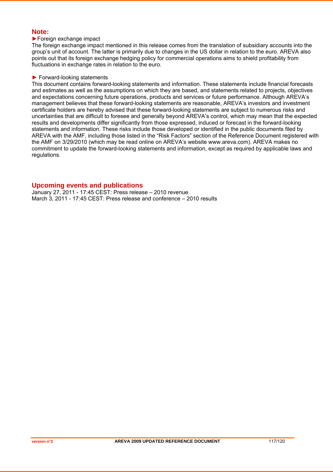## **Note:**

### ►Foreign exchange impact

The foreign exchange impact mentioned in this release comes from the translation of subsidiary accounts into the group's unit of account. The latter is primarily due to changes in the US dollar in relation to the euro. AREVA also points out that its foreign exchange hedging policy for commercial operations aims to shield profitability from fluctuations in exchange rates in relation to the euro.

### ► Forward-looking statements

This document contains forward-looking statements and information. These statements include financial forecasts and estimates as well as the assumptions on which they are based, and statements related to projects, objectives and expectations concerning future operations, products and services or future performance. Although AREVA's management believes that these forward-looking statements are reasonable, AREVA's investors and investment certificate holders are hereby advised that these forward-looking statements are subject to numerous risks and uncertainties that are difficult to foresee and generally beyond AREVA's control, which may mean that the expected results and developments differ significantly from those expressed, induced or forecast in the forward-looking statements and information. These risks include those developed or identified in the public documents filed by AREVA with the AMF, including those listed in the "Risk Factors" section of the Reference Document registered with the AMF on 3/29/2010 (which may be read online on AREVA's website www.areva.com). AREVA makes no commitment to update the forward-looking statements and information, except as required by applicable laws and regulations.

### **Upcoming events and publications**

January 27, 2011 - 17:45 CEST: Press release – 2010 revenue March 3, 2011 - 17:45 CEST: Press release and conference – 2010 results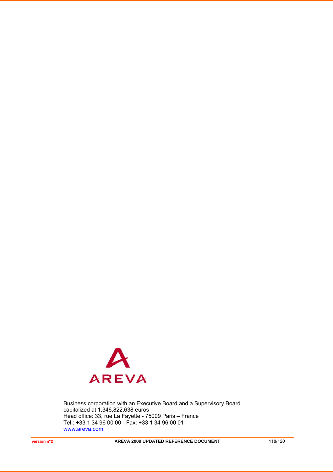

Business corporation with an Executive Board and a Supervisory Board capitalized at 1,346,822,638 euros Head office: 33, rue La Fayette - 75009 Paris – France Tel.: +33 1 34 96 00 00 - Fax: +33 1 34 96 00 01 www.areva.com